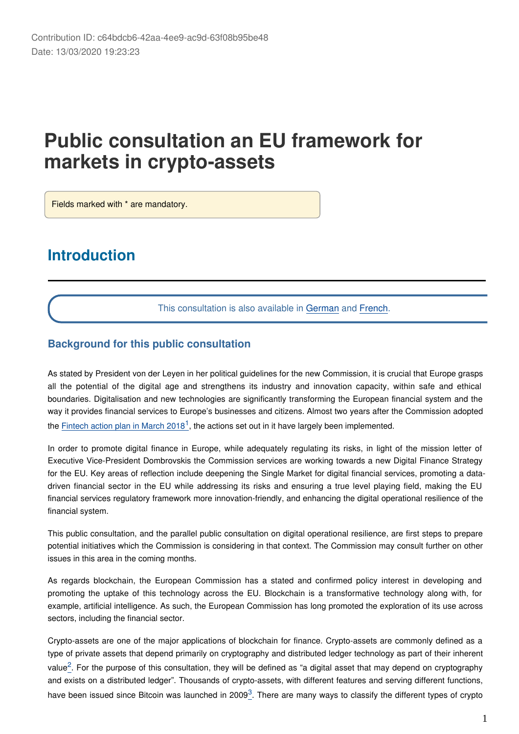# **Public consultation an EU framework for markets in crypto-assets**

Fields marked with \* are mandatory.

## **Introduction**

This consultation is also available in [German](https://ec.europa.eu/eusurvey/runner/crypto-assets-2019?surveylanguage=de) and [French](https://ec.europa.eu/eusurvey/runner/crypto-assets-2019?surveylanguage=fr).

#### **Background for this public consultation**

As stated by President von der Leyen in her political guidelines for the new Commission, it is crucial that Europe grasps all the potential of the digital age and strengthens its industry and innovation capacity, within safe and ethical boundaries. Digitalisation and new technologies are significantly transforming the European financial system and the way it provides financial services to Europe's businesses and citizens. Almost two years after the Commission adopted the [Fintech action plan in March 2018](https://ec.europa.eu/info/publications/180308-action-plan-fintech_en)<sup>[1](#page-2-0)</sup>, the actions set out in it have largely been implemented.

In order to promote digital finance in Europe, while adequately regulating its risks, in light of the mission letter of Executive Vice-President Dombrovskis the Commission services are working towards a new Digital Finance Strategy for the EU. Key areas of reflection include deepening the Single Market for digital financial services, promoting a datadriven financial sector in the EU while addressing its risks and ensuring a true level playing field, making the EU financial services regulatory framework more innovation-friendly, and enhancing the digital operational resilience of the financial system.

This public consultation, and the parallel public consultation on digital operational resilience, are first steps to prepare potential initiatives which the Commission is considering in that context. The Commission may consult further on other issues in this area in the coming months.

As regards blockchain, the European Commission has a stated and confirmed policy interest in developing and promoting the uptake of this technology across the EU. Blockchain is a transformative technology along with, for example, artificial intelligence. As such, the European Commission has long promoted the exploration of its use across sectors, including the financial sector.

Crypto-assets are one of the major applications of blockchain for finance. Crypto-assets are commonly defined as a type of private assets that depend primarily on cryptography and distributed ledger technology as part of their inherent value<sup>[2](#page-2-1)</sup>. For the purpose of this consultation, they will be defined as "a digital asset that may depend on cryptography and exists on a distributed ledger". Thousands of crypto-assets, with different features and serving different functions, have been issued since Bitcoin was launched in 2009<sup>[3](#page-2-2)</sup>. There are many ways to classify the different types of crypto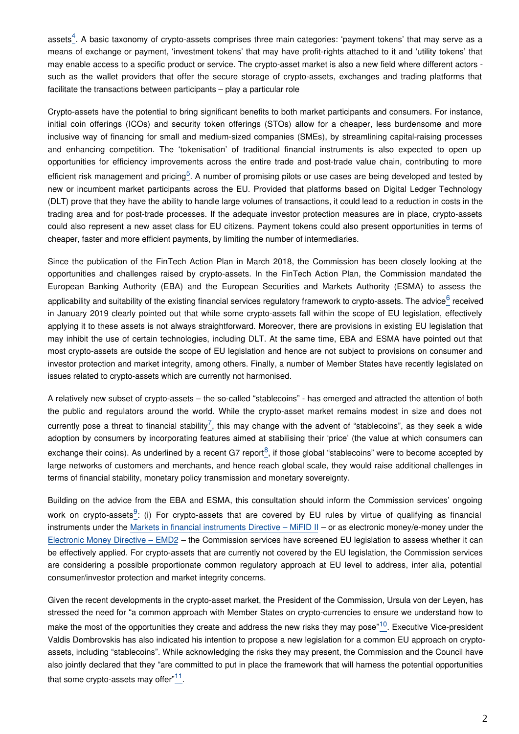assets<sup>[4](#page-2-3)</sup>. A basic taxonomy of crypto-assets comprises three main categories: 'payment tokens' that may serve as a means of exchange or payment, 'investment tokens' that may have profit-rights attached to it and 'utility tokens' that may enable access to a specific product or service. The crypto-asset market is also a new field where different actors such as the wallet providers that offer the secure storage of crypto-assets, exchanges and trading platforms that facilitate the transactions between participants – play a particular role

Crypto-assets have the potential to bring significant benefits to both market participants and consumers. For instance, initial coin offerings (ICOs) and security token offerings (STOs) allow for a cheaper, less burdensome and more inclusive way of financing for small and medium-sized companies (SMEs), by streamlining capital-raising processes and enhancing competition. The 'tokenisation' of traditional financial instruments is also expected to open up opportunities for efficiency improvements across the entire trade and post-trade value chain, contributing to more efficient risk management and pricing<sup>[5](#page-2-4)</sup>. A number of promising pilots or use cases are being developed and tested by new or incumbent market participants across the EU. Provided that platforms based on Digital Ledger Technology (DLT) prove that they have the ability to handle large volumes of transactions, it could lead to a reduction in costs in the trading area and for post-trade processes. If the adequate investor protection measures are in place, crypto-assets could also represent a new asset class for EU citizens. Payment tokens could also present opportunities in terms of cheaper, faster and more efficient payments, by limiting the number of intermediaries.

Since the publication of the FinTech Action Plan in March 2018, the Commission has been closely looking at the opportunities and challenges raised by crypto-assets. In the FinTech Action Plan, the Commission mandated the European Banking Authority (EBA) and the European Securities and Markets Authority (ESMA) to assess the applicability and suitability of the existing financial services regulatory framework to crypto-assets. The advice  $6$  received in January 2019 clearly pointed out that while some crypto-assets fall within the scope of EU legislation, effectively applying it to these assets is not always straightforward. Moreover, there are provisions in existing EU legislation that may inhibit the use of certain technologies, including DLT. At the same time, EBA and ESMA have pointed out that most crypto-assets are outside the scope of EU legislation and hence are not subject to provisions on consumer and investor protection and market integrity, among others. Finally, a number of Member States have recently legislated on issues related to crypto-assets which are currently not harmonised.

A relatively new subset of crypto-assets – the so-called "stablecoins" - has emerged and attracted the attention of both the public and regulators around the world. While the crypto-asset market remains modest in size and does not currently pose a threat to financial stability<sup>[7](#page-3-0)</sup>, this may change with the advent of "stablecoins", as they seek a wide adoption by consumers by incorporating features aimed at stabilising their 'price' (the value at which consumers can exchange their coins). As underlined by a recent G7 report<sup>[8](#page-3-1)</sup>, if those global "stablecoins" were to become accepted by large networks of customers and merchants, and hence reach global scale, they would raise additional challenges in terms of financial stability, monetary policy transmission and monetary sovereignty.

Building on the advice from the EBA and ESMA, this consultation should inform the Commission services' ongoing work on crypto-assets<sup>[9](#page-3-2)</sup>: (i) For crypto-assets that are covered by EU rules by virtue of qualifying as financial instruments under the [Markets in financial instruments Directive – MiFID II](https://eur-lex.europa.eu/legal-content/EN/TXT/?uri=CELEX:32014L0065) – or as electronic money/e-money under the [Electronic Money Directive – EMD2](https://eur-lex.europa.eu/legal-content/EN/TXT/?uri=CELEX:32009L0110) – the Commission services have screened EU legislation to assess whether it can be effectively applied. For crypto-assets that are currently not covered by the EU legislation, the Commission services are considering a possible proportionate common regulatory approach at EU level to address, inter alia, potential consumer/investor protection and market integrity concerns.

Given the recent developments in the crypto-asset market, the President of the Commission, Ursula von der Leyen, has stressed the need for "a common approach with Member States on crypto-currencies to ensure we understand how to make the most of the opportunities they create and address the new risks they may pose"<sup>[10](#page-3-3)</sup>. Executive Vice-president Valdis Dombrovskis has also indicated his intention to propose a new legislation for a common EU approach on cryptoassets, including "stablecoins". While acknowledging the risks they may present, the Commission and the Council have also jointly declared that they "are committed to put in place the framework that will harness the potential opportunities that some crypto-assets may offer $^{"11}$  $^{"11}$  $^{"11}$ .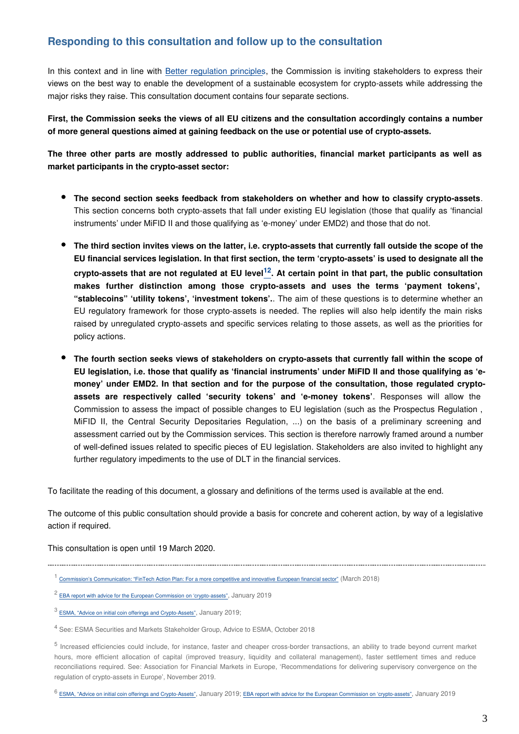#### **Responding to this consultation and follow up to the consultation**

In this context and in line with [Better regulation principles](https://ec.europa.eu/info/law/law-making-process/planning-and-proposing-law/better-regulation-why-and-how_en), the Commission is inviting stakeholders to express their views on the best way to enable the development of a sustainable ecosystem for crypto-assets while addressing the major risks they raise. This consultation document contains four separate sections.

**First, the Commission seeks the views of all EU citizens and the consultation accordingly contains a number of more general questions aimed at gaining feedback on the use or potential use of crypto-assets.**

**The three other parts are mostly addressed to public authorities, financial market participants as well as market participants in the crypto-asset sector:**

- **The second section seeks feedback from stakeholders on whether and how to classify crypto-assets**. This section concerns both crypto-assets that fall under existing EU legislation (those that qualify as 'financial instruments' under MiFID II and those qualifying as 'e-money' under EMD2) and those that do not.
- **The third section invites views on the latter, i.e. crypto-assets that currently fall outside the scope of the EU financial services legislation. In that first section, the term 'crypto-assets' is used to designate all the crypto-assets that are not regulated at EU level . At certain point in that part, the public consultation [12](#page-3-5) makes further distinction among those crypto-assets and uses the terms 'payment tokens', "stablecoins" 'utility tokens', 'investment tokens'.**. The aim of these questions is to determine whether an EU regulatory framework for those crypto-assets is needed. The replies will also help identify the main risks raised by unregulated crypto-assets and specific services relating to those assets, as well as the priorities for policy actions.
- **The fourth section seeks views of stakeholders on crypto-assets that currently fall within the scope of EU legislation, i.e. those that qualify as 'financial instruments' under MiFID II and those qualifying as 'emoney' under EMD2. In that section and for the purpose of the consultation, those regulated cryptoassets are respectively called 'security tokens' and 'e-money tokens'**. Responses will allow the Commission to assess the impact of possible changes to EU legislation (such as the Prospectus Regulation , MiFID II, the Central Security Depositaries Regulation, ...) on the basis of a preliminary screening and assessment carried out by the Commission services. This section is therefore narrowly framed around a number of well-defined issues related to specific pieces of EU legislation. Stakeholders are also invited to highlight any further regulatory impediments to the use of DLT in the financial services.

To facilitate the reading of this document, a glossary and definitions of the terms used is available at the end.

The outcome of this public consultation should provide a basis for concrete and coherent action, by way of a legislative action if required.

<span id="page-2-0"></span>

This consultation is open until 19 March 2020.

<sup>1</sup> [Commission's Communication: "FinTech Action Plan: For a more competitive and innovative European financial sector"](https://eur-lex.europa.eu/legal-content/EN/TXT/?uri=CELEX%3A52018DC0109) (March 2018)

<span id="page-2-1"></span> $2$  [EBA report with advice for the European Commission on 'crypto-assets"](https://eba.europa.eu/sites/default/documents/files/documents/10180/2545547/67493daa-85a8-4429-aa91-e9a5ed880684/EBA Report on crypto assets.pdf), January 2019

<span id="page-2-2"></span> $^3$  [ESMA, "Advice on initial coin offerings and Crypto-Assets"](https://www.esma.europa.eu/sites/default/files/library/esma50-157-1391_crypto_advice.pdf),  $\,$  January 2019;

<span id="page-2-3"></span><sup>&</sup>lt;sup>4</sup> See: ESMA Securities and Markets Stakeholder Group, Advice to ESMA, October 2018

<span id="page-2-4"></span><sup>&</sup>lt;sup>5</sup> Increased efficiencies could include, for instance, faster and cheaper cross-border transactions, an ability to trade beyond current market hours, more efficient allocation of capital (improved treasury, liquidity and collateral management), faster settlement times and reduce reconciliations required. See: Association for Financial Markets in Europe, 'Recommendations for delivering supervisory convergence on the regulation of crypto-assets in Europe', November 2019.

<span id="page-2-5"></span><sup>6</sup> [ESMA, "Advice on initial coin offerings and Crypto-Assets"](https://www.esma.europa.eu/sites/default/files/library/esma50-157-1391_crypto_advice.pdf), January 2019; [EBA report with advice for the European Commission on 'crypto-assets"](https://eba.europa.eu/sites/default/documents/files/documents/10180/2545547/67493daa-85a8-4429-aa91-e9a5ed880684/EBA Report on crypto assets.pdf), January 2019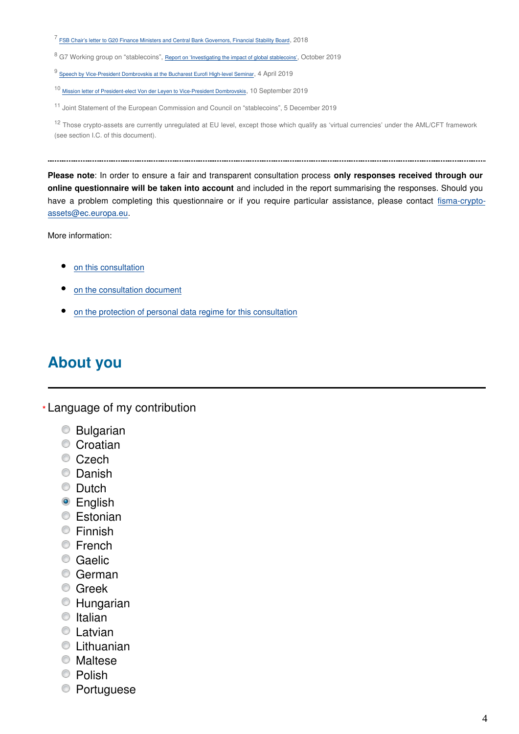<span id="page-3-0"></span><sup>7</sup> [FSB Chair's letter to G20 Finance Ministers and Central Bank Governors, Financial Stability Board](https://www.fsb.org/wp-content/uploads/P180318.pdf), 2018

<span id="page-3-1"></span> $^8$  G7 Working group on "stablecoins", [Report on 'Investigating the impact of global stablecoins'](https://www.bis.org/cpmi/publ/d187.pdf), October 2019

<span id="page-3-2"></span> $^9$  [Speech by Vice-President Dombrovskis at the Bucharest Eurofi High-level Seminar](https://ec.europa.eu/commission/presscorner/detail/en/SPEECH_19_1999),  $4$  April 2019

<span id="page-3-3"></span><sup>10</sup> [Mission letter of President-elect Von der Leyen to Vice-President Dombrovskis](https://ec.europa.eu/commission/presscorner/detail/en/SPEECH_19_1999), 10 September 2019

<span id="page-3-4"></span><sup>11</sup> Joint Statement of the European Commission and Council on "stablecoins", 5 December 2019

<span id="page-3-5"></span><sup>12</sup> Those crypto-assets are currently unregulated at EU level, except those which qualify as 'virtual currencies' under the AML/CFT framework (see section I.C. of this document).

**Please note**: In order to ensure a fair and transparent consultation process **only responses received through our online questionnaire will be taken into account** and included in the report summarising the responses. Should you have a problem completing this questionnaire or if you require particular assistance, please contact fisma-cryptoassets@ec.europa.eu.

More information:

- [on this consultation](https://ec.europa.eu/info/publications/finance-consultations-2019-crypto-assets_en)
- [on the consultation document](https://ec.europa.eu/info/files/2019-crypto-assets-consultation-document_en)
- [on the protection of personal data regime for this consultation](https://ec.europa.eu/info/law/better-regulation/specific-privacy-statement_en)

## **About you**

Language of my contribution **\***

- Bulgarian
- Croatian
- Czech
- C Danish
- **Dutch**
- **•** English
- **Estonian**
- **Einnish**
- **■** French
- Caelic
- German
- **Greek**
- Hungarian
- $\bullet$  Italian
- **C** Latvian
- **C** Lithuanian
- Maltese
- <sup>O</sup> Polish
- Portuguese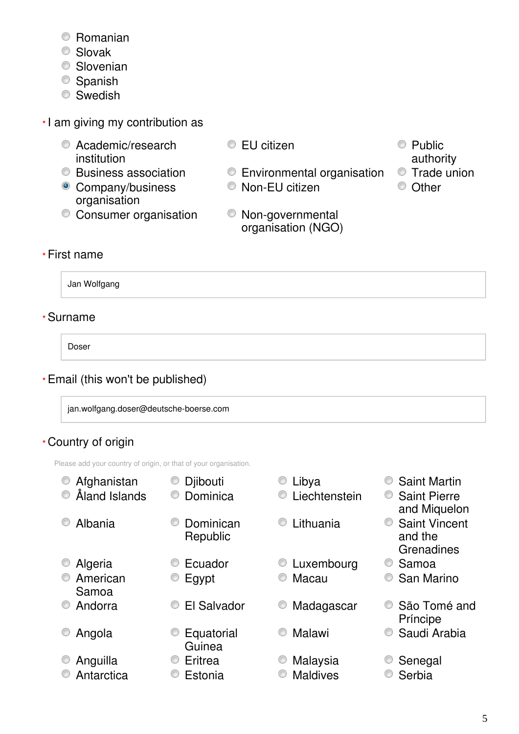- Romanian
- Slovak
- **Slovenian**
- Spanish
- **Swedish**
- I am giving my contribution as **\***
	- C Academic/research institution
	-
	- Company/business organisation
	- Consumer organisation Non-governmental
- $\bullet$  EU citizen  $\bullet$  Public
	- Business association Environmental organisation Trade union
		- Non-EU citizen Other
		- organisation (NGO)
- authority
- 
- 

### First name **\***

Jan Wolfgang

### Surname **\***

Doser

### Email (this won't be published) **\***

jan.wolfgang.doser@deutsche-boerse.com

### Country of origin **\***

Please add your country of origin, or that of your organisation.

© Afghanistan ● Djibouti ● Djibouti ● Cibya ● Saint Martin Åland Islands Dominica Liechtenstein Saint Pierre and Miquelon C Albania C Dominican Republic C Lithuania C Saint Vincent and the **Grenadines** • Algeria • C Ecuador • C Luxembourg • C Samoa **C** American Samoa C Egypt C Macau C San Marino • Andorra • C El Salvador • Madagascar • São Tomé and Príncipe Angola Equatorial Guinea ■ Malawi ● Saudi Arabia ■ Anguilla ● Eritrea ● Malaysia ● Senegal Antarctica Estonia Maldives Serbia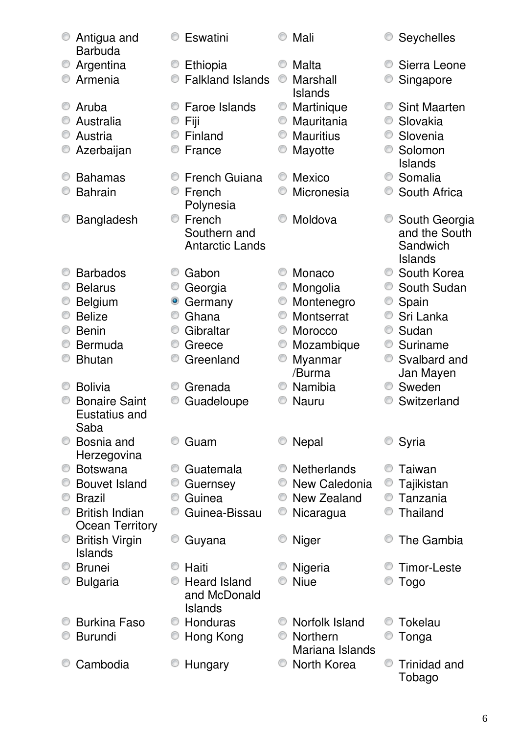| Antigua and<br><b>Barbuda</b> | Eswatini                            | Mali                        | <b>Seychelles</b>                  |
|-------------------------------|-------------------------------------|-----------------------------|------------------------------------|
| Argentina<br>O                | Ethiopia<br>O                       | Malta<br>⊙                  | Sierra Leone                       |
| Armenia                       | <b>Falkland Islands</b>             | Marshall                    | Singapore                          |
|                               |                                     | <b>Islands</b>              |                                    |
| Aruba                         | Faroe Islands                       | Martinique<br>O             | <b>Sint Maarten</b>                |
| Australia                     | Fiji                                | Mauritania<br>0             | Slovakia<br>O                      |
| Austria                       | Finland                             | <b>Mauritius</b><br>O       | Slovenia<br>O                      |
| Azerbaijan                    | France                              | Mayotte                     | Solomon<br><b>Islands</b>          |
| <b>Bahamas</b>                | <b>French Guiana</b>                | 0<br>Mexico                 | Somalia<br>O                       |
| <b>Bahrain</b>                | French                              | Micronesia                  | South Africa                       |
|                               | Polynesia                           |                             |                                    |
| <b>Bangladesh</b>             | French<br>⊙                         | Moldova                     | South Georgia                      |
|                               | Southern and                        |                             | and the South                      |
|                               | <b>Antarctic Lands</b>              |                             | Sandwich                           |
| <b>Barbados</b>               |                                     | Monaco                      | <b>Islands</b><br>South Korea<br>O |
| <b>Belarus</b>                | Gabon                               |                             | South Sudan                        |
| <b>Belgium</b>                | Georgia<br>۰<br>Germany             | Mongolia<br>Montenegro<br>O | O<br>Spain                         |
| <b>Belize</b>                 | 0<br>Ghana                          | Montserrat<br>◎             | Sri Lanka<br>0                     |
| <b>Benin</b>                  | Gibraltar<br>O                      | Morocco<br>O                | Sudan<br>O                         |
| <b>Bermuda</b>                | O<br>Greece                         | O<br>Mozambique             | O<br>Suriname                      |
| <b>Bhutan</b>                 | Greenland                           | Myanmar<br>O                | Svalbard and<br>⊙                  |
|                               |                                     | /Burma                      | Jan Mayen                          |
| <b>Bolivia</b>                | Grenada                             | Namibia                     | Sweden<br>0                        |
| <b>Bonaire Saint</b>          | Guadeloupe                          | Nauru                       | Switzerland                        |
| Eustatius and                 |                                     |                             |                                    |
| Saba                          |                                     |                             |                                    |
| Bosnia and<br>Herzegovina     | Guam                                | <b>Nepal</b>                | Syria                              |
| <b>Botswana</b>               | Guatemala                           | <b>Netherlands</b>          | Taiwan                             |
| <b>Bouvet Island</b>          | O<br>Guernsey                       | New Caledonia               | Tajikistan                         |
| <b>Brazil</b>                 | Guinea<br>O                         | New Zealand<br>0            | Tanzania<br>0                      |
| <b>British Indian</b>         | Guinea-Bissau                       | Nicaragua                   | Thailand                           |
| <b>Ocean Territory</b>        |                                     |                             |                                    |
| <b>British Virgin</b><br>O    | O<br>Guyana                         | <b>Niger</b>                | The Gambia                         |
| <b>Islands</b>                |                                     |                             |                                    |
| <b>Brunei</b>                 | Haiti<br>O                          | Nigeria                     | Timor-Leste                        |
| <b>Bulgaria</b>               | <b>Heard Island</b><br>and McDonald | <b>Niue</b>                 | Togo                               |
|                               | <b>Islands</b>                      |                             |                                    |
| <b>Burkina Faso</b>           | Honduras<br>O                       | Norfolk Island              | Tokelau                            |
| <b>Burundi</b>                | Hong Kong                           | Northern<br>0               | Tonga                              |
|                               |                                     | Mariana Islands             |                                    |
| Cambodia                      | Hungary                             | North Korea                 | ⊙<br><b>Trinidad and</b>           |
|                               |                                     |                             | Tobago                             |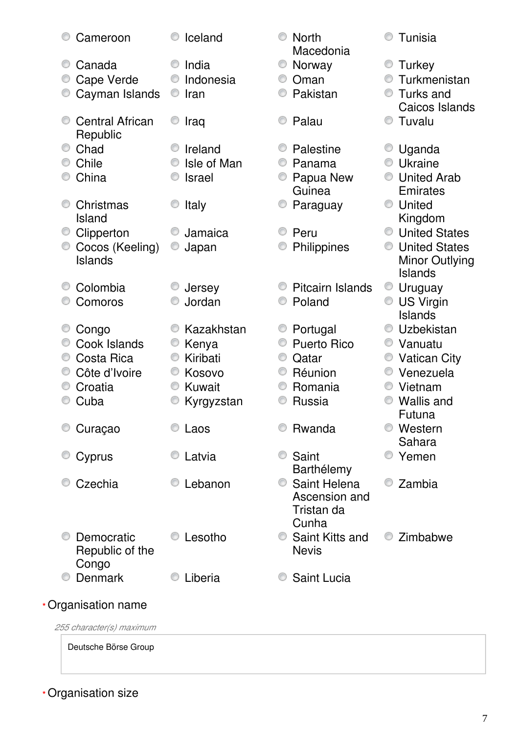| Cameroon                 | Iceland       | <b>North</b><br>Macedonia | Tunisia                   |
|--------------------------|---------------|---------------------------|---------------------------|
| Canada                   | India         | O<br>Norway               | Turkey                    |
| Cape Verde               | Indonesia     | Oman                      | Turkmenistan              |
|                          | Iran<br>O     | Pakistan                  | Turks and<br>O            |
| Cayman Islands           |               |                           | Caicos Islands            |
| <b>Central African</b>   | Iraq          | Palau                     | Tuvalu                    |
| Republic                 |               |                           |                           |
| Chad                     | Ireland       | Palestine                 | Uganda                    |
| Chile                    | Isle of Man   | Panama                    | Ukraine                   |
| China                    | <b>Israel</b> | Papua New                 | <b>United Arab</b>        |
|                          |               | Guinea                    | Emirates                  |
| Christmas                | Italy         | Paraguay                  | United<br>0               |
| Island                   |               |                           | Kingdom                   |
| Clipperton               | Jamaica       | Peru                      | <b>United States</b><br>0 |
| Cocos (Keeling)          | O<br>Japan    | Philippines               | <b>United States</b><br>O |
| <b>Islands</b>           |               |                           | <b>Minor Outlying</b>     |
|                          |               |                           | <b>Islands</b>            |
| Colombia                 | Jersey        | <b>Pitcairn Islands</b>   | Uruguay<br>O              |
| Comoros                  | Jordan        | Poland                    | <b>US Virgin</b><br>0     |
|                          |               |                           | Islands                   |
| Congo                    | Kazakhstan    | Portugal                  | Uzbekistan                |
| Cook Islands             | Kenya         | <b>Puerto Rico</b>        | Vanuatu                   |
| Costa Rica<br>O          | Kiribati<br>O | O<br>Qatar                | <b>Vatican City</b>       |
| Côte d'Ivoire            | Kosovo        | Réunion                   | Venezuela                 |
| Croatia                  | Kuwait        | Romania                   | Vietnam                   |
| Cuba                     | Kyrgyzstan    | Russia                    | <b>Wallis and</b>         |
|                          |               |                           | Futuna                    |
| Curaçao                  | Laos          | Rwanda                    | Western                   |
|                          |               |                           | Sahara                    |
| Cyprus                   | Latvia        | Saint<br>Barthélemy       | Yemen                     |
| Czechia                  | Lebanon       | Saint Helena<br>O.        | Zambia                    |
|                          |               | Ascension and             |                           |
|                          |               | Tristan da                |                           |
|                          |               | Cunha                     |                           |
| Democratic               | Lesotho       | Saint Kitts and           | Zimbabwe                  |
| Republic of the          |               | <b>Nevis</b>              |                           |
| Congo                    |               |                           |                           |
| Denmark                  | Liberia       | Saint Lucia               |                           |
| *Organisation name       |               |                           |                           |
| 255 character(s) maximum |               |                           |                           |
|                          |               |                           |                           |

Deutsche Börse Group

Organisation size **\***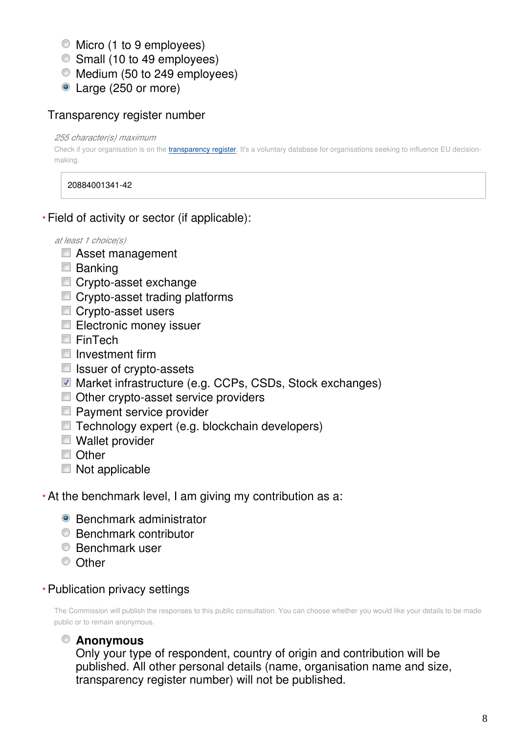- $\bullet$  Micro (1 to 9 employees)
- Small (10 to 49 employees)
- $\bullet$  Medium (50 to 249 employees)
- Large (250 or more)

### Transparency register number

*255 character(s) maximum*

Check if your organisation is on the [transparency register](http://ec.europa.eu/transparencyregister/public/homePage.do?redir=false&locale=en). It's a voluntary database for organisations seeking to influence EU decisionmaking.

20884001341-42

Field of activity or sector (if applicable): **\***

*at least 1 choice(s)*

- Asset management
- **Banking**
- Crypto-asset exchange
- Crypto-asset trading platforms
- Crypto-asset users
- Electronic money issuer
- FinTech
- $\blacksquare$  Investment firm
- $\blacksquare$  Issuer of crypto-assets
- Market infrastructure (e.g. CCPs, CSDs, Stock exchanges)
- Other crypto-asset service providers
- **Payment service provider**
- Technology expert (e.g. blockchain developers)
- Wallet provider
- Other
- Not applicable
- At the benchmark level, I am giving my contribution as a: **\***
	- Benchmark administrator
	- Benchmark contributor
	- **Benchmark user**
	- C Other
- Publication privacy settings **\***

The Commission will publish the responses to this public consultation. You can choose whether you would like your details to be made public or to remain anonymous.

### **Anonymous**

Only your type of respondent, country of origin and contribution will be published. All other personal details (name, organisation name and size, transparency register number) will not be published.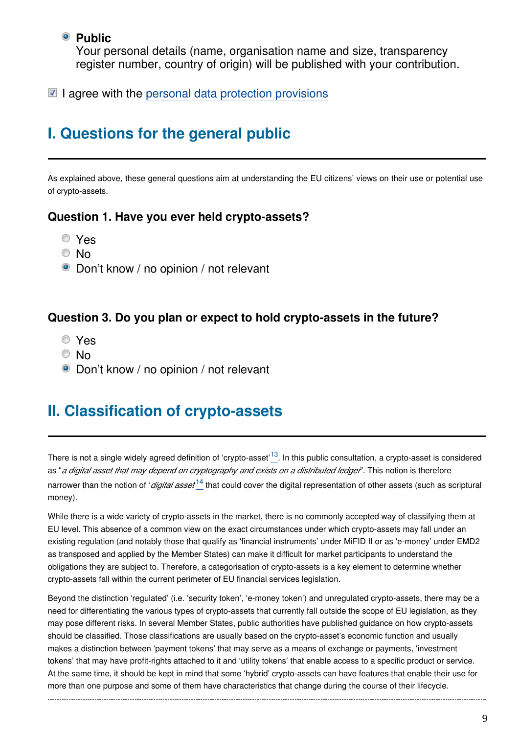#### **Public**

Your personal details (name, organisation name and size, transparency register number, country of origin) will be published with your contribution.

 $\blacksquare$  I agree with the [personal data protection provisions](https://ec.europa.eu/info/law/better-regulation/specific-privacy-statement_en)

## **I. Questions for the general public**

As explained above, these general questions aim at understanding the EU citizens' views on their use or potential use of crypto-assets.

#### **Question 1. Have you ever held crypto-assets?**

- Yes
- © No
- Don't know / no opinion / not relevant

#### **Question 3. Do you plan or expect to hold crypto-assets in the future?**

- Yes
- © No
- Don't know / no opinion / not relevant

## **II. Classification of crypto-assets**

There is not a single widely agreed definition of 'crypto-asset<sup>'[13](#page-9-0)</sup>. In this public consultation, a crypto-asset is considered as "*a digital asset that may depend on cryptography and exists on a distributed ledger*". This notion is therefore narrower than the notion of '*digital asset*<sup>14</sup> that could cover the digital representation of other assets (such as scriptural money).

While there is a wide variety of crypto-assets in the market, there is no commonly accepted way of classifying them at EU level. This absence of a common view on the exact circumstances under which crypto-assets may fall under an existing regulation (and notably those that qualify as 'financial instruments' under MiFID II or as 'e-money' under EMD2 as transposed and applied by the Member States) can make it difficult for market participants to understand the obligations they are subject to. Therefore, a categorisation of crypto-assets is a key element to determine whether crypto-assets fall within the current perimeter of EU financial services legislation.

Beyond the distinction 'regulated' (i.e. 'security token', 'e-money token') and unregulated crypto-assets, there may be a need for differentiating the various types of crypto-assets that currently fall outside the scope of EU legislation, as they may pose different risks. In several Member States, public authorities have published guidance on how crypto-assets should be classified. Those classifications are usually based on the crypto-asset's economic function and usually makes a distinction between 'payment tokens' that may serve as a means of exchange or payments, 'investment tokens' that may have profit-rights attached to it and 'utility tokens' that enable access to a specific product or service. At the same time, it should be kept in mind that some 'hybrid' crypto-assets can have features that enable their use for more than one purpose and some of them have characteristics that change during the course of their lifecycle.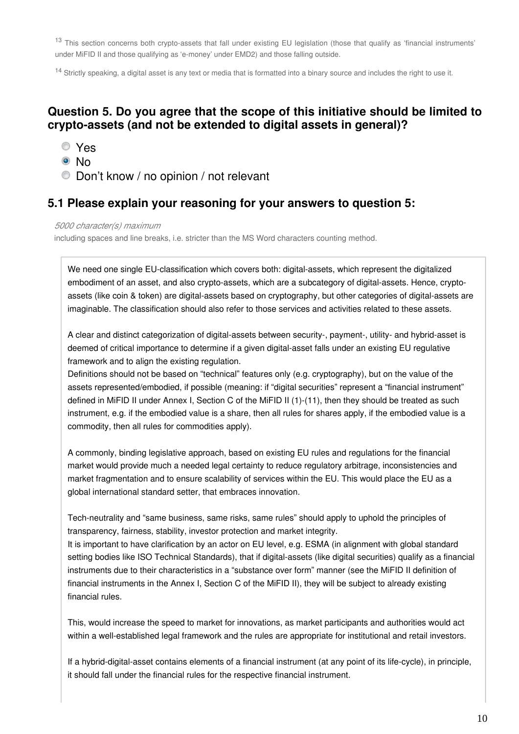<span id="page-9-0"></span><sup>13</sup> This section concerns both crypto-assets that fall under existing EU legislation (those that qualify as 'financial instruments' under MiFID II and those qualifying as 'e-money' under EMD2) and those falling outside.

<span id="page-9-1"></span><sup>14</sup> Strictly speaking, a digital asset is any text or media that is formatted into a binary source and includes the right to use it.

#### **Question 5. Do you agree that the scope of this initiative should be limited to crypto-assets (and not be extended to digital assets in general)?**

- Yes
- © No
- Don't know / no opinion / not relevant

#### **5.1 Please explain your reasoning for your answers to question 5:**

*5000 character(s) maximum*

including spaces and line breaks, i.e. stricter than the MS Word characters counting method.

We need one single EU-classification which covers both: digital-assets, which represent the digitalized embodiment of an asset, and also crypto-assets, which are a subcategory of digital-assets. Hence, cryptoassets (like coin & token) are digital-assets based on cryptography, but other categories of digital-assets are imaginable. The classification should also refer to those services and activities related to these assets.

A clear and distinct categorization of digital-assets between security-, payment-, utility- and hybrid-asset is deemed of critical importance to determine if a given digital-asset falls under an existing EU regulative framework and to align the existing regulation.

Definitions should not be based on "technical" features only (e.g. cryptography), but on the value of the assets represented/embodied, if possible (meaning: if "digital securities" represent a "financial instrument" defined in MiFID II under Annex I, Section C of the MiFID II (1)-(11), then they should be treated as such instrument, e.g. if the embodied value is a share, then all rules for shares apply, if the embodied value is a commodity, then all rules for commodities apply).

A commonly, binding legislative approach, based on existing EU rules and regulations for the financial market would provide much a needed legal certainty to reduce regulatory arbitrage, inconsistencies and market fragmentation and to ensure scalability of services within the EU. This would place the EU as a global international standard setter, that embraces innovation.

Tech-neutrality and "same business, same risks, same rules" should apply to uphold the principles of transparency, fairness, stability, investor protection and market integrity.

It is important to have clarification by an actor on EU level, e.g. ESMA (in alignment with global standard setting bodies like ISO Technical Standards), that if digital-assets (like digital securities) qualify as a financial instruments due to their characteristics in a "substance over form" manner (see the MiFID II definition of financial instruments in the Annex I, Section C of the MiFID II), they will be subject to already existing financial rules.

This, would increase the speed to market for innovations, as market participants and authorities would act within a well-established legal framework and the rules are appropriate for institutional and retail investors.

If a hybrid-digital-asset contains elements of a financial instrument (at any point of its life-cycle), in principle, it should fall under the financial rules for the respective financial instrument.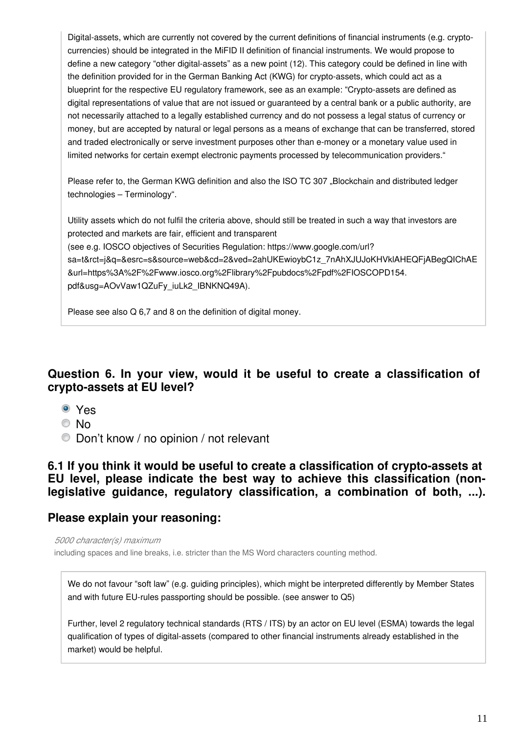Digital-assets, which are currently not covered by the current definitions of financial instruments (e.g. cryptocurrencies) should be integrated in the MiFID II definition of financial instruments. We would propose to define a new category "other digital-assets" as a new point (12). This category could be defined in line with the definition provided for in the German Banking Act (KWG) for crypto-assets, which could act as a blueprint for the respective EU regulatory framework, see as an example: "Crypto-assets are defined as digital representations of value that are not issued or guaranteed by a central bank or a public authority, are not necessarily attached to a legally established currency and do not possess a legal status of currency or money, but are accepted by natural or legal persons as a means of exchange that can be transferred, stored and traded electronically or serve investment purposes other than e-money or a monetary value used in limited networks for certain exempt electronic payments processed by telecommunication providers."

Please refer to, the German KWG definition and also the ISO TC 307 "Blockchain and distributed ledger technologies – Terminology".

Utility assets which do not fulfil the criteria above, should still be treated in such a way that investors are protected and markets are fair, efficient and transparent (see e.g. IOSCO objectives of Securities Regulation: https://www.google.com/url? sa=t&rct=j&q=&esrc=s&source=web&cd=2&ved=2ahUKEwioybC1z\_7nAhXJUJoKHVklAHEQFjABegQlChAE &url=https%3A%2F%2Fwww.iosco.org%2Flibrary%2Fpubdocs%2Fpdf%2FIOSCOPD154. pdf&usg=AOvVaw1QZuFy\_iuLk2\_IBNKNQ49A).

Please see also Q 6,7 and 8 on the definition of digital money.

#### **Question 6. In your view, would it be useful to create a classification of crypto-assets at EU level?**

- Yes
- © No
- Don't know / no opinion / not relevant

#### **6.1 If you think it would be useful to create a classification of crypto-assets at EU level, please indicate the best way to achieve this classification (nonlegislative guidance, regulatory classification, a combination of both, ...).**

#### **Please explain your reasoning:**

*5000 character(s) maximum*

including spaces and line breaks, i.e. stricter than the MS Word characters counting method.

We do not favour "soft law" (e.g. guiding principles), which might be interpreted differently by Member States and with future EU-rules passporting should be possible. (see answer to Q5)

Further, level 2 regulatory technical standards (RTS / ITS) by an actor on EU level (ESMA) towards the legal qualification of types of digital-assets (compared to other financial instruments already established in the market) would be helpful.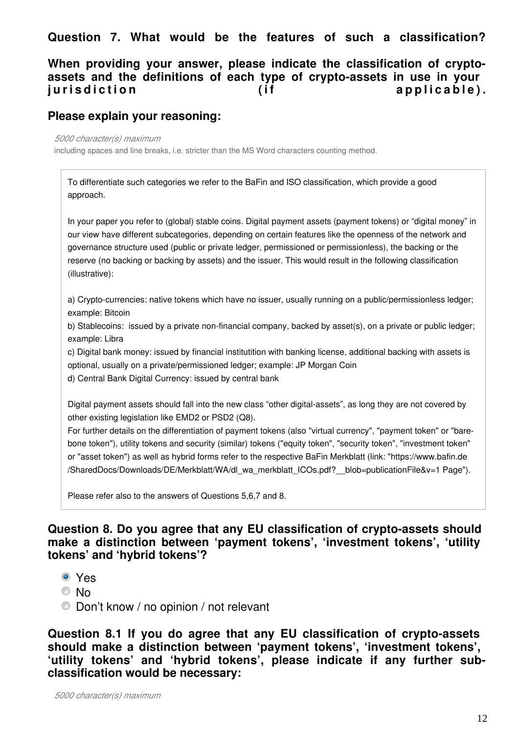### **Question 7. What would be the features of such a classification?**

#### **When providing your answer, please indicate the classification of cryptoassets and the definitions of each type of crypto-assets in use in your**  jurisdiction (if applicable).

#### **Please explain your reasoning:**

*5000 character(s) maximum*

including spaces and line breaks, i.e. stricter than the MS Word characters counting method.

To differentiate such categories we refer to the BaFin and ISO classification, which provide a good approach.

In your paper you refer to (global) stable coins. Digital payment assets (payment tokens) or "digital money" in our view have different subcategories, depending on certain features like the openness of the network and governance structure used (public or private ledger, permissioned or permissionless), the backing or the reserve (no backing or backing by assets) and the issuer. This would result in the following classification (illustrative):

a) Crypto-currencies: native tokens which have no issuer, usually running on a public/permissionless ledger; example: Bitcoin

b) Stablecoins: issued by a private non-financial company, backed by asset(s), on a private or public ledger; example: Libra

c) Digital bank money: issued by financial institutition with banking license, additional backing with assets is optional, usually on a private/permissioned ledger; example: JP Morgan Coin

d) Central Bank Digital Currency: issued by central bank

Digital payment assets should fall into the new class "other digital-assets", as long they are not covered by other existing legislation like EMD2 or PSD2 (Q8).

For further details on the differentiation of payment tokens (also "virtual currency", "payment token" or "barebone token"), utility tokens and security (similar) tokens ("equity token", "security token", "investment token" or "asset token") as well as hybrid forms refer to the respective BaFin Merkblatt (link: "https://www.bafin.de /SharedDocs/Downloads/DE/Merkblatt/WA/dl\_wa\_merkblatt\_ICOs.pdf?\_\_blob=publicationFile&v=1 Page").

Please refer also to the answers of Questions 5,6,7 and 8.

#### **Question 8. Do you agree that any EU classification of crypto-assets should make a distinction between 'payment tokens', 'investment tokens', 'utility tokens' and 'hybrid tokens'?**

- Yes
- © No
- Don't know / no opinion / not relevant

**Question 8.1 If you do agree that any EU classification of crypto-assets should make a distinction between 'payment tokens', 'investment tokens', 'utility tokens' and 'hybrid tokens', please indicate if any further subclassification would be necessary:**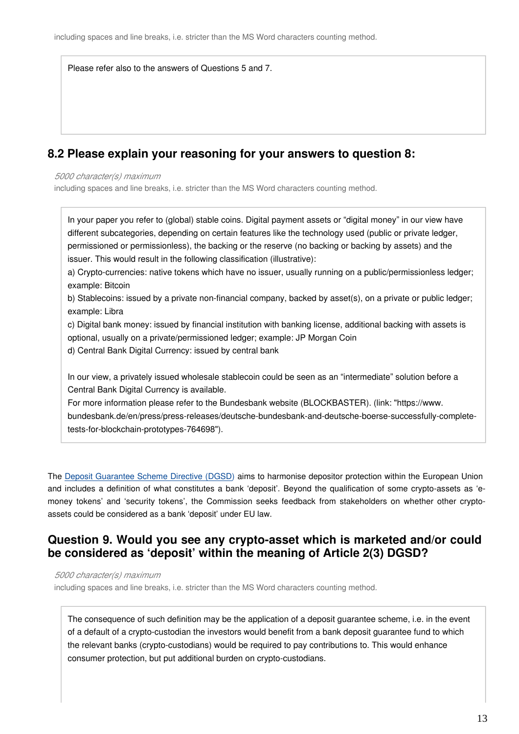Please refer also to the answers of Questions 5 and 7.

#### **8.2 Please explain your reasoning for your answers to question 8:**

*5000 character(s) maximum*

including spaces and line breaks, i.e. stricter than the MS Word characters counting method.

In your paper you refer to (global) stable coins. Digital payment assets or "digital money" in our view have different subcategories, depending on certain features like the technology used (public or private ledger, permissioned or permissionless), the backing or the reserve (no backing or backing by assets) and the issuer. This would result in the following classification (illustrative):

a) Crypto-currencies: native tokens which have no issuer, usually running on a public/permissionless ledger; example: Bitcoin

b) Stablecoins: issued by a private non-financial company, backed by asset(s), on a private or public ledger; example: Libra

c) Digital bank money: issued by financial institution with banking license, additional backing with assets is optional, usually on a private/permissioned ledger; example: JP Morgan Coin

d) Central Bank Digital Currency: issued by central bank

In our view, a privately issued wholesale stablecoin could be seen as an "intermediate" solution before a Central Bank Digital Currency is available.

For more information please refer to the Bundesbank website (BLOCKBASTER). (link: "https://www. bundesbank.de/en/press/press-releases/deutsche-bundesbank-and-deutsche-boerse-successfully-completetests-for-blockchain-prototypes-764698").

The [Deposit Guarantee Scheme Directive \(DGSD\)](https://eur-lex.europa.eu/legal-content/EN/TXT/?uri=CELEX:32014L0049) aims to harmonise depositor protection within the European Union and includes a definition of what constitutes a bank 'deposit'. Beyond the qualification of some crypto-assets as 'emoney tokens' and 'security tokens', the Commission seeks feedback from stakeholders on whether other cryptoassets could be considered as a bank 'deposit' under EU law.

#### **Question 9. Would you see any crypto-asset which is marketed and/or could be considered as 'deposit' within the meaning of Article 2(3) DGSD?**

*5000 character(s) maximum*

including spaces and line breaks, i.e. stricter than the MS Word characters counting method.

The consequence of such definition may be the application of a deposit guarantee scheme, i.e. in the event of a default of a crypto-custodian the investors would benefit from a bank deposit guarantee fund to which the relevant banks (crypto-custodians) would be required to pay contributions to. This would enhance consumer protection, but put additional burden on crypto-custodians.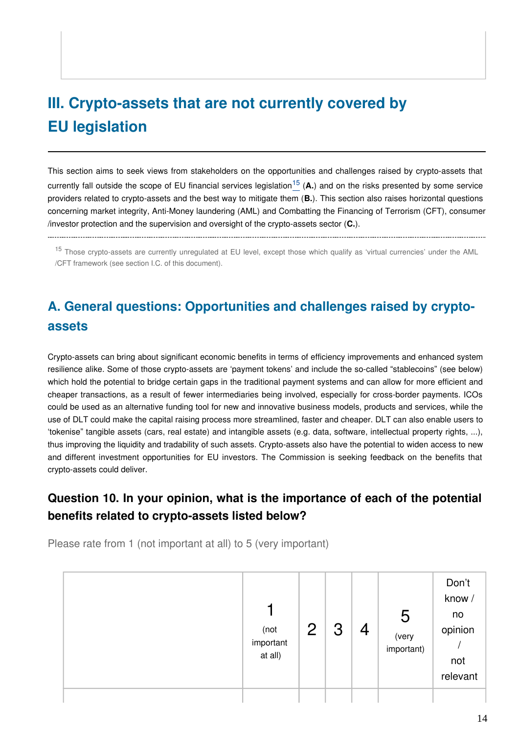# **III. Crypto-assets that are not currently covered by EU legislation**

This section aims to seek views from stakeholders on the opportunities and challenges raised by crypto-assets that curre[n](#page-13-0)tly fall outside the scope of EU financial services legislation<sup>15</sup> (A.) and on the risks presented by some service providers related to crypto-assets and the best way to mitigate them (**B.**). This section also raises horizontal questions concerning market integrity, Anti-Money laundering (AML) and Combatting the Financing of Terrorism (CFT), consumer /investor protection and the supervision and oversight of the crypto-assets sector (**C.**).

<span id="page-13-0"></span>

<sup>15</sup> Those crypto-assets are currently unregulated at EU level, except those which qualify as 'virtual currencies' under the AML /CFT framework (see section I.C. of this document).

## **A. General questions: Opportunities and challenges raised by cryptoassets**

Crypto-assets can bring about significant economic benefits in terms of efficiency improvements and enhanced system resilience alike. Some of those crypto-assets are 'payment tokens' and include the so-called "stablecoins" (see below) which hold the potential to bridge certain gaps in the traditional payment systems and can allow for more efficient and cheaper transactions, as a result of fewer intermediaries being involved, especially for cross-border payments. ICOs could be used as an alternative funding tool for new and innovative business models, products and services, while the use of DLT could make the capital raising process more streamlined, faster and cheaper. DLT can also enable users to 'tokenise" tangible assets (cars, real estate) and intangible assets (e.g. data, software, intellectual property rights, ...), thus improving the liquidity and tradability of such assets. Crypto-assets also have the potential to widen access to new and different investment opportunities for EU investors. The Commission is seeking feedback on the benefits that crypto-assets could deliver.

### **Question 10. In your opinion, what is the importance of each of the potential benefits related to crypto-assets listed below?**

Please rate from 1 (not important at all) to 5 (very important)

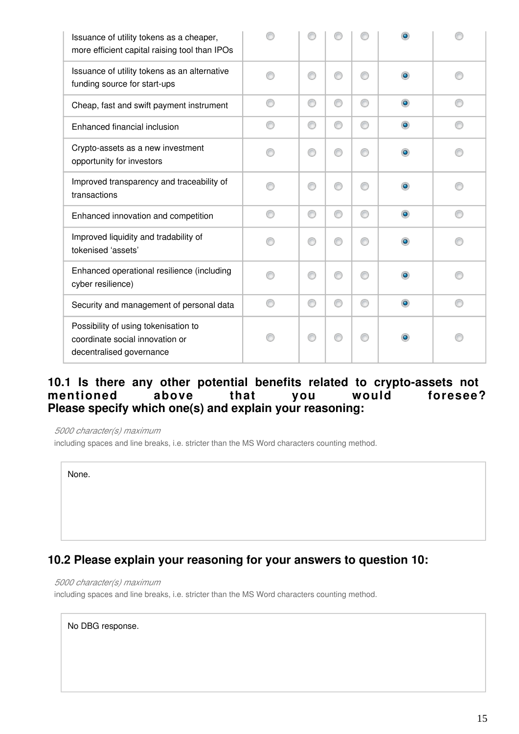| Issuance of utility tokens as a cheaper,<br>more efficient capital raising tool than IPOs           |   |   |   |   |           |  |
|-----------------------------------------------------------------------------------------------------|---|---|---|---|-----------|--|
| Issuance of utility tokens as an alternative<br>funding source for start-ups                        |   | ⊙ |   | ∩ | $\bullet$ |  |
| Cheap, fast and swift payment instrument                                                            | C | ⊙ | ⊙ | ∩ | $\bullet$ |  |
| Enhanced financial inclusion                                                                        | C | ⊙ | ◎ | ∩ | $\bullet$ |  |
| Crypto-assets as a new investment<br>opportunity for investors                                      |   | ⋒ |   |   | ۰         |  |
| Improved transparency and traceability of<br>transactions                                           | ⋒ | ⊙ | ⋒ | ⋒ | ۰         |  |
| Enhanced innovation and competition                                                                 | ⋒ | ⊙ | ∩ | ∩ | $\bullet$ |  |
| Improved liquidity and tradability of<br>tokenised 'assets'                                         |   | ⋒ |   |   |           |  |
| Enhanced operational resilience (including<br>cyber resilience)                                     | A | ⊙ | ⋒ | ⋒ | ۰         |  |
| Security and management of personal data                                                            | ⋒ | ⊙ | ∩ | ∩ | $\bullet$ |  |
| Possibility of using tokenisation to<br>coordinate social innovation or<br>decentralised governance |   | ⋒ |   |   |           |  |

#### **10.1 Is there any other potential benefits related to crypto-assets not**  mentioned above that you would **Please specify which one(s) and explain your reasoning:**

*5000 character(s) maximum*

including spaces and line breaks, i.e. stricter than the MS Word characters counting method.

None.

#### **10.2 Please explain your reasoning for your answers to question 10:**

*5000 character(s) maximum*

including spaces and line breaks, i.e. stricter than the MS Word characters counting method.

No DBG response.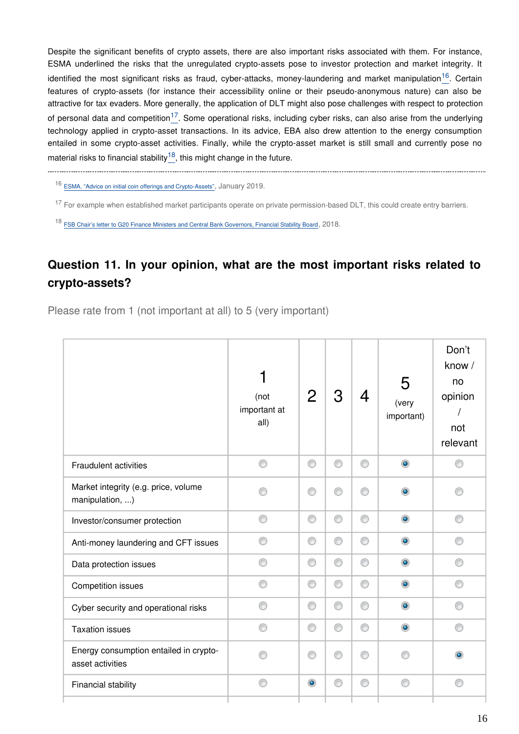Despite the significant benefits of crypto assets, there are also important risks associated with them. For instance, ESMA underlined the risks that the unregulated crypto-assets pose to investor protection and market integrity. It identified the most significant risks as fraud, cyber-attacks, money-laundering and market manipulation<sup>[16](#page-15-0)</sup>. Certain features of crypto-assets (for instance their accessibility online or their pseudo-anonymous nature) can also be attractive for tax evaders. More generally, the application of DLT might also pose challenges with respect to protection of personal data and competition<sup>[17](#page-15-1)</sup>. Some operational risks, including cyber risks, can also arise from the underlying technology applied in crypto-asset transactions. In its advice, EBA also drew attention to the energy consumption entailed in some crypto-asset activities. Finally, while the crypto-asset market is still small and currently pose no material risks to financial stability  $18$ , this might change in the future.

<span id="page-15-0"></span>

<sup>16</sup> [ESMA, "Advice on initial coin offerings and Crypto-Assets"](https://www.esma.europa.eu/sites/default/files/library/esma50-157-1391_crypto_advice.pdf), January 2019.

<span id="page-15-1"></span><sup>17</sup> For example when established market participants operate on private permission-based DLT, this could create entry barriers.

<span id="page-15-2"></span><sup>18</sup> [FSB Chair's letter to G20 Finance Ministers and Central Bank Governors, Financial Stability Board](https://www.fsb.org/wp-content/uploads/P180318.pdf), 2018.

### **Question 11. In your opinion, what are the most important risks related to crypto-assets?**

Please rate from 1 (not important at all) to 5 (very important)

|                                                            | (not<br>important at<br>all) | $\overline{2}$ | 3 | 4 | 5<br>(very<br>important) | Don't<br>know /<br>no<br>opinion<br>not<br>relevant |
|------------------------------------------------------------|------------------------------|----------------|---|---|--------------------------|-----------------------------------------------------|
| <b>Fraudulent activities</b>                               | ⊙                            | ⊙              | ⊙ | ⊙ | $\bullet$                |                                                     |
| Market integrity (e.g. price, volume<br>manipulation, )    |                              | ⊙              | ⊙ | ⋒ | $\bullet$                |                                                     |
| Investor/consumer protection                               | ∩                            | 0              | 0 | ⊙ | $\bullet$                | ⊙                                                   |
| Anti-money laundering and CFT issues                       |                              | 0              | 0 | ⊙ | $\bullet$                |                                                     |
| Data protection issues                                     | ∩                            | 0              | 0 | ⊙ | $\circledcirc$           |                                                     |
| Competition issues                                         | ⊙                            | ◉              | 0 | 0 | $\bullet$                | ∩                                                   |
| Cyber security and operational risks                       | ∩                            | 0              | 0 | ⊙ | $\bullet$                | ⊙                                                   |
| <b>Taxation issues</b>                                     | ∩                            | ⊙              | ⊙ | ⊙ | $\bullet$                | ⋒                                                   |
| Energy consumption entailed in crypto-<br>asset activities |                              | ⊙              | O | ⋒ |                          | $\bullet$                                           |
| Financial stability                                        | ⋒                            | $\bullet$      | ⊙ | ⊙ | ⋒                        | ⊙                                                   |
|                                                            |                              |                |   |   |                          |                                                     |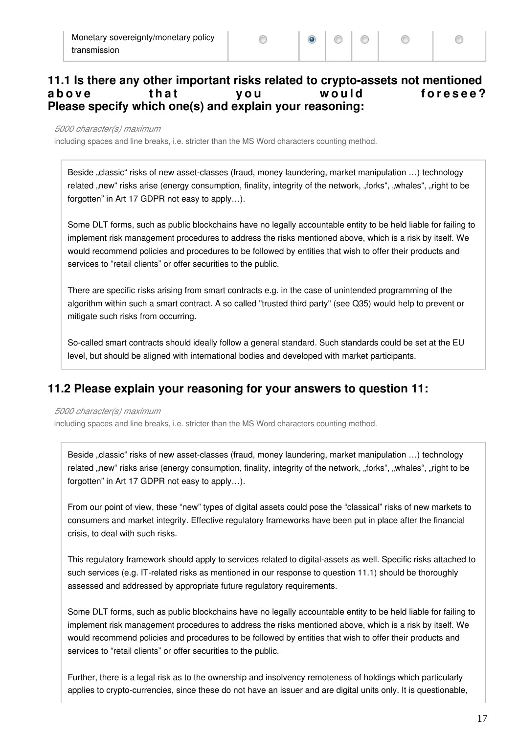#### **11.1 Is there any other important risks related to crypto-assets not mentioned**  above that you would foresee? **Please specify which one(s) and explain your reasoning:**

⊙

*5000 character(s) maximum*

including spaces and line breaks, i.e. stricter than the MS Word characters counting method.

Beside "classic" risks of new asset-classes (fraud, money laundering, market manipulation ...) technology related "new" risks arise (energy consumption, finality, integrity of the network, "forks", "whales", "right to be forgotten" in Art 17 GDPR not easy to apply…).

Some DLT forms, such as public blockchains have no legally accountable entity to be held liable for failing to implement risk management procedures to address the risks mentioned above, which is a risk by itself. We would recommend policies and procedures to be followed by entities that wish to offer their products and services to "retail clients" or offer securities to the public.

There are specific risks arising from smart contracts e.g. in the case of unintended programming of the algorithm within such a smart contract. A so called "trusted third party" (see Q35) would help to prevent or mitigate such risks from occurring.

So-called smart contracts should ideally follow a general standard. Such standards could be set at the EU level, but should be aligned with international bodies and developed with market participants.

#### **11.2 Please explain your reasoning for your answers to question 11:**

#### *5000 character(s) maximum*

including spaces and line breaks, i.e. stricter than the MS Word characters counting method.

Beside "classic" risks of new asset-classes (fraud, money laundering, market manipulation ...) technology related "new" risks arise (energy consumption, finality, integrity of the network, "forks", "whales", "right to be forgotten" in Art 17 GDPR not easy to apply…).

From our point of view, these "new" types of digital assets could pose the "classical" risks of new markets to consumers and market integrity. Effective regulatory frameworks have been put in place after the financial crisis, to deal with such risks.

This regulatory framework should apply to services related to digital-assets as well. Specific risks attached to such services (e.g. IT-related risks as mentioned in our response to question 11.1) should be thoroughly assessed and addressed by appropriate future regulatory requirements.

Some DLT forms, such as public blockchains have no legally accountable entity to be held liable for failing to implement risk management procedures to address the risks mentioned above, which is a risk by itself. We would recommend policies and procedures to be followed by entities that wish to offer their products and services to "retail clients" or offer securities to the public.

Further, there is a legal risk as to the ownership and insolvency remoteness of holdings which particularly applies to crypto-currencies, since these do not have an issuer and are digital units only. It is questionable,

⊙

⊙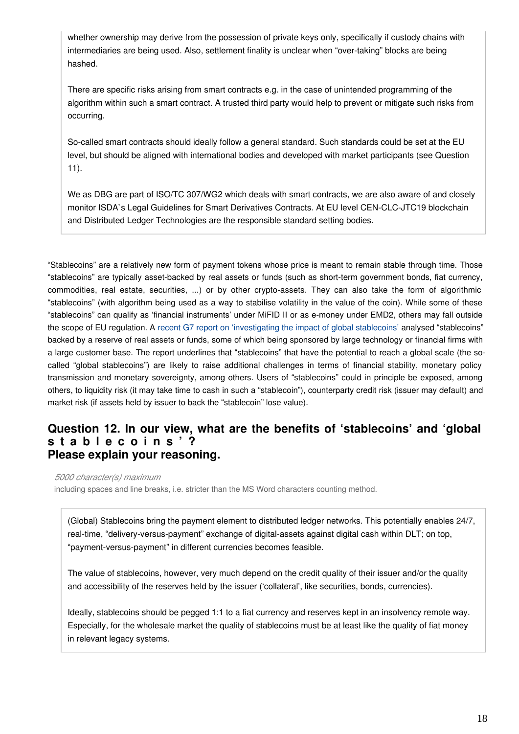whether ownership may derive from the possession of private keys only, specifically if custody chains with intermediaries are being used. Also, settlement finality is unclear when "over-taking" blocks are being hashed.

There are specific risks arising from smart contracts e.g. in the case of unintended programming of the algorithm within such a smart contract. A trusted third party would help to prevent or mitigate such risks from occurring.

So-called smart contracts should ideally follow a general standard. Such standards could be set at the EU level, but should be aligned with international bodies and developed with market participants (see Question 11).

We as DBG are part of ISO/TC 307/WG2 which deals with smart contracts, we are also aware of and closely monitor ISDA`s Legal Guidelines for Smart Derivatives Contracts. At EU level CEN-CLC-JTC19 blockchain and Distributed Ledger Technologies are the responsible standard setting bodies.

"Stablecoins" are a relatively new form of payment tokens whose price is meant to remain stable through time. Those "stablecoins" are typically asset-backed by real assets or funds (such as short-term government bonds, fiat currency, commodities, real estate, securities, ...) or by other crypto-assets. They can also take the form of algorithmic "stablecoins" (with algorithm being used as a way to stabilise volatility in the value of the coin). While some of these "stablecoins" can qualify as 'financial instruments' under MiFID II or as e-money under EMD2, others may fall outside the scope of EU regulation. A [recent G7 report on 'investigating the impact of global stablecoins'](https://www.bis.org/cpmi/publ/d187.pdf) analysed "stablecoins" backed by a reserve of real assets or funds, some of which being sponsored by large technology or financial firms with a large customer base. The report underlines that "stablecoins" that have the potential to reach a global scale (the socalled "global stablecoins") are likely to raise additional challenges in terms of financial stability, monetary policy transmission and monetary sovereignty, among others. Users of "stablecoins" could in principle be exposed, among others, to liquidity risk (it may take time to cash in such a "stablecoin"), counterparty credit risk (issuer may default) and market risk (if assets held by issuer to back the "stablecoin" lose value).

#### **Question 12. In our view, what are the benefits of 'stablecoins' and 'global s t a b l e c o i n s ' ? Please explain your reasoning.**

*5000 character(s) maximum*

including spaces and line breaks, i.e. stricter than the MS Word characters counting method.

(Global) Stablecoins bring the payment element to distributed ledger networks. This potentially enables 24/7, real-time, "delivery-versus-payment" exchange of digital-assets against digital cash within DLT; on top, "payment-versus-payment" in different currencies becomes feasible.

The value of stablecoins, however, very much depend on the credit quality of their issuer and/or the quality and accessibility of the reserves held by the issuer ('collateral', like securities, bonds, currencies).

Ideally, stablecoins should be pegged 1:1 to a fiat currency and reserves kept in an insolvency remote way. Especially, for the wholesale market the quality of stablecoins must be at least like the quality of fiat money in relevant legacy systems.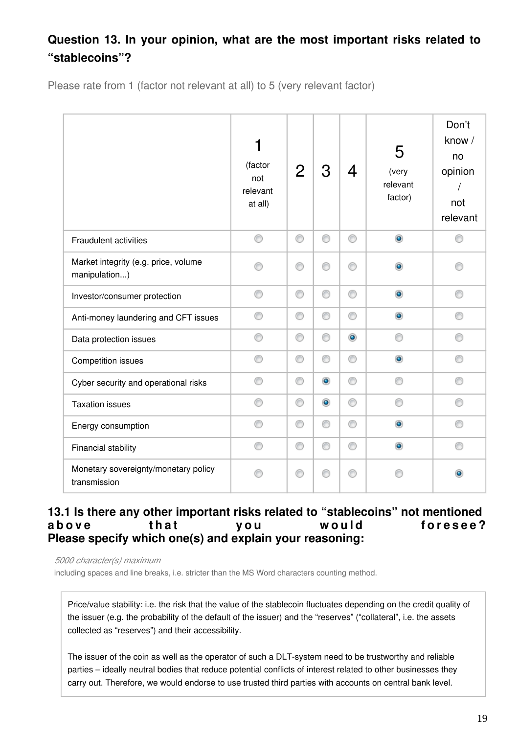### **Question 13. In your opinion, what are the most important risks related to "stablecoins"?**

Please rate from 1 (factor not relevant at all) to 5 (very relevant factor)

|                                                       | 1<br>(factor<br>not<br>relevant<br>at all) | $\overline{2}$ | З              | 4         | 5<br>(very<br>relevant<br>factor) | Don't<br>know /<br>no<br>opinion<br>not<br>relevant |
|-------------------------------------------------------|--------------------------------------------|----------------|----------------|-----------|-----------------------------------|-----------------------------------------------------|
| <b>Fraudulent activities</b>                          | ⊙                                          | 0              | ⊙              | ⊙         | $\bullet$                         | ◎                                                   |
| Market integrity (e.g. price, volume<br>manipulation) |                                            | ⊙              | ∩              | ⋒         | ۰                                 |                                                     |
| Investor/consumer protection                          | ⊙                                          | 0              | ⊙              | ⊙         | $\bullet$                         |                                                     |
| Anti-money laundering and CFT issues                  | ⊙                                          | 0              | 0              | ⊙         | $\bullet$                         |                                                     |
| Data protection issues                                | ⊙                                          | ⊙              | ⊙              | $\bullet$ | ⊙                                 | ⊙                                                   |
| <b>Competition issues</b>                             | ⊙                                          | ⊙              | 0              | ⊙         | $\circledcirc$                    | ∩                                                   |
| Cyber security and operational risks                  | ⊙                                          | ⊙              | $\circledcirc$ | ⊙         | ⊙                                 | ⋒                                                   |
| <b>Taxation issues</b>                                | ⊙                                          | ⊙              | $\bullet$      | ⊙         | ∩                                 | ⋒                                                   |
| Energy consumption                                    | ∩                                          | 0              | 0              | 0         | $\bullet$                         |                                                     |
| Financial stability                                   | ⊙                                          | 0              | 0              | 0         | $\circledcirc$                    |                                                     |
| Monetary sovereignty/monetary policy<br>transmission  | ⋒                                          | ⊙              | ⋒              | ∩         |                                   |                                                     |

#### **13.1 Is there any other important risks related to "stablecoins" not mentioned**  above that you would foresee? **Please specify which one(s) and explain your reasoning:**

*5000 character(s) maximum*

including spaces and line breaks, i.e. stricter than the MS Word characters counting method.

Price/value stability: i.e. the risk that the value of the stablecoin fluctuates depending on the credit quality of the issuer (e.g. the probability of the default of the issuer) and the "reserves" ("collateral", i.e. the assets collected as "reserves") and their accessibility.

The issuer of the coin as well as the operator of such a DLT-system need to be trustworthy and reliable parties – ideally neutral bodies that reduce potential conflicts of interest related to other businesses they carry out. Therefore, we would endorse to use trusted third parties with accounts on central bank level.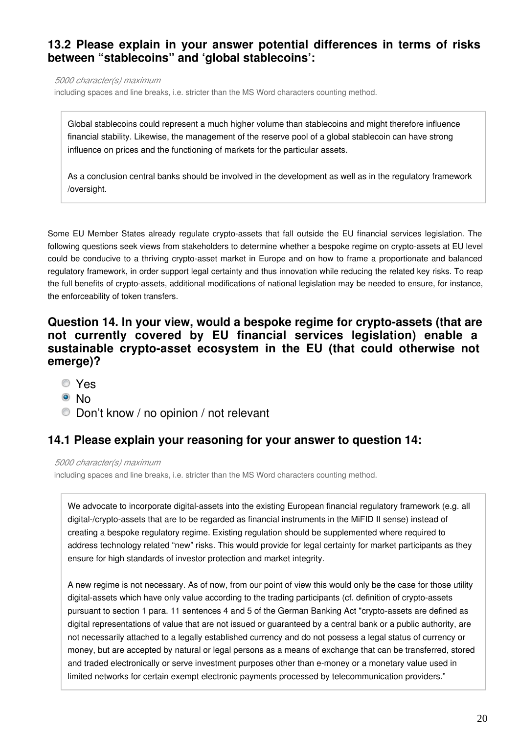#### **13.2 Please explain in your answer potential differences in terms of risks between "stablecoins" and 'global stablecoins':**

*5000 character(s) maximum*

including spaces and line breaks, i.e. stricter than the MS Word characters counting method.

Global stablecoins could represent a much higher volume than stablecoins and might therefore influence financial stability. Likewise, the management of the reserve pool of a global stablecoin can have strong influence on prices and the functioning of markets for the particular assets.

As a conclusion central banks should be involved in the development as well as in the regulatory framework /oversight.

Some EU Member States already regulate crypto-assets that fall outside the EU financial services legislation. The following questions seek views from stakeholders to determine whether a bespoke regime on crypto-assets at EU level could be conducive to a thriving crypto-asset market in Europe and on how to frame a proportionate and balanced regulatory framework, in order support legal certainty and thus innovation while reducing the related key risks. To reap the full benefits of crypto-assets, additional modifications of national legislation may be needed to ensure, for instance, the enforceability of token transfers.

#### **Question 14. In your view, would a bespoke regime for crypto-assets (that are not currently covered by EU financial services legislation) enable a sustainable crypto-asset ecosystem in the EU (that could otherwise not emerge)?**

- Yes
- <sup>O</sup>No
- Don't know / no opinion / not relevant

#### **14.1 Please explain your reasoning for your answer to question 14:**

*5000 character(s) maximum*

including spaces and line breaks, i.e. stricter than the MS Word characters counting method.

We advocate to incorporate digital-assets into the existing European financial regulatory framework (e.g. all digital-/crypto-assets that are to be regarded as financial instruments in the MiFID II sense) instead of creating a bespoke regulatory regime. Existing regulation should be supplemented where required to address technology related "new" risks. This would provide for legal certainty for market participants as they ensure for high standards of investor protection and market integrity.

A new regime is not necessary. As of now, from our point of view this would only be the case for those utility digital-assets which have only value according to the trading participants (cf. definition of crypto-assets pursuant to section 1 para. 11 sentences 4 and 5 of the German Banking Act "crypto-assets are defined as digital representations of value that are not issued or guaranteed by a central bank or a public authority, are not necessarily attached to a legally established currency and do not possess a legal status of currency or money, but are accepted by natural or legal persons as a means of exchange that can be transferred, stored and traded electronically or serve investment purposes other than e-money or a monetary value used in limited networks for certain exempt electronic payments processed by telecommunication providers."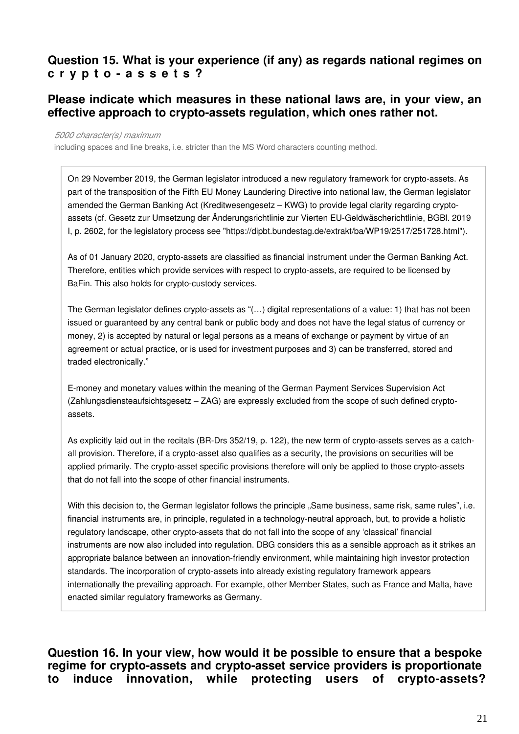#### **Question 15. What is your experience (if any) as regards national regimes on c r y p t o - a s s e t s ?**

#### **Please indicate which measures in these national laws are, in your view, an effective approach to crypto-assets regulation, which ones rather not.**

#### *5000 character(s) maximum*

including spaces and line breaks, i.e. stricter than the MS Word characters counting method.

On 29 November 2019, the German legislator introduced a new regulatory framework for crypto-assets. As part of the transposition of the Fifth EU Money Laundering Directive into national law, the German legislator amended the German Banking Act (Kreditwesengesetz – KWG) to provide legal clarity regarding cryptoassets (cf. Gesetz zur Umsetzung der Änderungsrichtlinie zur Vierten EU-Geldwäscherichtlinie, BGBl. 2019 I, p. 2602, for the legislatory process see "https://dipbt.bundestag.de/extrakt/ba/WP19/2517/251728.html").

As of 01 January 2020, crypto-assets are classified as financial instrument under the German Banking Act. Therefore, entities which provide services with respect to crypto-assets, are required to be licensed by BaFin. This also holds for crypto-custody services.

The German legislator defines crypto-assets as "(…) digital representations of a value: 1) that has not been issued or guaranteed by any central bank or public body and does not have the legal status of currency or money, 2) is accepted by natural or legal persons as a means of exchange or payment by virtue of an agreement or actual practice, or is used for investment purposes and 3) can be transferred, stored and traded electronically."

E-money and monetary values within the meaning of the German Payment Services Supervision Act (Zahlungsdiensteaufsichtsgesetz – ZAG) are expressly excluded from the scope of such defined cryptoassets.

As explicitly laid out in the recitals (BR-Drs 352/19, p. 122), the new term of crypto-assets serves as a catchall provision. Therefore, if a crypto-asset also qualifies as a security, the provisions on securities will be applied primarily. The crypto-asset specific provisions therefore will only be applied to those crypto-assets that do not fall into the scope of other financial instruments.

With this decision to, the German legislator follows the principle "Same business, same risk, same rules", i.e. financial instruments are, in principle, regulated in a technology-neutral approach, but, to provide a holistic regulatory landscape, other crypto-assets that do not fall into the scope of any 'classical' financial instruments are now also included into regulation. DBG considers this as a sensible approach as it strikes an appropriate balance between an innovation-friendly environment, while maintaining high investor protection standards. The incorporation of crypto-assets into already existing regulatory framework appears internationally the prevailing approach. For example, other Member States, such as France and Malta, have enacted similar regulatory frameworks as Germany.

**Question 16. In your view, how would it be possible to ensure that a bespoke regime for crypto-assets and crypto-asset service providers is proportionate to induce innovation, while protecting users of crypto-assets?**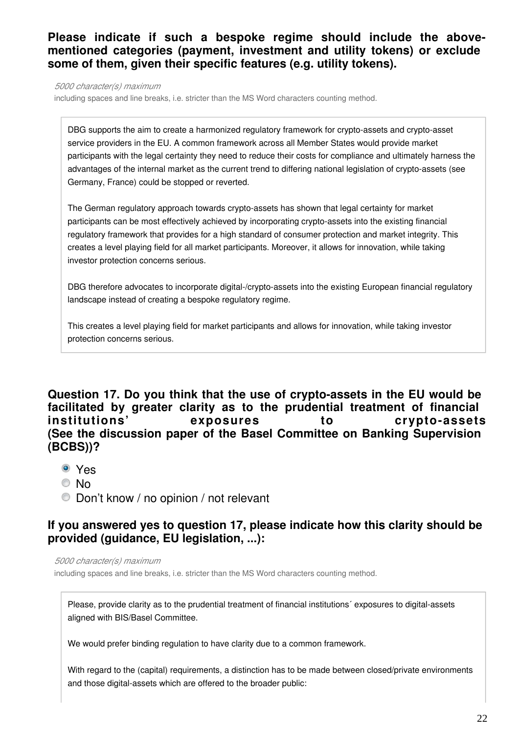#### **Please indicate if such a bespoke regime should include the abovementioned categories (payment, investment and utility tokens) or exclude some of them, given their specific features (e.g. utility tokens).**

*5000 character(s) maximum*

including spaces and line breaks, i.e. stricter than the MS Word characters counting method.

DBG supports the aim to create a harmonized regulatory framework for crypto-assets and crypto-asset service providers in the EU. A common framework across all Member States would provide market participants with the legal certainty they need to reduce their costs for compliance and ultimately harness the advantages of the internal market as the current trend to differing national legislation of crypto-assets (see Germany, France) could be stopped or reverted.

The German regulatory approach towards crypto-assets has shown that legal certainty for market participants can be most effectively achieved by incorporating crypto-assets into the existing financial regulatory framework that provides for a high standard of consumer protection and market integrity. This creates a level playing field for all market participants. Moreover, it allows for innovation, while taking investor protection concerns serious.

DBG therefore advocates to incorporate digital-/crypto-assets into the existing European financial regulatory landscape instead of creating a bespoke regulatory regime.

This creates a level playing field for market participants and allows for innovation, while taking investor protection concerns serious.

#### **Question 17. Do you think that the use of crypto-assets in the EU would be facilitated by greater clarity as to the prudential treatment of financial institutions' exposures to crypto-assets (See the discussion paper of the Basel Committee on Banking Supervision (BCBS))?**

- Yes
- © No
- Don't know / no opinion / not relevant

#### **If you answered yes to question 17, please indicate how this clarity should be provided (guidance, EU legislation, ...):**

*5000 character(s) maximum*

including spaces and line breaks, i.e. stricter than the MS Word characters counting method.

Please, provide clarity as to the prudential treatment of financial institutions´ exposures to digital-assets aligned with BIS/Basel Committee.

We would prefer binding regulation to have clarity due to a common framework.

With regard to the (capital) requirements, a distinction has to be made between closed/private environments and those digital-assets which are offered to the broader public: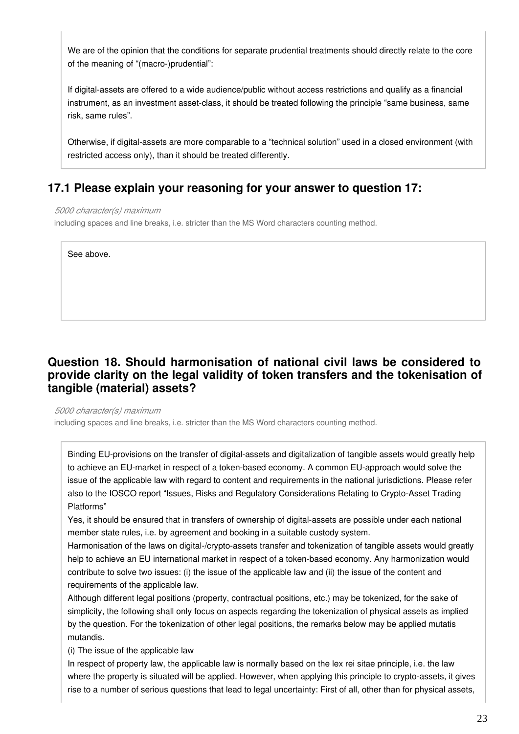We are of the opinion that the conditions for separate prudential treatments should directly relate to the core of the meaning of "(macro-)prudential":

If digital-assets are offered to a wide audience/public without access restrictions and qualify as a financial instrument, as an investment asset-class, it should be treated following the principle "same business, same risk, same rules".

Otherwise, if digital-assets are more comparable to a "technical solution" used in a closed environment (with restricted access only), than it should be treated differently.

#### **17.1 Please explain your reasoning for your answer to question 17:**

#### *5000 character(s) maximum*

including spaces and line breaks, i.e. stricter than the MS Word characters counting method.

See above.

#### **Question 18. Should harmonisation of national civil laws be considered to provide clarity on the legal validity of token transfers and the tokenisation of tangible (material) assets?**

*5000 character(s) maximum*

including spaces and line breaks, i.e. stricter than the MS Word characters counting method.

Binding EU-provisions on the transfer of digital-assets and digitalization of tangible assets would greatly help to achieve an EU-market in respect of a token-based economy. A common EU-approach would solve the issue of the applicable law with regard to content and requirements in the national jurisdictions. Please refer also to the IOSCO report "Issues, Risks and Regulatory Considerations Relating to Crypto-Asset Trading Platforms"

Yes, it should be ensured that in transfers of ownership of digital-assets are possible under each national member state rules, i.e. by agreement and booking in a suitable custody system.

Harmonisation of the laws on digital-/crypto-assets transfer and tokenization of tangible assets would greatly help to achieve an EU international market in respect of a token-based economy. Any harmonization would contribute to solve two issues: (i) the issue of the applicable law and (ii) the issue of the content and requirements of the applicable law.

Although different legal positions (property, contractual positions, etc.) may be tokenized, for the sake of simplicity, the following shall only focus on aspects regarding the tokenization of physical assets as implied by the question. For the tokenization of other legal positions, the remarks below may be applied mutatis mutandis.

(i) The issue of the applicable law

In respect of property law, the applicable law is normally based on the lex rei sitae principle, i.e. the law where the property is situated will be applied. However, when applying this principle to crypto-assets, it gives rise to a number of serious questions that lead to legal uncertainty: First of all, other than for physical assets,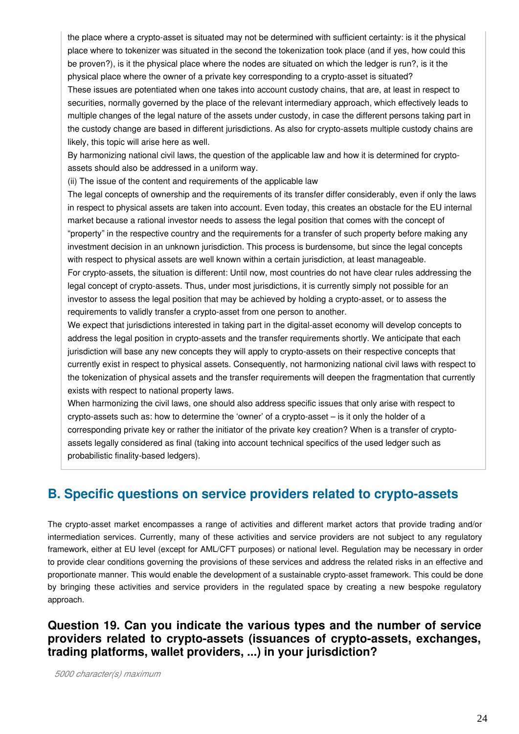the place where a crypto-asset is situated may not be determined with sufficient certainty: is it the physical place where to tokenizer was situated in the second the tokenization took place (and if yes, how could this be proven?), is it the physical place where the nodes are situated on which the ledger is run?, is it the physical place where the owner of a private key corresponding to a crypto-asset is situated?

These issues are potentiated when one takes into account custody chains, that are, at least in respect to securities, normally governed by the place of the relevant intermediary approach, which effectively leads to multiple changes of the legal nature of the assets under custody, in case the different persons taking part in the custody change are based in different jurisdictions. As also for crypto-assets multiple custody chains are likely, this topic will arise here as well.

By harmonizing national civil laws, the question of the applicable law and how it is determined for cryptoassets should also be addressed in a uniform way.

(ii) The issue of the content and requirements of the applicable law

The legal concepts of ownership and the requirements of its transfer differ considerably, even if only the laws in respect to physical assets are taken into account. Even today, this creates an obstacle for the EU internal market because a rational investor needs to assess the legal position that comes with the concept of "property" in the respective country and the requirements for a transfer of such property before making any investment decision in an unknown jurisdiction. This process is burdensome, but since the legal concepts with respect to physical assets are well known within a certain jurisdiction, at least manageable. For crypto-assets, the situation is different: Until now, most countries do not have clear rules addressing the legal concept of crypto-assets. Thus, under most jurisdictions, it is currently simply not possible for an investor to assess the legal position that may be achieved by holding a crypto-asset, or to assess the requirements to validly transfer a crypto-asset from one person to another.

We expect that jurisdictions interested in taking part in the digital-asset economy will develop concepts to address the legal position in crypto-assets and the transfer requirements shortly. We anticipate that each jurisdiction will base any new concepts they will apply to crypto-assets on their respective concepts that currently exist in respect to physical assets. Consequently, not harmonizing national civil laws with respect to the tokenization of physical assets and the transfer requirements will deepen the fragmentation that currently exists with respect to national property laws.

When harmonizing the civil laws, one should also address specific issues that only arise with respect to crypto-assets such as: how to determine the 'owner' of a crypto-asset – is it only the holder of a corresponding private key or rather the initiator of the private key creation? When is a transfer of cryptoassets legally considered as final (taking into account technical specifics of the used ledger such as probabilistic finality-based ledgers).

## **B. Specific questions on service providers related to crypto-assets**

The crypto-asset market encompasses a range of activities and different market actors that provide trading and/or intermediation services. Currently, many of these activities and service providers are not subject to any regulatory framework, either at EU level (except for AML/CFT purposes) or national level. Regulation may be necessary in order to provide clear conditions governing the provisions of these services and address the related risks in an effective and proportionate manner. This would enable the development of a sustainable crypto-asset framework. This could be done by bringing these activities and service providers in the regulated space by creating a new bespoke regulatory approach.

#### **Question 19. Can you indicate the various types and the number of service providers related to crypto-assets (issuances of crypto-assets, exchanges, trading platforms, wallet providers, ...) in your jurisdiction?**

*5000 character(s) maximum*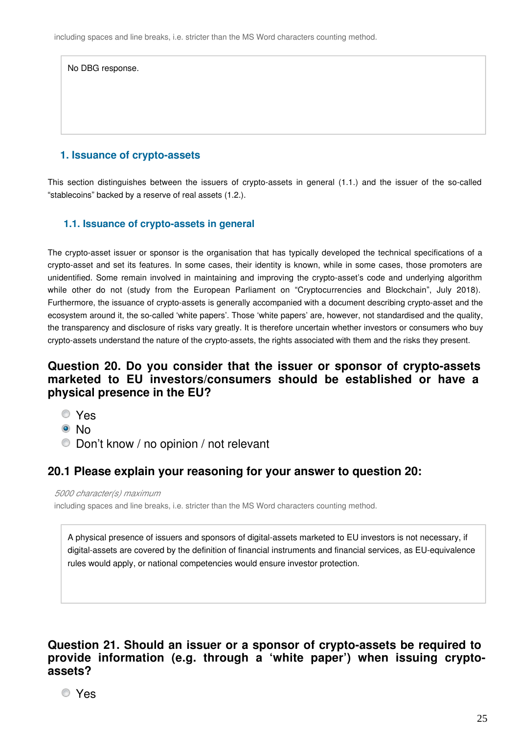| No DBG response. |  |  |
|------------------|--|--|
|                  |  |  |
|                  |  |  |
|                  |  |  |

#### **1. Issuance of crypto-assets**

This section distinguishes between the issuers of crypto-assets in general (1.1.) and the issuer of the so-called "stablecoins" backed by a reserve of real assets (1.2.).

#### **1.1. Issuance of crypto-assets in general**

The crypto-asset issuer or sponsor is the organisation that has typically developed the technical specifications of a crypto-asset and set its features. In some cases, their identity is known, while in some cases, those promoters are unidentified. Some remain involved in maintaining and improving the crypto-asset's code and underlying algorithm while other do not (study from the European Parliament on "Cryptocurrencies and Blockchain", July 2018). Furthermore, the issuance of crypto-assets is generally accompanied with a document describing crypto-asset and the ecosystem around it, the so-called 'white papers'. Those 'white papers' are, however, not standardised and the quality, the transparency and disclosure of risks vary greatly. It is therefore uncertain whether investors or consumers who buy crypto-assets understand the nature of the crypto-assets, the rights associated with them and the risks they present.

#### **Question 20. Do you consider that the issuer or sponsor of crypto-assets marketed to EU investors/consumers should be established or have a physical presence in the EU?**

- Yes
- ® No
- Don't know / no opinion / not relevant

#### **20.1 Please explain your reasoning for your answer to question 20:**

*5000 character(s) maximum*

including spaces and line breaks, i.e. stricter than the MS Word characters counting method.

A physical presence of issuers and sponsors of digital-assets marketed to EU investors is not necessary, if digital-assets are covered by the definition of financial instruments and financial services, as EU-equivalence rules would apply, or national competencies would ensure investor protection.

**Question 21. Should an issuer or a sponsor of crypto-assets be required to provide information (e.g. through a 'white paper') when issuing cryptoassets?**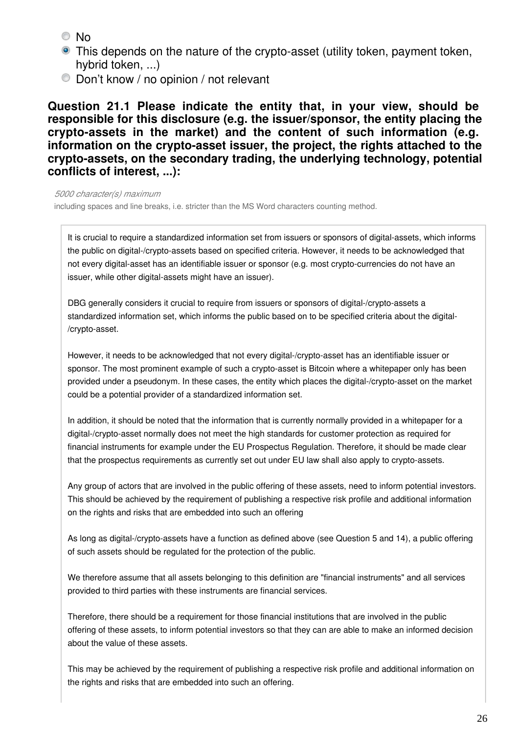© No

- This depends on the nature of the crypto-asset (utility token, payment token, hybrid token, ...)
- Don't know / no opinion / not relevant

**Question 21.1 Please indicate the entity that, in your view, should be responsible for this disclosure (e.g. the issuer/sponsor, the entity placing the crypto-assets in the market) and the content of such information (e.g. information on the crypto-asset issuer, the project, the rights attached to the crypto-assets, on the secondary trading, the underlying technology, potential conflicts of interest, ...):**

*5000 character(s) maximum*

including spaces and line breaks, i.e. stricter than the MS Word characters counting method.

It is crucial to require a standardized information set from issuers or sponsors of digital-assets, which informs the public on digital-/crypto-assets based on specified criteria. However, it needs to be acknowledged that not every digital-asset has an identifiable issuer or sponsor (e.g. most crypto-currencies do not have an issuer, while other digital-assets might have an issuer).

DBG generally considers it crucial to require from issuers or sponsors of digital-/crypto-assets a standardized information set, which informs the public based on to be specified criteria about the digital- /crypto-asset.

However, it needs to be acknowledged that not every digital-/crypto-asset has an identifiable issuer or sponsor. The most prominent example of such a crypto-asset is Bitcoin where a whitepaper only has been provided under a pseudonym. In these cases, the entity which places the digital-/crypto-asset on the market could be a potential provider of a standardized information set.

In addition, it should be noted that the information that is currently normally provided in a whitepaper for a digital-/crypto-asset normally does not meet the high standards for customer protection as required for financial instruments for example under the EU Prospectus Regulation. Therefore, it should be made clear that the prospectus requirements as currently set out under EU law shall also apply to crypto-assets.

Any group of actors that are involved in the public offering of these assets, need to inform potential investors. This should be achieved by the requirement of publishing a respective risk profile and additional information on the rights and risks that are embedded into such an offering

As long as digital-/crypto-assets have a function as defined above (see Question 5 and 14), a public offering of such assets should be regulated for the protection of the public.

We therefore assume that all assets belonging to this definition are "financial instruments" and all services provided to third parties with these instruments are financial services.

Therefore, there should be a requirement for those financial institutions that are involved in the public offering of these assets, to inform potential investors so that they can are able to make an informed decision about the value of these assets.

This may be achieved by the requirement of publishing a respective risk profile and additional information on the rights and risks that are embedded into such an offering.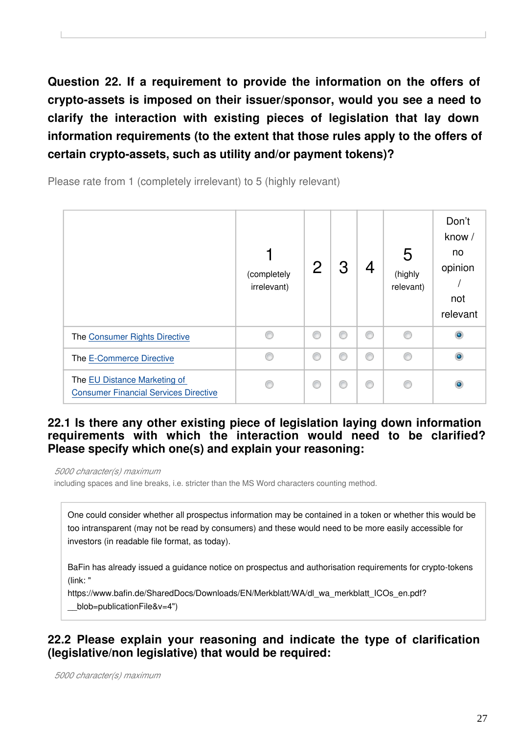**Question 22. If a requirement to provide the information on the offers of crypto-assets is imposed on their issuer/sponsor, would you see a need to clarify the interaction with existing pieces of legislation that lay down information requirements (to the extent that those rules apply to the offers of certain crypto-assets, such as utility and/or payment tokens)?**

Please rate from 1 (completely irrelevant) to 5 (highly relevant)



#### **22.1 Is there any other existing piece of legislation laying down information requirements with which the interaction would need to be clarified? Please specify which one(s) and explain your reasoning:**

*5000 character(s) maximum*

including spaces and line breaks, i.e. stricter than the MS Word characters counting method.

One could consider whether all prospectus information may be contained in a token or whether this would be too intransparent (may not be read by consumers) and these would need to be more easily accessible for investors (in readable file format, as today).

BaFin has already issued a guidance notice on prospectus and authorisation requirements for crypto-tokens (link: "

https://www.bafin.de/SharedDocs/Downloads/EN/Merkblatt/WA/dl\_wa\_merkblatt\_ICOs\_en.pdf? blob=publicationFile&v=4")

### **22.2 Please explain your reasoning and indicate the type of clarification (legislative/non legislative) that would be required:**

*5000 character(s) maximum*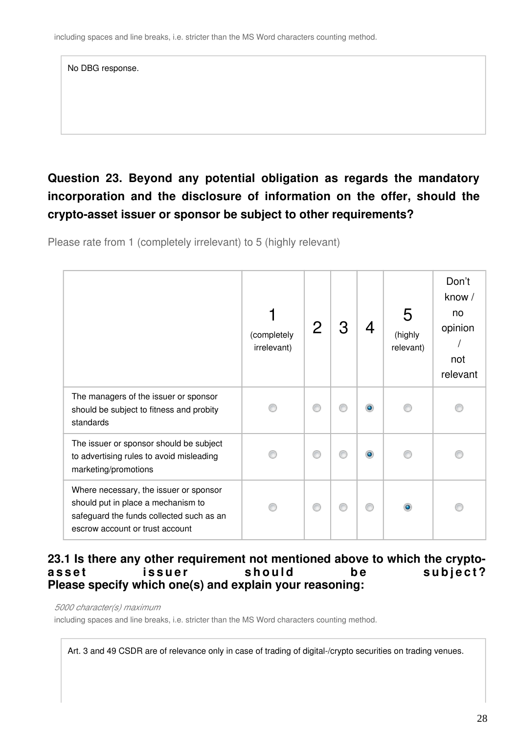| No DBG response. |  |  |
|------------------|--|--|
|                  |  |  |
|                  |  |  |
|                  |  |  |

## **Question 23. Beyond any potential obligation as regards the mandatory incorporation and the disclosure of information on the offer, should the crypto-asset issuer or sponsor be subject to other requirements?**

Please rate from 1 (completely irrelevant) to 5 (highly relevant)

|                                                                                                                                                             | (completely<br>irrelevant) |   |           | (highly<br>relevant) | Don't<br>know /<br>no<br>opinion<br>not<br>relevant |
|-------------------------------------------------------------------------------------------------------------------------------------------------------------|----------------------------|---|-----------|----------------------|-----------------------------------------------------|
| The managers of the issuer or sponsor<br>should be subject to fitness and probity<br>standards                                                              |                            | ⋒ | $\bullet$ |                      |                                                     |
| The issuer or sponsor should be subject<br>to advertising rules to avoid misleading<br>marketing/promotions                                                 |                            |   | $\bullet$ |                      |                                                     |
| Where necessary, the issuer or sponsor<br>should put in place a mechanism to<br>safeguard the funds collected such as an<br>escrow account or trust account |                            |   |           |                      |                                                     |

#### **23.1 Is there any other requirement not mentioned above to which the crypto**asset issuer should be subject? **Please specify which one(s) and explain your reasoning:**

#### *5000 character(s) maximum*

including spaces and line breaks, i.e. stricter than the MS Word characters counting method.

Art. 3 and 49 CSDR are of relevance only in case of trading of digital-/crypto securities on trading venues.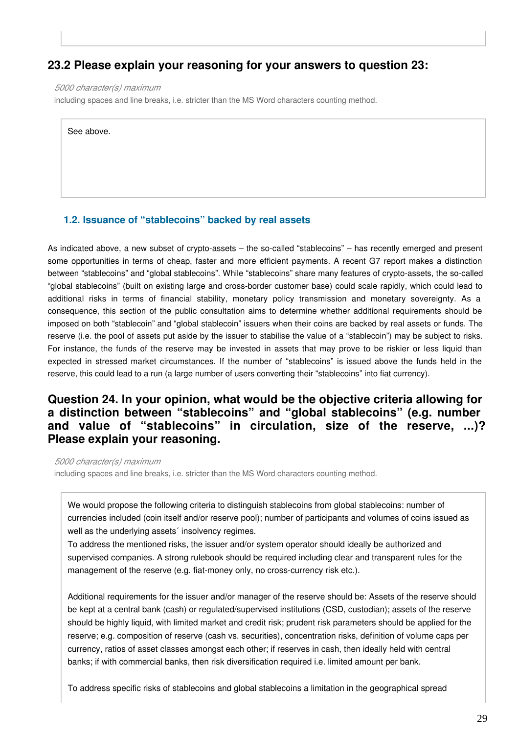#### **23.2 Please explain your reasoning for your answers to question 23:**

*5000 character(s) maximum*

including spaces and line breaks, i.e. stricter than the MS Word characters counting method.

See above.

#### **1.2. Issuance of "stablecoins" backed by real assets**

As indicated above, a new subset of crypto-assets – the so-called "stablecoins" – has recently emerged and present some opportunities in terms of cheap, faster and more efficient payments. A recent G7 report makes a distinction between "stablecoins" and "global stablecoins". While "stablecoins" share many features of crypto-assets, the so-called "global stablecoins" (built on existing large and cross-border customer base) could scale rapidly, which could lead to additional risks in terms of financial stability, monetary policy transmission and monetary sovereignty. As a consequence, this section of the public consultation aims to determine whether additional requirements should be imposed on both "stablecoin" and "global stablecoin" issuers when their coins are backed by real assets or funds. The reserve (i.e. the pool of assets put aside by the issuer to stabilise the value of a "stablecoin") may be subject to risks. For instance, the funds of the reserve may be invested in assets that may prove to be riskier or less liquid than expected in stressed market circumstances. If the number of "stablecoins" is issued above the funds held in the reserve, this could lead to a run (a large number of users converting their "stablecoins" into fiat currency).

#### **Question 24. In your opinion, what would be the objective criteria allowing for a distinction between "stablecoins" and "global stablecoins" (e.g. number and value of "stablecoins" in circulation, size of the reserve, ...)? Please explain your reasoning.**

*5000 character(s) maximum* including spaces and line breaks, i.e. stricter than the MS Word characters counting method.

We would propose the following criteria to distinguish stablecoins from global stablecoins: number of currencies included (coin itself and/or reserve pool); number of participants and volumes of coins issued as well as the underlying assets' insolvency regimes.

To address the mentioned risks, the issuer and/or system operator should ideally be authorized and supervised companies. A strong rulebook should be required including clear and transparent rules for the management of the reserve (e.g. fiat-money only, no cross-currency risk etc.).

Additional requirements for the issuer and/or manager of the reserve should be: Assets of the reserve should be kept at a central bank (cash) or regulated/supervised institutions (CSD, custodian); assets of the reserve should be highly liquid, with limited market and credit risk; prudent risk parameters should be applied for the reserve; e.g. composition of reserve (cash vs. securities), concentration risks, definition of volume caps per currency, ratios of asset classes amongst each other; if reserves in cash, then ideally held with central banks; if with commercial banks, then risk diversification required i.e. limited amount per bank.

To address specific risks of stablecoins and global stablecoins a limitation in the geographical spread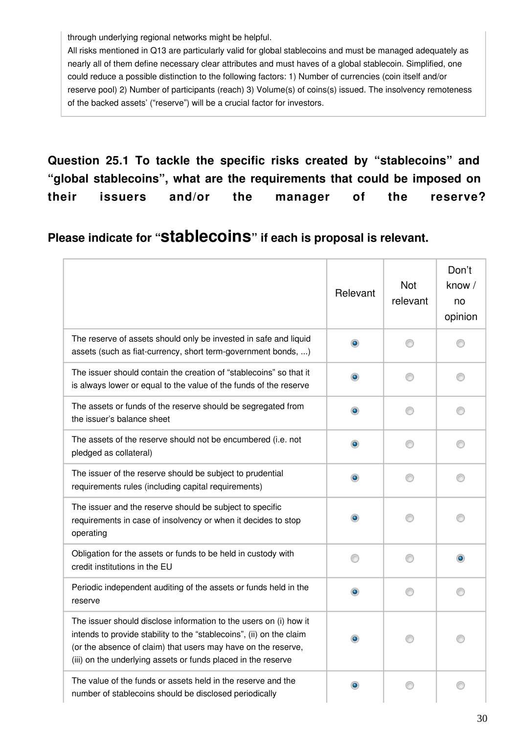through underlying regional networks might be helpful.

All risks mentioned in Q13 are particularly valid for global stablecoins and must be managed adequately as nearly all of them define necessary clear attributes and must haves of a global stablecoin. Simplified, one could reduce a possible distinction to the following factors: 1) Number of currencies (coin itself and/or reserve pool) 2) Number of participants (reach) 3) Volume(s) of coins(s) issued. The insolvency remoteness of the backed assets' ("reserve") will be a crucial factor for investors.

**Question 25.1 To tackle the specific risks created by "stablecoins" and "global stablecoins", what are the requirements that could be imposed on their issuers and/or the manager of the reserve?**

**Please indicate for "stablecoins" if each is proposal is relevant.**

|                                                                                                                                                                                                                                                                             | Relevant  | <b>Not</b><br>relevant | Don't<br>know /<br>no<br>opinion |
|-----------------------------------------------------------------------------------------------------------------------------------------------------------------------------------------------------------------------------------------------------------------------------|-----------|------------------------|----------------------------------|
| The reserve of assets should only be invested in safe and liquid<br>assets (such as fiat-currency, short term-government bonds, )                                                                                                                                           | $\bullet$ | ∩                      | €                                |
| The issuer should contain the creation of "stablecoins" so that it<br>is always lower or equal to the value of the funds of the reserve                                                                                                                                     | ۰         | ⊙                      | ⊙                                |
| The assets or funds of the reserve should be segregated from<br>the issuer's balance sheet                                                                                                                                                                                  | $\bullet$ | ⊙                      | ⊙                                |
| The assets of the reserve should not be encumbered (i.e. not<br>pledged as collateral)                                                                                                                                                                                      | ۰         |                        |                                  |
| The issuer of the reserve should be subject to prudential<br>requirements rules (including capital requirements)                                                                                                                                                            | $\bullet$ | ∩                      | ⊙                                |
| The issuer and the reserve should be subject to specific<br>requirements in case of insolvency or when it decides to stop<br>operating                                                                                                                                      | $\bullet$ |                        |                                  |
| Obligation for the assets or funds to be held in custody with<br>credit institutions in the EU                                                                                                                                                                              | ∩         | ∩                      |                                  |
| Periodic independent auditing of the assets or funds held in the<br>reserve                                                                                                                                                                                                 | ۰         |                        | ⋒                                |
| The issuer should disclose information to the users on (i) how it<br>intends to provide stability to the "stablecoins", (ii) on the claim<br>(or the absence of claim) that users may have on the reserve,<br>(iii) on the underlying assets or funds placed in the reserve | $\bullet$ |                        |                                  |
| The value of the funds or assets held in the reserve and the<br>number of stablecoins should be disclosed periodically                                                                                                                                                      | ۰         |                        |                                  |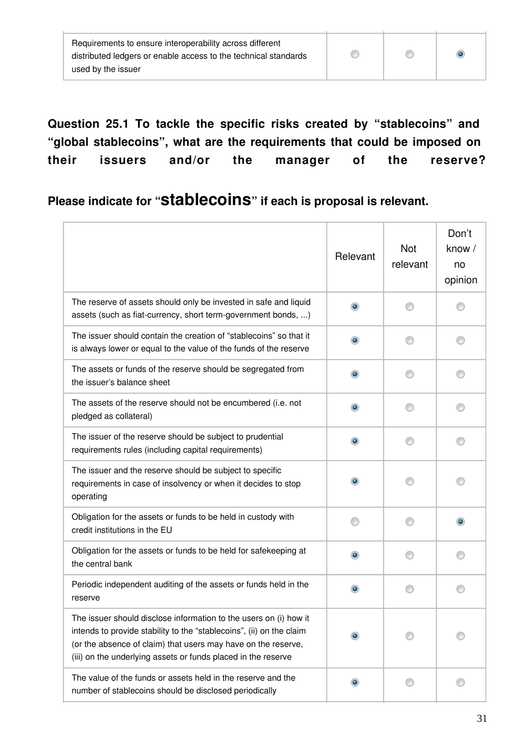| Requirements to ensure interoperability across different        |  |  |
|-----------------------------------------------------------------|--|--|
| distributed ledgers or enable access to the technical standards |  |  |
| used by the issuer                                              |  |  |

**Question 25.1 To tackle the specific risks created by "stablecoins" and "global stablecoins", what are the requirements that could be imposed on their issuers and/or the manager of the reserve?**

## **Please indicate for "stablecoins" if each is proposal is relevant.**

|                                                                                                                                                                                                                                                                             | Relevant  | <b>Not</b><br>relevant | Don't<br>know /<br>no<br>opinion |
|-----------------------------------------------------------------------------------------------------------------------------------------------------------------------------------------------------------------------------------------------------------------------------|-----------|------------------------|----------------------------------|
| The reserve of assets should only be invested in safe and liquid<br>assets (such as fiat-currency, short term-government bonds, )                                                                                                                                           | $\bullet$ |                        |                                  |
| The issuer should contain the creation of "stablecoins" so that it<br>is always lower or equal to the value of the funds of the reserve                                                                                                                                     | ۰         |                        |                                  |
| The assets or funds of the reserve should be segregated from<br>the issuer's balance sheet                                                                                                                                                                                  | $\bullet$ |                        |                                  |
| The assets of the reserve should not be encumbered (i.e. not<br>pledged as collateral)                                                                                                                                                                                      | $\bullet$ |                        | ⋒                                |
| The issuer of the reserve should be subject to prudential<br>requirements rules (including capital requirements)                                                                                                                                                            | $\bullet$ |                        | O                                |
| The issuer and the reserve should be subject to specific<br>requirements in case of insolvency or when it decides to stop<br>operating                                                                                                                                      | $\bullet$ |                        |                                  |
| Obligation for the assets or funds to be held in custody with<br>credit institutions in the EU                                                                                                                                                                              |           |                        | $\bullet$                        |
| Obligation for the assets or funds to be held for safekeeping at<br>the central bank                                                                                                                                                                                        | $\bullet$ |                        |                                  |
| Periodic independent auditing of the assets or funds held in the<br>reserve                                                                                                                                                                                                 | $\bullet$ |                        |                                  |
| The issuer should disclose information to the users on (i) how it<br>intends to provide stability to the "stablecoins", (ii) on the claim<br>(or the absence of claim) that users may have on the reserve,<br>(iii) on the underlying assets or funds placed in the reserve |           |                        |                                  |
| The value of the funds or assets held in the reserve and the<br>number of stablecoins should be disclosed periodically                                                                                                                                                      | ۰         |                        |                                  |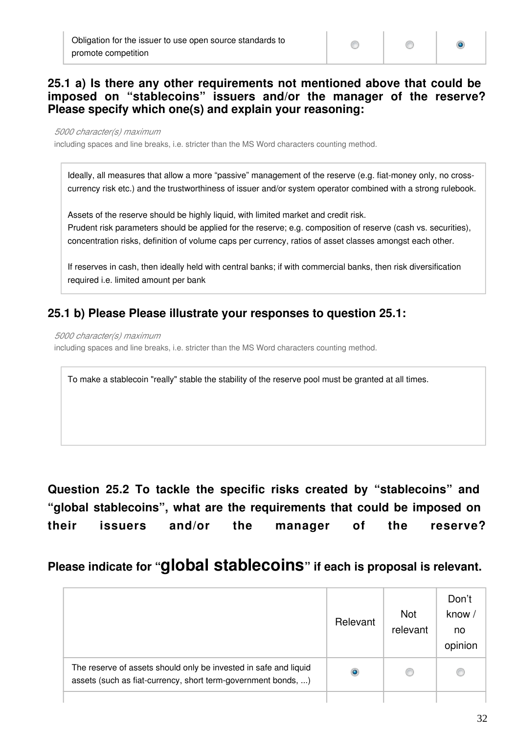#### **25.1 a) Is there any other requirements not mentioned above that could be imposed on "stablecoins" issuers and/or the manager of the reserve? Please specify which one(s) and explain your reasoning:**

*5000 character(s) maximum*

including spaces and line breaks, i.e. stricter than the MS Word characters counting method.

Ideally, all measures that allow a more "passive" management of the reserve (e.g. fiat-money only, no crosscurrency risk etc.) and the trustworthiness of issuer and/or system operator combined with a strong rulebook.

Assets of the reserve should be highly liquid, with limited market and credit risk. Prudent risk parameters should be applied for the reserve; e.g. composition of reserve (cash vs. securities), concentration risks, definition of volume caps per currency, ratios of asset classes amongst each other.

If reserves in cash, then ideally held with central banks; if with commercial banks, then risk diversification required i.e. limited amount per bank

#### **25.1 b) Please Please illustrate your responses to question 25.1:**

*5000 character(s) maximum*

including spaces and line breaks, i.e. stricter than the MS Word characters counting method.

To make a stablecoin "really" stable the stability of the reserve pool must be granted at all times.

**Question 25.2 To tackle the specific risks created by "stablecoins" and "global stablecoins", what are the requirements that could be imposed on their issuers and/or the manager of the reserve?**

### **Please indicate for "global stablecoins" if each is proposal is relevant.**

|                                                                                                                                   | Relevant  | <b>Not</b><br>relevant | Don't<br>know/<br>no<br>opinion |
|-----------------------------------------------------------------------------------------------------------------------------------|-----------|------------------------|---------------------------------|
| The reserve of assets should only be invested in safe and liquid<br>assets (such as fiat-currency, short term-government bonds, ) | $\bullet$ |                        |                                 |
|                                                                                                                                   |           |                        |                                 |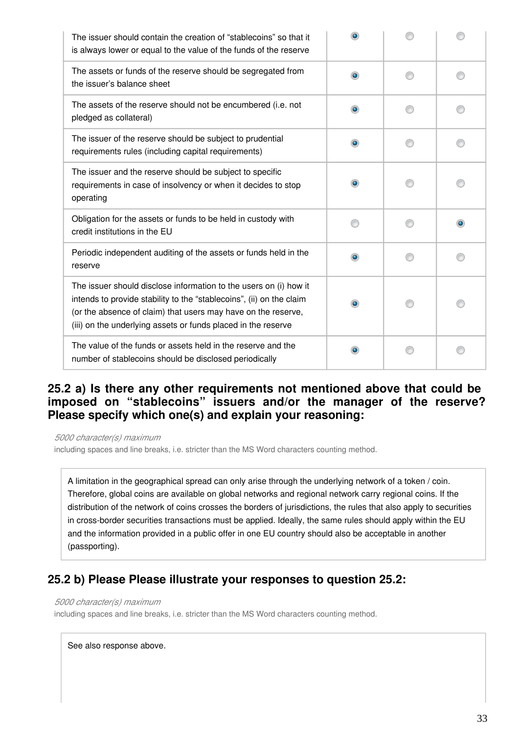| The issuer should contain the creation of "stablecoins" so that it<br>is always lower or equal to the value of the funds of the reserve                                                                                                                                     |           |   |
|-----------------------------------------------------------------------------------------------------------------------------------------------------------------------------------------------------------------------------------------------------------------------------|-----------|---|
| The assets or funds of the reserve should be segregated from<br>the issuer's balance sheet                                                                                                                                                                                  | ۰         |   |
| The assets of the reserve should not be encumbered (i.e. not<br>pledged as collateral)                                                                                                                                                                                      | ۰         |   |
| The issuer of the reserve should be subject to prudential<br>requirements rules (including capital requirements)                                                                                                                                                            | $\bullet$ |   |
| The issuer and the reserve should be subject to specific<br>requirements in case of insolvency or when it decides to stop<br>operating                                                                                                                                      |           |   |
| Obligation for the assets or funds to be held in custody with<br>credit institutions in the EU                                                                                                                                                                              |           | ۰ |
| Periodic independent auditing of the assets or funds held in the<br>reserve                                                                                                                                                                                                 | $\bullet$ |   |
| The issuer should disclose information to the users on (i) how it<br>intends to provide stability to the "stablecoins", (ii) on the claim<br>(or the absence of claim) that users may have on the reserve,<br>(iii) on the underlying assets or funds placed in the reserve | $\bullet$ |   |
| The value of the funds or assets held in the reserve and the<br>number of stablecoins should be disclosed periodically                                                                                                                                                      |           |   |

#### **25.2 a) Is there any other requirements not mentioned above that could be imposed on "stablecoins" issuers and/or the manager of the reserve? Please specify which one(s) and explain your reasoning:**

*5000 character(s) maximum*

including spaces and line breaks, i.e. stricter than the MS Word characters counting method.

A limitation in the geographical spread can only arise through the underlying network of a token / coin. Therefore, global coins are available on global networks and regional network carry regional coins. If the distribution of the network of coins crosses the borders of jurisdictions, the rules that also apply to securities in cross-border securities transactions must be applied. Ideally, the same rules should apply within the EU and the information provided in a public offer in one EU country should also be acceptable in another (passporting).

#### **25.2 b) Please Please illustrate your responses to question 25.2:**

#### *5000 character(s) maximum*

including spaces and line breaks, i.e. stricter than the MS Word characters counting method.

See also response above.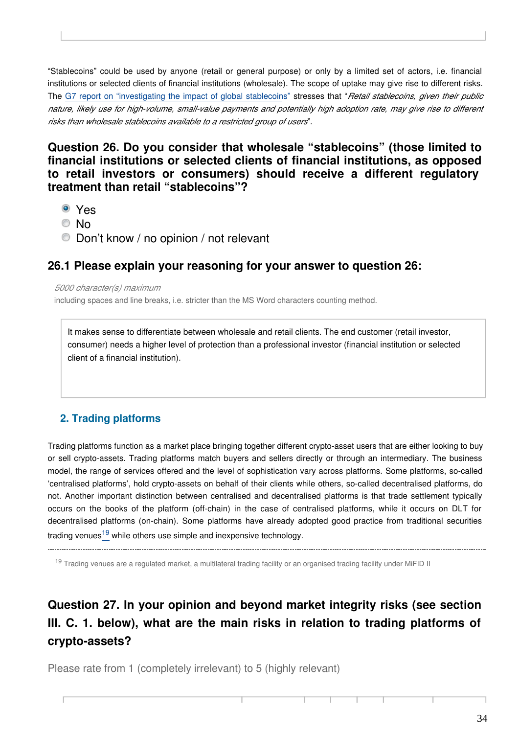"Stablecoins" could be used by anyone (retail or general purpose) or only by a limited set of actors, i.e. financial institutions or selected clients of financial institutions (wholesale). The scope of uptake may give rise to different risks. The [G7 report on "investigating the impact of global stablecoin](https://www.bis.org/cpmi/publ/d187.pdf)s" stresses that "*Retail stablecoins, given their public nature, likely use for high-volume, small-value payments and potentially high adoption rate, may give rise to different risks than wholesale stablecoins available to a restricted group of users*".

#### **Question 26. Do you consider that wholesale "stablecoins" (those limited to financial institutions or selected clients of financial institutions, as opposed to retail investors or consumers) should receive a different regulatory treatment than retail "stablecoins"?**

- <sup>O</sup> Yes
- © No
- Don't know / no opinion / not relevant

#### **26.1 Please explain your reasoning for your answer to question 26:**

*5000 character(s) maximum*

including spaces and line breaks, i.e. stricter than the MS Word characters counting method.

It makes sense to differentiate between wholesale and retail clients. The end customer (retail investor, consumer) needs a higher level of protection than a professional investor (financial institution or selected client of a financial institution).

#### **2. Trading platforms**

Trading platforms function as a market place bringing together different crypto-asset users that are either looking to buy or sell crypto-assets. Trading platforms match buyers and sellers directly or through an intermediary. The business model, the range of services offered and the level of sophistication vary across platforms. Some platforms, so-called 'centralised platforms', hold crypto-assets on behalf of their clients while others, so-called decentralised platforms, do not. Another important distinction between centralised and decentralised platforms is that trade settlement typically occurs on the books of the platform (off-chain) in the case of centralised platforms, while it occurs on DLT for decentralised platforms (on-chain). Some platforms have already adopted good practice from traditional securities tradingvenues<sup>19</sup> while others use simple and inexpensive technology.

<span id="page-33-0"></span>----------------------------------

<sup>19</sup> Trading venues are a regulated market, a multilateral trading facility or an organised trading facility under MiFID II

## **Question 27. In your opinion and beyond market integrity risks (see section III. C. 1. below), what are the main risks in relation to trading platforms of crypto-assets?**

Please rate from 1 (completely irrelevant) to 5 (highly relevant)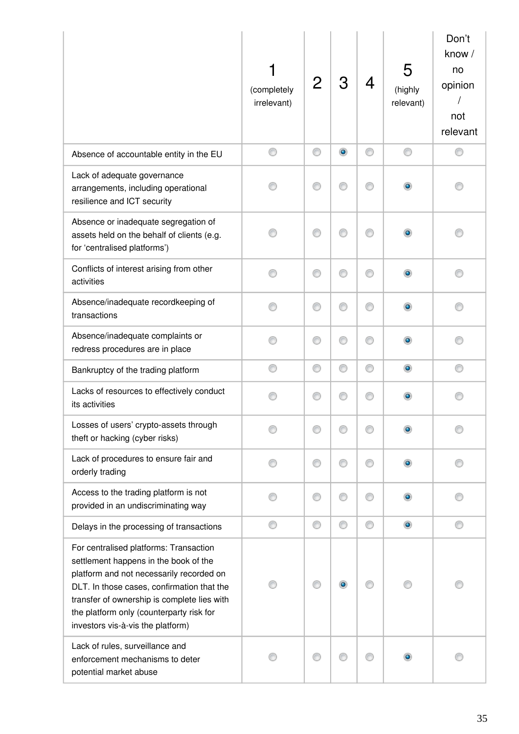|                                                                                                                                                                                                                                                                                                           | (completely<br>irrelevant) |   | З              | 4 | 5<br>(highly<br>relevant) | Don't<br>know /<br>no<br>opinion<br>not<br>relevant |
|-----------------------------------------------------------------------------------------------------------------------------------------------------------------------------------------------------------------------------------------------------------------------------------------------------------|----------------------------|---|----------------|---|---------------------------|-----------------------------------------------------|
| Absence of accountable entity in the EU                                                                                                                                                                                                                                                                   | ⊙                          | ⊙ | $\circledcirc$ | ⊙ | ⊙                         | €                                                   |
| Lack of adequate governance<br>arrangements, including operational<br>resilience and ICT security                                                                                                                                                                                                         |                            | ∩ | ∩              | ∩ |                           |                                                     |
| Absence or inadequate segregation of<br>assets held on the behalf of clients (e.g.<br>for 'centralised platforms')                                                                                                                                                                                        |                            | ⋒ | ∩              | ∩ |                           |                                                     |
| Conflicts of interest arising from other<br>activities                                                                                                                                                                                                                                                    |                            | ⋒ |                | ⋒ |                           |                                                     |
| Absence/inadequate recordkeeping of<br>transactions                                                                                                                                                                                                                                                       |                            | ∩ | ⊙              | ⊙ |                           |                                                     |
| Absence/inadequate complaints or<br>redress procedures are in place                                                                                                                                                                                                                                       |                            | ∩ | ⊙              | ⊙ |                           |                                                     |
| Bankruptcy of the trading platform                                                                                                                                                                                                                                                                        |                            | ⊙ | ⊙              | ⊙ | ۰                         | ⋒                                                   |
| Lacks of resources to effectively conduct<br>its activities                                                                                                                                                                                                                                               |                            | ◎ | ⊙              | ⊙ |                           |                                                     |
| Losses of users' crypto-assets through<br>theft or hacking (cyber risks)                                                                                                                                                                                                                                  |                            |   |                |   |                           |                                                     |
| Lack of procedures to ensure fair and<br>orderly trading                                                                                                                                                                                                                                                  | ⋒                          | ⊙ | ⊙              | ⋒ |                           |                                                     |
| Access to the trading platform is not<br>provided in an undiscriminating way                                                                                                                                                                                                                              |                            | ⊙ | ⊙              | ⋒ |                           |                                                     |
| Delays in the processing of transactions                                                                                                                                                                                                                                                                  |                            | O | ⊙              | ⊙ | $\bullet$                 | ⋒                                                   |
| For centralised platforms: Transaction<br>settlement happens in the book of the<br>platform and not necessarily recorded on<br>DLT. In those cases, confirmation that the<br>transfer of ownership is complete lies with<br>the platform only (counterparty risk for<br>investors vis-à-vis the platform) |                            |   | $\bullet$      |   |                           |                                                     |
| Lack of rules, surveillance and<br>enforcement mechanisms to deter<br>potential market abuse                                                                                                                                                                                                              |                            | ⊙ |                | ⋒ |                           |                                                     |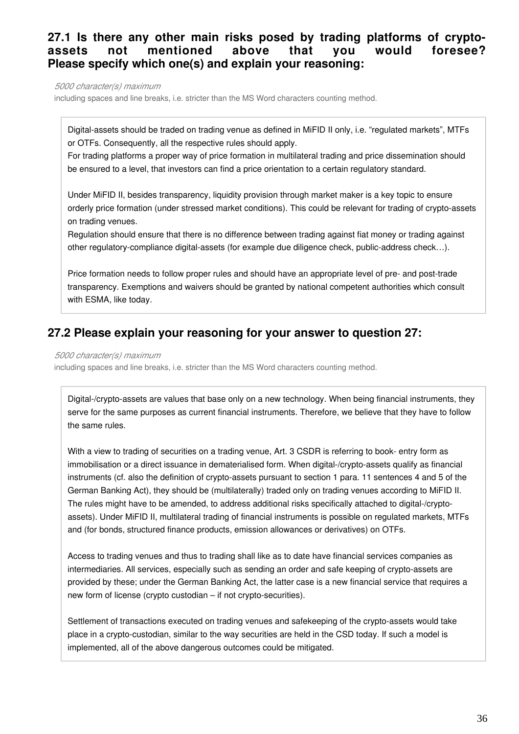#### **27.1 Is there any other main risks posed by trading platforms of cryptoassets not mentioned above that you would foresee? Please specify which one(s) and explain your reasoning:**

*5000 character(s) maximum*

including spaces and line breaks, i.e. stricter than the MS Word characters counting method.

Digital-assets should be traded on trading venue as defined in MiFID II only, i.e. "regulated markets", MTFs or OTFs. Consequently, all the respective rules should apply.

For trading platforms a proper way of price formation in multilateral trading and price dissemination should be ensured to a level, that investors can find a price orientation to a certain regulatory standard.

Under MiFID II, besides transparency, liquidity provision through market maker is a key topic to ensure orderly price formation (under stressed market conditions). This could be relevant for trading of crypto-assets on trading venues.

Regulation should ensure that there is no difference between trading against fiat money or trading against other regulatory-compliance digital-assets (for example due diligence check, public-address check…).

Price formation needs to follow proper rules and should have an appropriate level of pre- and post-trade transparency. Exemptions and waivers should be granted by national competent authorities which consult with ESMA, like today.

#### **27.2 Please explain your reasoning for your answer to question 27:**

#### *5000 character(s) maximum*

including spaces and line breaks, i.e. stricter than the MS Word characters counting method.

Digital-/crypto-assets are values that base only on a new technology. When being financial instruments, they serve for the same purposes as current financial instruments. Therefore, we believe that they have to follow the same rules.

With a view to trading of securities on a trading venue, Art. 3 CSDR is referring to book- entry form as immobilisation or a direct issuance in dematerialised form. When digital-/crypto-assets qualify as financial instruments (cf. also the definition of crypto-assets pursuant to section 1 para. 11 sentences 4 and 5 of the German Banking Act), they should be (multilaterally) traded only on trading venues according to MiFID II. The rules might have to be amended, to address additional risks specifically attached to digital-/cryptoassets). Under MiFID II, multilateral trading of financial instruments is possible on regulated markets, MTFs and (for bonds, structured finance products, emission allowances or derivatives) on OTFs.

Access to trading venues and thus to trading shall like as to date have financial services companies as intermediaries. All services, especially such as sending an order and safe keeping of crypto-assets are provided by these; under the German Banking Act, the latter case is a new financial service that requires a new form of license (crypto custodian – if not crypto-securities).

Settlement of transactions executed on trading venues and safekeeping of the crypto-assets would take place in a crypto-custodian, similar to the way securities are held in the CSD today. If such a model is implemented, all of the above dangerous outcomes could be mitigated.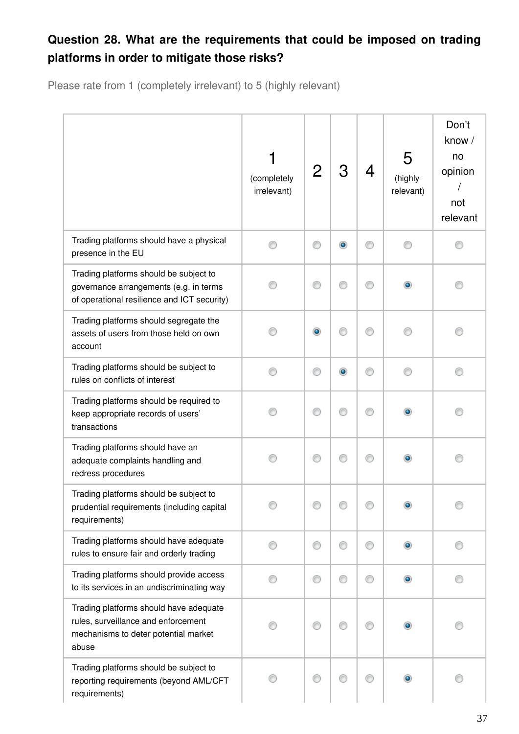# **Question 28. What are the requirements that could be imposed on trading platforms in order to mitigate those risks?**

Please rate from 1 (completely irrelevant) to 5 (highly relevant)

|                                                                                                                                 | (completely<br>irrelevant) | 2         | 3 | 4 | 5<br>(highly<br>relevant) | Don't<br>know /<br>no<br>opinion<br>not<br>relevant |
|---------------------------------------------------------------------------------------------------------------------------------|----------------------------|-----------|---|---|---------------------------|-----------------------------------------------------|
| Trading platforms should have a physical<br>presence in the EU                                                                  |                            | €         | ۰ |   |                           |                                                     |
| Trading platforms should be subject to<br>governance arrangements (e.g. in terms<br>of operational resilience and ICT security) |                            |           | ∩ | M |                           |                                                     |
| Trading platforms should segregate the<br>assets of users from those held on own<br>account                                     |                            | $\bullet$ |   |   |                           |                                                     |
| Trading platforms should be subject to<br>rules on conflicts of interest                                                        |                            | €         | ۰ | ⊙ |                           |                                                     |
| Trading platforms should be required to<br>keep appropriate records of users'<br>transactions                                   |                            | ∩         | ⊙ | ∩ |                           |                                                     |
| Trading platforms should have an<br>adequate complaints handling and<br>redress procedures                                      |                            | ⋒         | ⊙ | ⊙ |                           |                                                     |
| Trading platforms should be subject to<br>prudential requirements (including capital<br>requirements)                           |                            |           |   |   |                           |                                                     |
| Trading platforms should have adequate<br>rules to ensure fair and orderly trading                                              |                            | €         | ⊙ | ∩ | $\bullet$                 |                                                     |
| Trading platforms should provide access<br>to its services in an undiscriminating way                                           |                            | ◎         | ⊙ |   |                           |                                                     |
| Trading platforms should have adequate<br>rules, surveillance and enforcement<br>mechanisms to deter potential market<br>abuse  |                            |           | ∩ | ∩ |                           |                                                     |
| Trading platforms should be subject to<br>reporting requirements (beyond AML/CFT<br>requirements)                               |                            |           |   |   |                           |                                                     |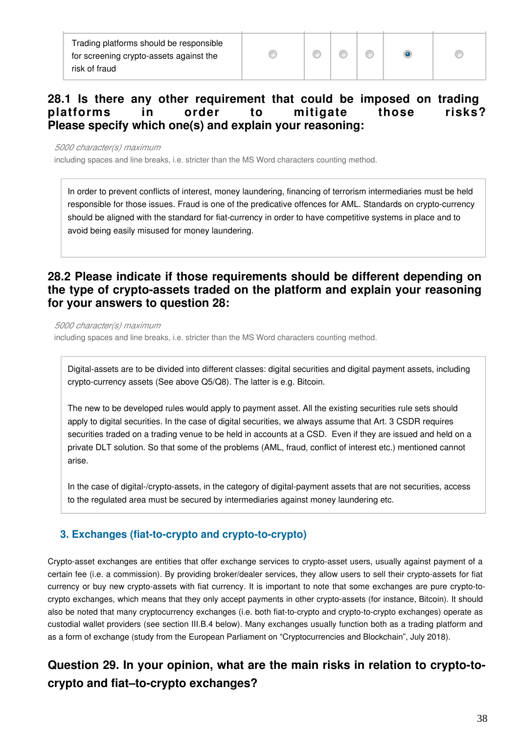Trading platforms should be responsible for screening crypto-assets against the risk of fraud

 $\bullet$ 

## **28.1 Is there any other requirement that could be imposed on trading platforms in order to mitigate those risks? Please specify which one(s) and explain your reasoning:**

*5000 character(s) maximum*

including spaces and line breaks, i.e. stricter than the MS Word characters counting method.

In order to prevent conflicts of interest, money laundering, financing of terrorism intermediaries must be held responsible for those issues. Fraud is one of the predicative offences for AML. Standards on crypto-currency should be aligned with the standard for fiat-currency in order to have competitive systems in place and to avoid being easily misused for money laundering.

## **28.2 Please indicate if those requirements should be different depending on the type of crypto-assets traded on the platform and explain your reasoning for your answers to question 28:**

*5000 character(s) maximum*

including spaces and line breaks, i.e. stricter than the MS Word characters counting method.

Digital-assets are to be divided into different classes: digital securities and digital payment assets, including crypto-currency assets (See above Q5/Q8). The latter is e.g. Bitcoin.

The new to be developed rules would apply to payment asset. All the existing securities rule sets should apply to digital securities. In the case of digital securities, we always assume that Art. 3 CSDR requires securities traded on a trading venue to be held in accounts at a CSD. Even if they are issued and held on a private DLT solution. So that some of the problems (AML, fraud, conflict of interest etc.) mentioned cannot arise.

In the case of digital-/crypto-assets, in the category of digital-payment assets that are not securities, access to the regulated area must be secured by intermediaries against money laundering etc.

## **3. Exchanges (fiat-to-crypto and crypto-to-crypto)**

Crypto-asset exchanges are entities that offer exchange services to crypto-asset users, usually against payment of a certain fee (i.e. a commission). By providing broker/dealer services, they allow users to sell their crypto-assets for fiat currency or buy new crypto-assets with fiat currency. It is important to note that some exchanges are pure crypto-tocrypto exchanges, which means that they only accept payments in other crypto-assets (for instance, Bitcoin). It should also be noted that many cryptocurrency exchanges (i.e. both fiat-to-crypto and crypto-to-crypto exchanges) operate as custodial wallet providers (see section III.B.4 below). Many exchanges usually function both as a trading platform and as a form of exchange (study from the European Parliament on "Cryptocurrencies and Blockchain", July 2018).

# **Question 29. In your opinion, what are the main risks in relation to crypto-tocrypto and fiat–to-crypto exchanges?**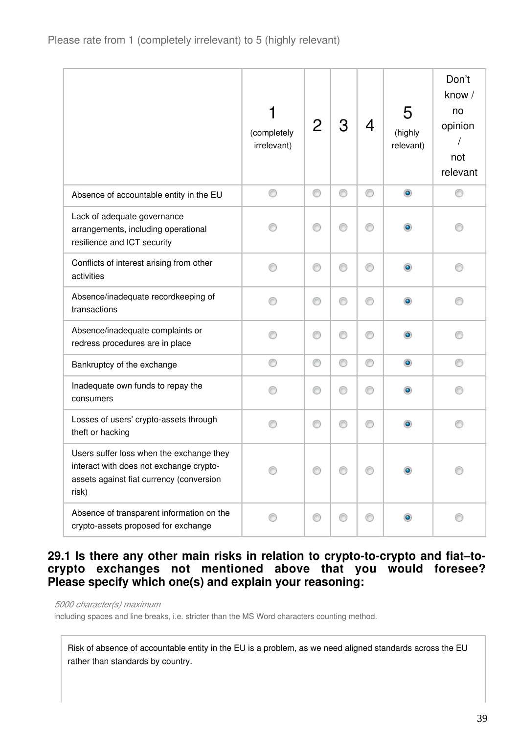|                                                                                                                                          | (completely<br>irrelevant) |   | З | 4 | 5<br>(highly<br>relevant) | Don't<br>know /<br>no<br>opinion<br>not<br>relevant |
|------------------------------------------------------------------------------------------------------------------------------------------|----------------------------|---|---|---|---------------------------|-----------------------------------------------------|
| Absence of accountable entity in the EU                                                                                                  | ⊙                          | ⊙ | O | ⊙ | $\circledcirc$            | ⊙                                                   |
| Lack of adequate governance<br>arrangements, including operational<br>resilience and ICT security                                        |                            | € |   | ⋒ | ۰                         |                                                     |
| Conflicts of interest arising from other<br>activities                                                                                   | ⋒                          | ⊙ | ∩ | ∩ | ۰                         |                                                     |
| Absence/inadequate recordkeeping of<br>transactions                                                                                      |                            | ⊙ | ⊙ | ⊙ |                           |                                                     |
| Absence/inadequate complaints or<br>redress procedures are in place                                                                      |                            | ⊙ | ⊙ | ⊙ | $\bullet$                 |                                                     |
| Bankruptcy of the exchange                                                                                                               | ⊙                          | ⊙ | O | 0 | $\circledcirc$            | 0                                                   |
| Inadequate own funds to repay the<br>consumers                                                                                           |                            | ◎ | ∩ | ∩ |                           |                                                     |
| Losses of users' crypto-assets through<br>theft or hacking                                                                               |                            | ⋒ |   | ∩ | $\bullet$                 |                                                     |
| Users suffer loss when the exchange they<br>interact with does not exchange crypto-<br>assets against fiat currency (conversion<br>risk) |                            |   |   |   |                           |                                                     |
| Absence of transparent information on the<br>crypto-assets proposed for exchange                                                         |                            | O |   | ⋒ |                           |                                                     |

## **29.1 Is there any other main risks in relation to crypto-to-crypto and fiat–tocrypto exchanges not mentioned above that you would foresee? Please specify which one(s) and explain your reasoning:**

*5000 character(s) maximum*

including spaces and line breaks, i.e. stricter than the MS Word characters counting method.

Risk of absence of accountable entity in the EU is a problem, as we need aligned standards across the EU rather than standards by country.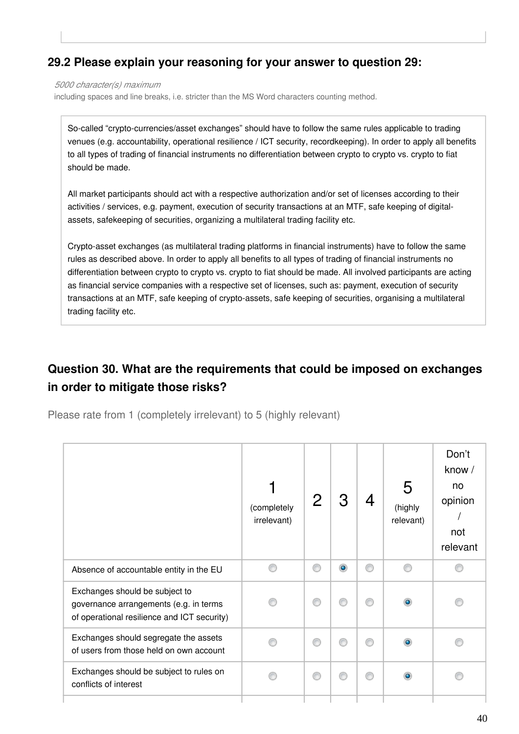## **29.2 Please explain your reasoning for your answer to question 29:**

*5000 character(s) maximum*

including spaces and line breaks, i.e. stricter than the MS Word characters counting method.

So-called "crypto-currencies/asset exchanges" should have to follow the same rules applicable to trading venues (e.g. accountability, operational resilience / ICT security, recordkeeping). In order to apply all benefits to all types of trading of financial instruments no differentiation between crypto to crypto vs. crypto to fiat should be made.

All market participants should act with a respective authorization and/or set of licenses according to their activities / services, e.g. payment, execution of security transactions at an MTF, safe keeping of digitalassets, safekeeping of securities, organizing a multilateral trading facility etc.

Crypto-asset exchanges (as multilateral trading platforms in financial instruments) have to follow the same rules as described above. In order to apply all benefits to all types of trading of financial instruments no differentiation between crypto to crypto vs. crypto to fiat should be made. All involved participants are acting as financial service companies with a respective set of licenses, such as: payment, execution of security transactions at an MTF, safe keeping of crypto-assets, safe keeping of securities, organising a multilateral trading facility etc.

# **Question 30. What are the requirements that could be imposed on exchanges in order to mitigate those risks?**

Please rate from 1 (completely irrelevant) to 5 (highly relevant)

|                                                                                                                         | (completely<br>irrelevant) |   | З         |   | 5<br>(highly<br>relevant) | Don't<br>know /<br>no<br>opinion<br>not<br>relevant |
|-------------------------------------------------------------------------------------------------------------------------|----------------------------|---|-----------|---|---------------------------|-----------------------------------------------------|
| Absence of accountable entity in the EU                                                                                 |                            | ⋒ | $\bullet$ | ⊙ | ⋒                         |                                                     |
| Exchanges should be subject to<br>governance arrangements (e.g. in terms<br>of operational resilience and ICT security) |                            |   |           | ⋒ |                           |                                                     |
| Exchanges should segregate the assets<br>of users from those held on own account                                        |                            |   |           | ⋒ |                           |                                                     |
| Exchanges should be subject to rules on<br>conflicts of interest                                                        |                            |   |           | ⋒ |                           |                                                     |
|                                                                                                                         |                            |   |           |   |                           |                                                     |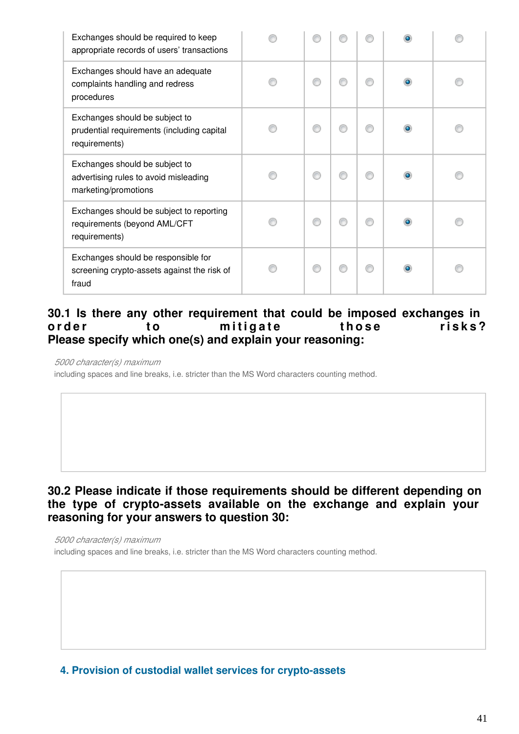| Exchanges should be required to keep<br>appropriate records of users' transactions              |   |  |  |
|-------------------------------------------------------------------------------------------------|---|--|--|
| Exchanges should have an adequate<br>complaints handling and redress<br>procedures              | € |  |  |
| Exchanges should be subject to<br>prudential requirements (including capital<br>requirements)   | € |  |  |
| Exchanges should be subject to<br>advertising rules to avoid misleading<br>marketing/promotions | ⋒ |  |  |
| Exchanges should be subject to reporting<br>requirements (beyond AML/CFT<br>requirements)       | ⋒ |  |  |
| Exchanges should be responsible for<br>screening crypto-assets against the risk of<br>fraud     | ⋒ |  |  |

## **30.1 Is there any other requirement that could be imposed exchanges in**  order to mitigate those risks? **Please specify which one(s) and explain your reasoning:**

*5000 character(s) maximum*

including spaces and line breaks, i.e. stricter than the MS Word characters counting method.

## **30.2 Please indicate if those requirements should be different depending on the type of crypto-assets available on the exchange and explain your reasoning for your answers to question 30:**

*5000 character(s) maximum*

including spaces and line breaks, i.e. stricter than the MS Word characters counting method.

**4. Provision of custodial wallet services for crypto-assets**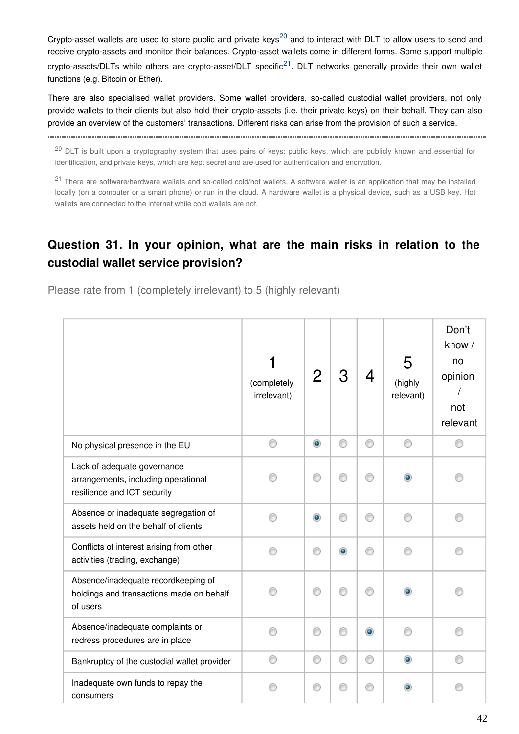Crypto-assetwallets are used to store public and private keys<sup>20</sup> and to interact with DLT to allow users to send and receive crypto-assets and monitor their balances. Crypto-asset wallets come in different forms. Some support multiple crypto-assets/DLTs while others are crypto-asset/DLT specific<sup>[21](#page-56-0)</sup>. DLT networks generally provide their own wallet functions (e.g. Bitcoin or Ether).

There are also specialised wallet providers. Some wallet providers, so-called custodial wallet providers, not only provide wallets to their clients but also hold their crypto-assets (i.e. their private keys) on their behalf. They can also provide an overview of the customers' transactions. Different risks can arise from the provision of such a service.

<sup>20</sup> DLT is built upon a cryptography system that uses pairs of keys: public keys, which are publicly known and essential for identification, and private keys, which are kept secret and are used for authentication and encryption.

<span id="page-41-0"></span>

<sup>21</sup> There are software/hardware wallets and so-called cold/hot wallets. A software wallet is an application that may be installed locally (on a computer or a smart phone) or run in the cloud. A hardware wallet is a physical device, such as a USB key. Hot wallets are connected to the internet while cold wallets are not.

# **Question 31. In your opinion, what are the main risks in relation to the custodial wallet service provision?**

Please rate from 1 (completely irrelevant) to 5 (highly relevant)

|                                                                                                   | (completely<br>irrelevant) |           | З         | 4         | 5<br>(highly<br>relevant) | Don't<br>know /<br>no<br>opinion<br>not<br>relevant |
|---------------------------------------------------------------------------------------------------|----------------------------|-----------|-----------|-----------|---------------------------|-----------------------------------------------------|
| No physical presence in the EU                                                                    | ⊙                          | $\bullet$ | ⊙         | ⊙         | ⊙                         |                                                     |
| Lack of adequate governance<br>arrangements, including operational<br>resilience and ICT security |                            |           |           |           |                           |                                                     |
| Absence or inadequate segregation of<br>assets held on the behalf of clients                      |                            | ۰         |           | ⋒         |                           |                                                     |
| Conflicts of interest arising from other<br>activities (trading, exchange)                        |                            | ⋒         | $\bullet$ | ⋒         |                           |                                                     |
| Absence/inadequate recordkeeping of<br>holdings and transactions made on behalf<br>of users       |                            | ⋒         |           | ⋒         |                           |                                                     |
| Absence/inadequate complaints or<br>redress procedures are in place                               |                            | ⋒         | ∩         | $\bullet$ |                           |                                                     |
| Bankruptcy of the custodial wallet provider                                                       |                            | ⊙         | ⊙         | ⊙         |                           |                                                     |
| Inadequate own funds to repay the<br>consumers                                                    |                            | €         | ⊙         | ◎         |                           |                                                     |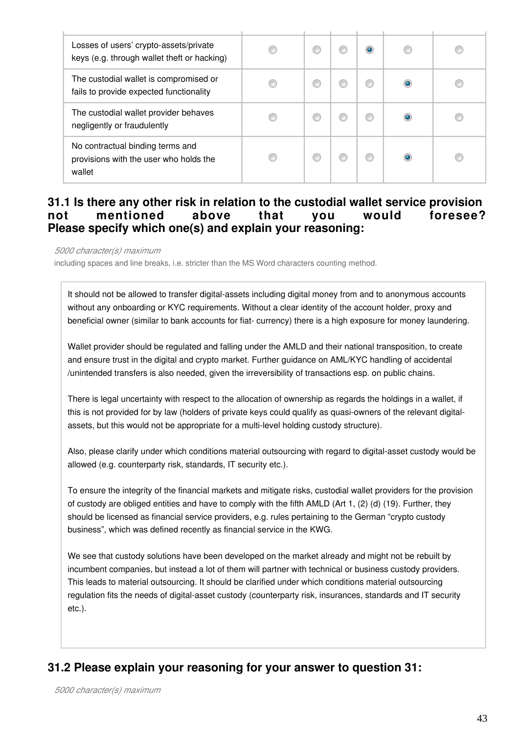| Losses of users' crypto-assets/private<br>keys (e.g. through wallet theft or hacking) |  |   |  |
|---------------------------------------------------------------------------------------|--|---|--|
| The custodial wallet is compromised or<br>fails to provide expected functionality     |  |   |  |
| The custodial wallet provider behaves<br>negligently or fraudulently                  |  | w |  |
| No contractual binding terms and<br>provisions with the user who holds the<br>wallet  |  |   |  |

## **31.1 Is there any other risk in relation to the custodial wallet service provision not mentioned above that you would foresee? Please specify which one(s) and explain your reasoning:**

*5000 character(s) maximum*

including spaces and line breaks, i.e. stricter than the MS Word characters counting method.

It should not be allowed to transfer digital-assets including digital money from and to anonymous accounts without any onboarding or KYC requirements. Without a clear identity of the account holder, proxy and beneficial owner (similar to bank accounts for fiat- currency) there is a high exposure for money laundering.

Wallet provider should be regulated and falling under the AMLD and their national transposition, to create and ensure trust in the digital and crypto market. Further guidance on AML/KYC handling of accidental /unintended transfers is also needed, given the irreversibility of transactions esp. on public chains.

There is legal uncertainty with respect to the allocation of ownership as regards the holdings in a wallet, if this is not provided for by law (holders of private keys could qualify as quasi-owners of the relevant digitalassets, but this would not be appropriate for a multi-level holding custody structure).

Also, please clarify under which conditions material outsourcing with regard to digital-asset custody would be allowed (e.g. counterparty risk, standards, IT security etc.).

To ensure the integrity of the financial markets and mitigate risks, custodial wallet providers for the provision of custody are obliged entities and have to comply with the fifth AMLD (Art 1, (2) (d) (19). Further, they should be licensed as financial service providers, e.g. rules pertaining to the German "crypto custody business", which was defined recently as financial service in the KWG.

We see that custody solutions have been developed on the market already and might not be rebuilt by incumbent companies, but instead a lot of them will partner with technical or business custody providers. This leads to material outsourcing. It should be clarified under which conditions material outsourcing regulation fits the needs of digital-asset custody (counterparty risk, insurances, standards and IT security etc.).

## **31.2 Please explain your reasoning for your answer to question 31:**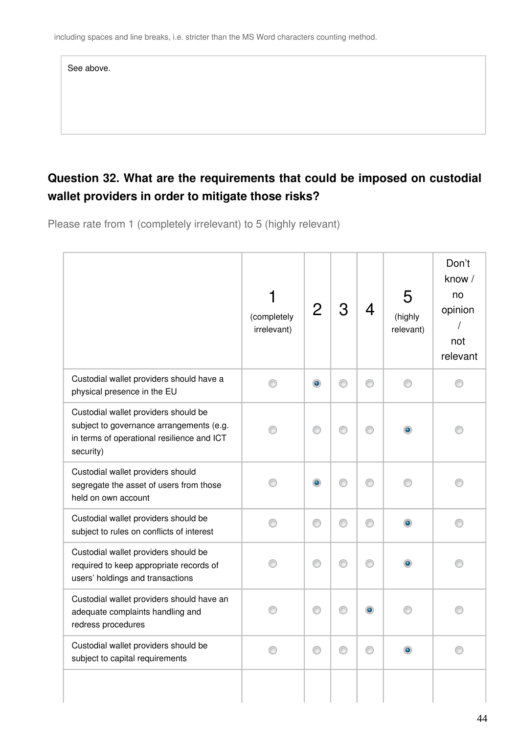| See above. |  |
|------------|--|
|            |  |
|            |  |

# **Question 32. What are the requirements that could be imposed on custodial wallet providers in order to mitigate those risks?**

Please rate from 1 (completely irrelevant) to 5 (highly relevant)

|                                                                                                                                             | (completely<br>irrelevant) | 2         | 3 | 4         | 5<br>(highly<br>relevant) | Don't<br>know /<br>no<br>opinion<br>$\prime$<br>not<br>relevant |
|---------------------------------------------------------------------------------------------------------------------------------------------|----------------------------|-----------|---|-----------|---------------------------|-----------------------------------------------------------------|
| Custodial wallet providers should have a<br>physical presence in the EU                                                                     | ∩                          | $\bullet$ | ⊙ | ⋒         | ∩                         | ∩                                                               |
| Custodial wallet providers should be<br>subject to governance arrangements (e.g.<br>in terms of operational resilience and ICT<br>security) |                            | ∩         |   |           |                           |                                                                 |
| Custodial wallet providers should<br>segregate the asset of users from those<br>held on own account                                         |                            | ۰         | ∩ | ∩         |                           | n                                                               |
| Custodial wallet providers should be<br>subject to rules on conflicts of interest                                                           | ⊙                          | ⊙         | ⊙ | ⊙         | $\bullet$                 | ⊙                                                               |
| Custodial wallet providers should be<br>required to keep appropriate records of<br>users' holdings and transactions                         |                            | ∩         | ⊙ | ⊙         | $\bullet$                 |                                                                 |
| Custodial wallet providers should have an<br>adequate complaints handling and<br>redress procedures                                         |                            | ⊙         | ⊙ | $\bullet$ |                           |                                                                 |
| Custodial wallet providers should be<br>subject to capital requirements                                                                     | ⊙                          | 0         | 0 | ⊙         | ۰                         | ⊙                                                               |
|                                                                                                                                             |                            |           |   |           |                           |                                                                 |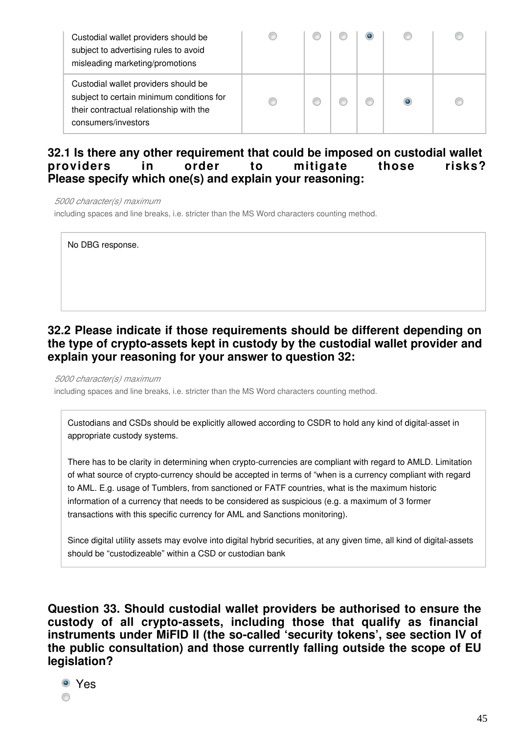| Custodial wallet providers should be<br>subject to advertising rules to avoid<br>misleading marketing/promotions                                    |  |  |  |
|-----------------------------------------------------------------------------------------------------------------------------------------------------|--|--|--|
| Custodial wallet providers should be<br>subject to certain minimum conditions for<br>their contractual relationship with the<br>consumers/investors |  |  |  |

## **32.1 Is there any other requirement that could be imposed on custodial wallet providers in order to mitigate those risks? Please specify which one(s) and explain your reasoning:**

*5000 character(s) maximum*

including spaces and line breaks, i.e. stricter than the MS Word characters counting method.

No DBG response.

## **32.2 Please indicate if those requirements should be different depending on the type of crypto-assets kept in custody by the custodial wallet provider and explain your reasoning for your answer to question 32:**

*5000 character(s) maximum*

including spaces and line breaks, i.e. stricter than the MS Word characters counting method.

Custodians and CSDs should be explicitly allowed according to CSDR to hold any kind of digital-asset in appropriate custody systems.

There has to be clarity in determining when crypto-currencies are compliant with regard to AMLD. Limitation of what source of crypto-currency should be accepted in terms of "when is a currency compliant with regard to AML. E.g. usage of Tumblers, from sanctioned or FATF countries, what is the maximum historic information of a currency that needs to be considered as suspicious (e.g. a maximum of 3 former transactions with this specific currency for AML and Sanctions monitoring).

Since digital utility assets may evolve into digital hybrid securities, at any given time, all kind of digital-assets should be "custodizeable" within a CSD or custodian bank

**Question 33. Should custodial wallet providers be authorised to ensure the custody of all crypto-assets, including those that qualify as financial instruments under MiFID II (the so-called 'security tokens', see section IV of the public consultation) and those currently falling outside the scope of EU legislation?**

Yes ⊙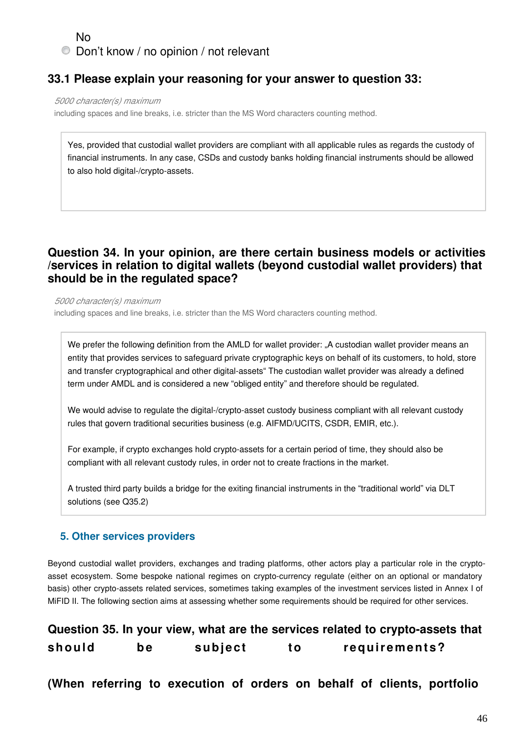## No Don't know / no opinion / not relevant

## **33.1 Please explain your reasoning for your answer to question 33:**

*5000 character(s) maximum*

including spaces and line breaks, i.e. stricter than the MS Word characters counting method.

Yes, provided that custodial wallet providers are compliant with all applicable rules as regards the custody of financial instruments. In any case, CSDs and custody banks holding financial instruments should be allowed to also hold digital-/crypto-assets.

## **Question 34. In your opinion, are there certain business models or activities /services in relation to digital wallets (beyond custodial wallet providers) that should be in the regulated space?**

*5000 character(s) maximum* including spaces and line breaks, i.e. stricter than the MS Word characters counting method.

We prefer the following definition from the AMLD for wallet provider: "A custodian wallet provider means an entity that provides services to safeguard private cryptographic keys on behalf of its customers, to hold, store and transfer cryptographical and other digital-assets" The custodian wallet provider was already a defined term under AMDL and is considered a new "obliged entity" and therefore should be regulated.

We would advise to regulate the digital-/crypto-asset custody business compliant with all relevant custody rules that govern traditional securities business (e.g. AIFMD/UCITS, CSDR, EMIR, etc.).

For example, if crypto exchanges hold crypto-assets for a certain period of time, they should also be compliant with all relevant custody rules, in order not to create fractions in the market.

A trusted third party builds a bridge for the exiting financial instruments in the "traditional world" via DLT solutions (see Q35.2)

#### **5. Other services providers**

Beyond custodial wallet providers, exchanges and trading platforms, other actors play a particular role in the cryptoasset ecosystem. Some bespoke national regimes on crypto-currency regulate (either on an optional or mandatory basis) other crypto-assets related services, sometimes taking examples of the investment services listed in Annex I of MiFID II. The following section aims at assessing whether some requirements should be required for other services.

|        |     |         | Question 35. In your view, what are the services related to crypto-assets that |
|--------|-----|---------|--------------------------------------------------------------------------------|
| should | be. | subject | requirements?                                                                  |

**(When referring to execution of orders on behalf of clients, portfolio**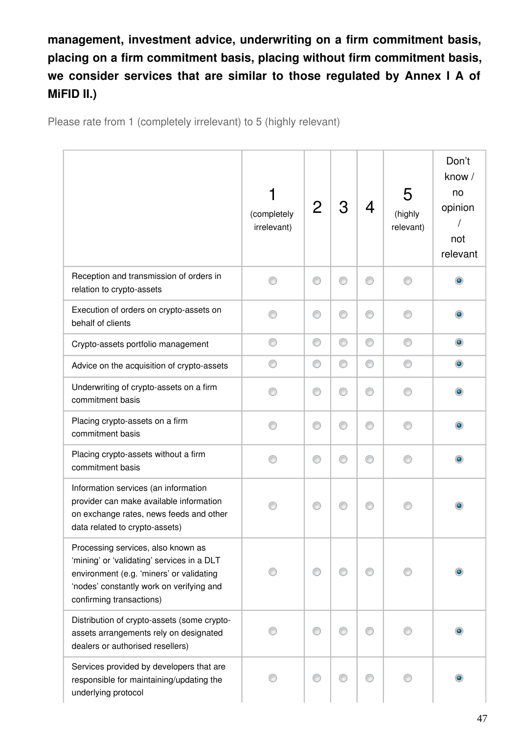**management, investment advice, underwriting on a firm commitment basis, placing on a firm commitment basis, placing without firm commitment basis,**  we consider services that are similar to those regulated by Annex I A of **MiFID II.)**

Please rate from 1 (completely irrelevant) to 5 (highly relevant)

|                                                                                                                                                                                                      | (completely<br>irrelevant) |   | 3 | 4 | 5<br>(highly<br>relevant) | Don't<br>know /<br>no<br>opinion<br>not<br>relevant |
|------------------------------------------------------------------------------------------------------------------------------------------------------------------------------------------------------|----------------------------|---|---|---|---------------------------|-----------------------------------------------------|
| Reception and transmission of orders in<br>relation to crypto-assets                                                                                                                                 |                            |   | ⊙ | ∩ |                           | $\bullet$                                           |
| Execution of orders on crypto-assets on<br>behalf of clients                                                                                                                                         |                            | ⊙ | ⊙ | ∩ |                           |                                                     |
| Crypto-assets portfolio management                                                                                                                                                                   | ⊙                          | ⊙ | 0 | 0 | ∩                         | ۰                                                   |
| Advice on the acquisition of crypto-assets                                                                                                                                                           |                            | O | ⊙ | ⊙ |                           | $\bullet$                                           |
| Underwriting of crypto-assets on a firm<br>commitment basis                                                                                                                                          |                            | € | ⊙ | ∩ |                           |                                                     |
| Placing crypto-assets on a firm<br>commitment basis                                                                                                                                                  |                            | ⋒ | ∩ | ∩ |                           |                                                     |
| Placing crypto-assets without a firm<br>commitment basis                                                                                                                                             |                            | € | ⊙ | ⊙ |                           |                                                     |
| Information services (an information<br>provider can make available information<br>on exchange rates, news feeds and other<br>data related to crypto-assets)                                         |                            |   |   |   |                           |                                                     |
| Processing services, also known as<br>'mining' or 'validating' services in a DLT<br>environment (e.g. 'miners' or validating<br>'nodes' constantly work on verifying and<br>confirming transactions) |                            |   |   |   |                           |                                                     |
| Distribution of crypto-assets (some crypto-<br>assets arrangements rely on designated<br>dealers or authorised resellers)                                                                            |                            |   |   |   |                           |                                                     |
| Services provided by developers that are<br>responsible for maintaining/updating the<br>underlying protocol                                                                                          |                            |   |   |   |                           |                                                     |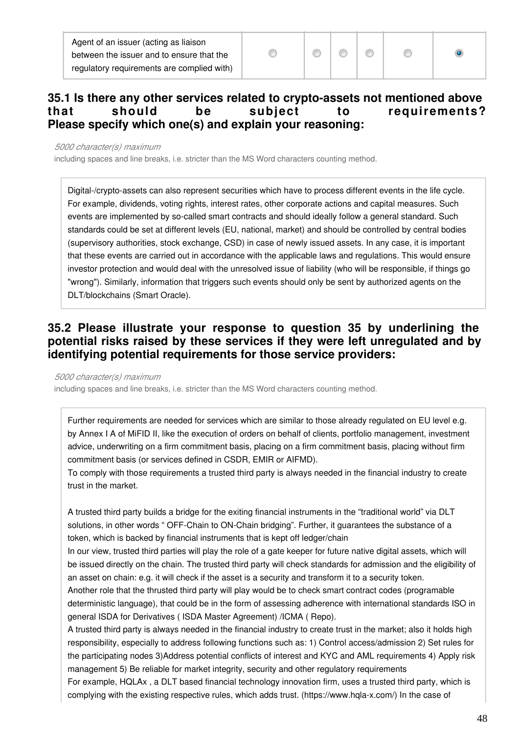Agent of an issuer (acting as liaison between the issuer and to ensure that the regulatory requirements are complied with)



## **35.1 Is there any other services related to crypto-assets not mentioned above that should be subject to requirements? Please specify which one(s) and explain your reasoning:**

#### *5000 character(s) maximum*

including spaces and line breaks, i.e. stricter than the MS Word characters counting method.

Digital-/crypto-assets can also represent securities which have to process different events in the life cycle. For example, dividends, voting rights, interest rates, other corporate actions and capital measures. Such events are implemented by so-called smart contracts and should ideally follow a general standard. Such standards could be set at different levels (EU, national, market) and should be controlled by central bodies (supervisory authorities, stock exchange, CSD) in case of newly issued assets. In any case, it is important that these events are carried out in accordance with the applicable laws and regulations. This would ensure investor protection and would deal with the unresolved issue of liability (who will be responsible, if things go "wrong"). Similarly, information that triggers such events should only be sent by authorized agents on the DLT/blockchains (Smart Oracle).

## **35.2 Please illustrate your response to question 35 by underlining the potential risks raised by these services if they were left unregulated and by identifying potential requirements for those service providers:**

#### *5000 character(s) maximum*

including spaces and line breaks, i.e. stricter than the MS Word characters counting method.

Further requirements are needed for services which are similar to those already regulated on EU level e.g. by Annex I A of MiFID II, like the execution of orders on behalf of clients, portfolio management, investment advice, underwriting on a firm commitment basis, placing on a firm commitment basis, placing without firm commitment basis (or services defined in CSDR, EMIR or AIFMD).

To comply with those requirements a trusted third party is always needed in the financial industry to create trust in the market.

A trusted third party builds a bridge for the exiting financial instruments in the "traditional world" via DLT solutions, in other words " OFF-Chain to ON-Chain bridging". Further, it guarantees the substance of a token, which is backed by financial instruments that is kept off ledger/chain

In our view, trusted third parties will play the role of a gate keeper for future native digital assets, which will be issued directly on the chain. The trusted third party will check standards for admission and the eligibility of an asset on chain: e.g. it will check if the asset is a security and transform it to a security token.

Another role that the thrusted third party will play would be to check smart contract codes (programable deterministic language), that could be in the form of assessing adherence with international standards ISO in general ISDA for Derivatives ( ISDA Master Agreement) /ICMA ( Repo).

A trusted third party is always needed in the financial industry to create trust in the market; also it holds high responsibility, especially to address following functions such as: 1) Control access/admission 2) Set rules for the participating nodes 3)Address potential conflicts of interest and KYC and AML requirements 4) Apply risk management 5) Be reliable for market integrity, security and other regulatory requirements

For example, HQLAx , a DLT based financial technology innovation firm, uses a trusted third party, which is complying with the existing respective rules, which adds trust. (https://www.hqla-x.com/) In the case of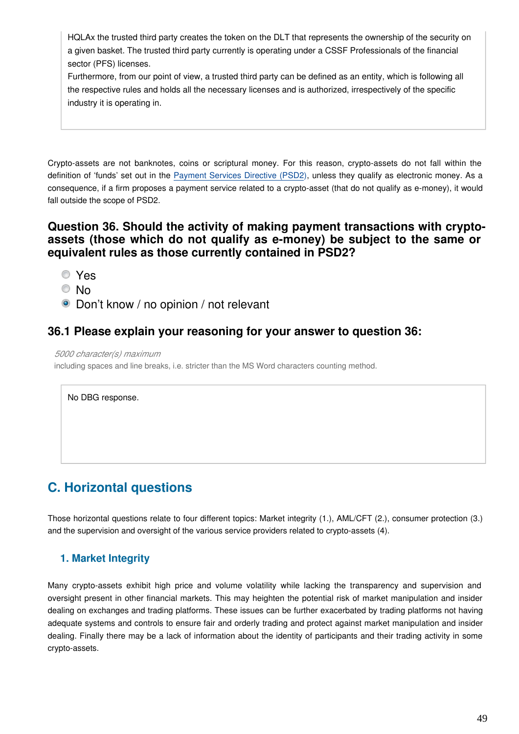HQLAx the trusted third party creates the token on the DLT that represents the ownership of the security on a given basket. The trusted third party currently is operating under a CSSF Professionals of the financial sector (PFS) licenses.

Furthermore, from our point of view, a trusted third party can be defined as an entity, which is following all the respective rules and holds all the necessary licenses and is authorized, irrespectively of the specific industry it is operating in.

Crypto-assets are not banknotes, coins or scriptural money. For this reason, crypto-assets do not fall within the definition of 'funds' set out in the [Payment Services Directive \(PSD2\)](https://eur-lex.europa.eu/legal-content/EN/TXT/?uri=CELEX:32015L2366), unless they qualify as electronic money. As a consequence, if a firm proposes a payment service related to a crypto-asset (that do not qualify as e-money), it would fall outside the scope of PSD2.

## **Question 36. Should the activity of making payment transactions with cryptoassets (those which do not qualify as e-money) be subject to the same or equivalent rules as those currently contained in PSD2?**

- Yes
- © No
- Don't know / no opinion / not relevant

## **36.1 Please explain your reasoning for your answer to question 36:**

*5000 character(s) maximum*

including spaces and line breaks, i.e. stricter than the MS Word characters counting method.

No DBG response.

# **C. Horizontal questions**

Those horizontal questions relate to four different topics: Market integrity (1.), AML/CFT (2.), consumer protection (3.) and the supervision and oversight of the various service providers related to crypto-assets (4).

#### **1. Market Integrity**

Many crypto-assets exhibit high price and volume volatility while lacking the transparency and supervision and oversight present in other financial markets. This may heighten the potential risk of market manipulation and insider dealing on exchanges and trading platforms. These issues can be further exacerbated by trading platforms not having adequate systems and controls to ensure fair and orderly trading and protect against market manipulation and insider dealing. Finally there may be a lack of information about the identity of participants and their trading activity in some crypto-assets.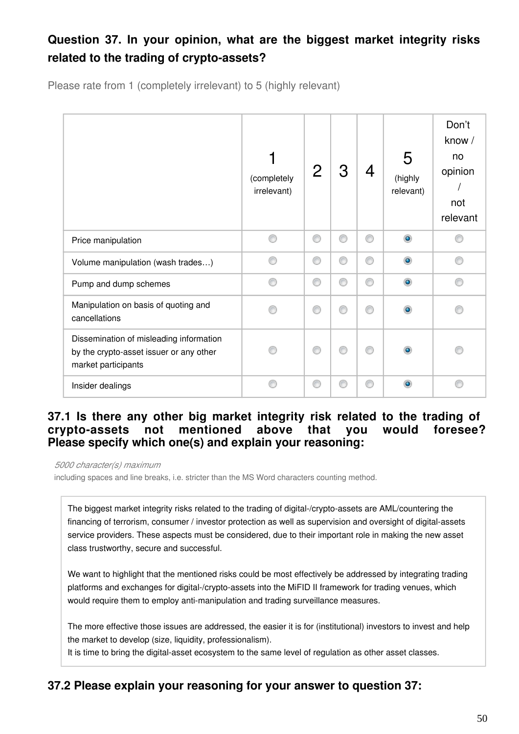# **Question 37. In your opinion, what are the biggest market integrity risks related to the trading of crypto-assets?**

Please rate from 1 (completely irrelevant) to 5 (highly relevant)

|                                                                                                           | (completely<br>irrelevant) | 2 | З | 4 | 5<br>(highly<br>relevant) | Don't<br>know /<br>no<br>opinion<br>not<br>relevant |
|-----------------------------------------------------------------------------------------------------------|----------------------------|---|---|---|---------------------------|-----------------------------------------------------|
| Price manipulation                                                                                        |                            | C | ⊙ | ⊙ | $\bullet$                 |                                                     |
| Volume manipulation (wash trades)                                                                         |                            | C | ⊙ | ⊙ | ۵                         | ⊙                                                   |
| Pump and dump schemes                                                                                     |                            | ⋒ | ⊙ | ⊙ | $\bullet$                 | ⋒                                                   |
| Manipulation on basis of quoting and<br>cancellations                                                     |                            | ⋒ | ⋒ | ◎ |                           |                                                     |
| Dissemination of misleading information<br>by the crypto-asset issuer or any other<br>market participants |                            | ⋒ | ∩ | ∩ |                           |                                                     |
| Insider dealings                                                                                          |                            | ⋒ | ⋒ | ∩ |                           |                                                     |

## **37.1 Is there any other big market integrity risk related to the trading of crypto-assets not mentioned above that you would foresee? Please specify which one(s) and explain your reasoning:**

*5000 character(s) maximum*

including spaces and line breaks, i.e. stricter than the MS Word characters counting method.

The biggest market integrity risks related to the trading of digital-/crypto-assets are AML/countering the financing of terrorism, consumer / investor protection as well as supervision and oversight of digital-assets service providers. These aspects must be considered, due to their important role in making the new asset class trustworthy, secure and successful.

We want to highlight that the mentioned risks could be most effectively be addressed by integrating trading platforms and exchanges for digital-/crypto-assets into the MiFID II framework for trading venues, which would require them to employ anti-manipulation and trading surveillance measures.

The more effective those issues are addressed, the easier it is for (institutional) investors to invest and help the market to develop (size, liquidity, professionalism).

It is time to bring the digital-asset ecosystem to the same level of regulation as other asset classes.

## **37.2 Please explain your reasoning for your answer to question 37:**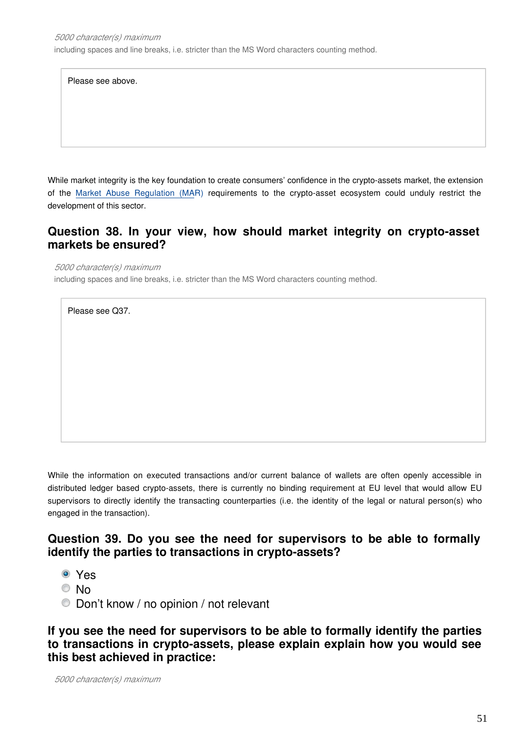Please see above.

While market integrity is the key foundation to create consumers' confidence in the crypto-assets market, the extension of the [Market Abuse Regulation \(MA](https://eur-lex.europa.eu/legal-content/EN/TXT/?uri=CELEX:32014R0596)R) requirements to the crypto-asset ecosystem could unduly restrict the development of this sector.

## **Question 38. In your view, how should market integrity on crypto-asset markets be ensured?**

*5000 character(s) maximum*

including spaces and line breaks, i.e. stricter than the MS Word characters counting method.

Please see Q37.

While the information on executed transactions and/or current balance of wallets are often openly accessible in distributed ledger based crypto-assets, there is currently no binding requirement at EU level that would allow EU supervisors to directly identify the transacting counterparties (i.e. the identity of the legal or natural person(s) who engaged in the transaction).

## **Question 39. Do you see the need for supervisors to be able to formally identify the parties to transactions in crypto-assets?**

- Yes
- © No
- Don't know / no opinion / not relevant

**If you see the need for supervisors to be able to formally identify the parties to transactions in crypto-assets, please explain explain how you would see this best achieved in practice:**

*5000 character(s) maximum*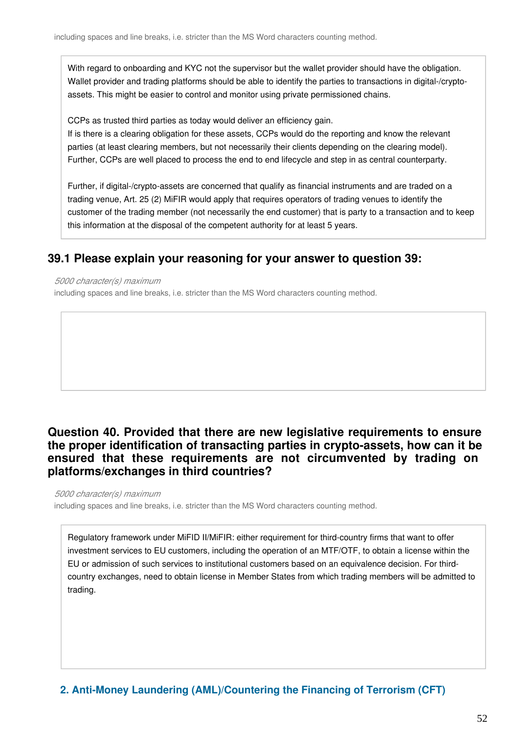With regard to onboarding and KYC not the supervisor but the wallet provider should have the obligation. Wallet provider and trading platforms should be able to identify the parties to transactions in digital-/cryptoassets. This might be easier to control and monitor using private permissioned chains.

CCPs as trusted third parties as today would deliver an efficiency gain.

If is there is a clearing obligation for these assets, CCPs would do the reporting and know the relevant parties (at least clearing members, but not necessarily their clients depending on the clearing model). Further, CCPs are well placed to process the end to end lifecycle and step in as central counterparty.

Further, if digital-/crypto-assets are concerned that qualify as financial instruments and are traded on a trading venue, Art. 25 (2) MiFIR would apply that requires operators of trading venues to identify the customer of the trading member (not necessarily the end customer) that is party to a transaction and to keep this information at the disposal of the competent authority for at least 5 years.

## **39.1 Please explain your reasoning for your answer to question 39:**

#### *5000 character(s) maximum*

including spaces and line breaks, i.e. stricter than the MS Word characters counting method.

## **Question 40. Provided that there are new legislative requirements to ensure the proper identification of transacting parties in crypto-assets, how can it be ensured that these requirements are not circumvented by trading on platforms/exchanges in third countries?**

*5000 character(s) maximum*

including spaces and line breaks, i.e. stricter than the MS Word characters counting method.

Regulatory framework under MiFID II/MiFIR: either requirement for third-country firms that want to offer investment services to EU customers, including the operation of an MTF/OTF, to obtain a license within the EU or admission of such services to institutional customers based on an equivalence decision. For thirdcountry exchanges, need to obtain license in Member States from which trading members will be admitted to trading.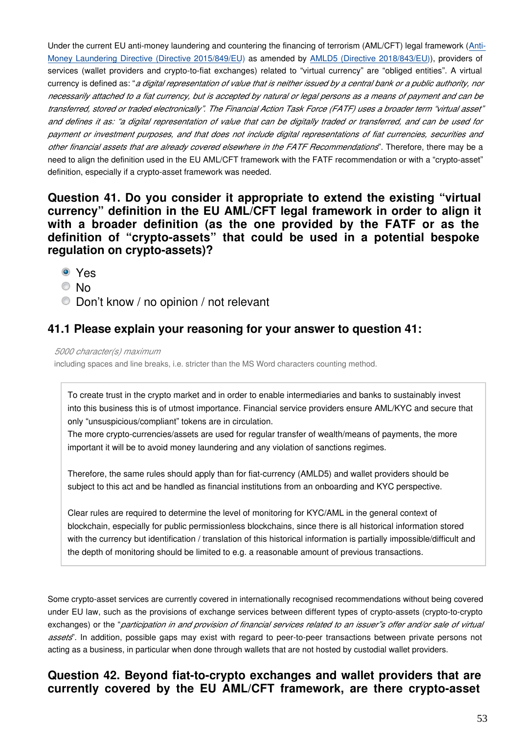Under the current EU anti-money laundering and countering the financing of terrorism (AML/CFT) legal framework ([Anti-](https://eur-lex.europa.eu/legal-content/EN/TXT/?uri=CELEX:32015L0849)[Money Laundering Directive \(Directive 2015/849/EU](https://eur-lex.europa.eu/legal-content/EN/TXT/?uri=CELEX:32015L0849)) as amended by [AMLD5 \(Directive 2018/843/EU\)](https://eur-lex.europa.eu/legal-content/EN/TXT/?uri=CELEX:32018L0843)), providers of services (wallet providers and crypto-to-fiat exchanges) related to "virtual currency" are "obliged entities". A virtual currency is defined as: "*a digital representation of value that is neither issued by a central bank or a public authority, nor necessarily attached to a fiat currency, but is accepted by natural or legal persons as a means of payment and can be transferred, stored or traded electronically". The Financial Action Task Force (FATF) uses a broader term "virtual asset" and defines it as: "a digital representation of value that can be digitally traded or transferred, and can be used for payment or investment purposes, and that does not include digital representations of fiat currencies, securities and other financial assets that are already covered elsewhere in the FATF Recommendations*". Therefore, there may be a need to align the definition used in the EU AML/CFT framework with the FATF recommendation or with a "crypto-asset" definition, especially if a crypto-asset framework was needed.

### **Question 41. Do you consider it appropriate to extend the existing "virtual currency" definition in the EU AML/CFT legal framework in order to align it with a broader definition (as the one provided by the FATF or as the definition of "crypto-assets" that could be used in a potential bespoke regulation on crypto-assets)?**

- Yes
- © No
- Don't know / no opinion / not relevant

## **41.1 Please explain your reasoning for your answer to question 41:**

*5000 character(s) maximum*

including spaces and line breaks, i.e. stricter than the MS Word characters counting method.

To create trust in the crypto market and in order to enable intermediaries and banks to sustainably invest into this business this is of utmost importance. Financial service providers ensure AML/KYC and secure that only "unsuspicious/compliant" tokens are in circulation.

The more crypto-currencies/assets are used for regular transfer of wealth/means of payments, the more important it will be to avoid money laundering and any violation of sanctions regimes.

Therefore, the same rules should apply than for fiat-currency (AMLD5) and wallet providers should be subject to this act and be handled as financial institutions from an onboarding and KYC perspective.

Clear rules are required to determine the level of monitoring for KYC/AML in the general context of blockchain, especially for public permissionless blockchains, since there is all historical information stored with the currency but identification / translation of this historical information is partially impossible/difficult and the depth of monitoring should be limited to e.g. a reasonable amount of previous transactions.

Some crypto-asset services are currently covered in internationally recognised recommendations without being covered under EU law, such as the provisions of exchange services between different types of crypto-assets (crypto-to-crypto exchanges) or the "*participation in and provision of financial services related to an issuer"s offer and/or sale of virtual assets*". In addition, possible gaps may exist with regard to peer-to-peer transactions between private persons not acting as a business, in particular when done through wallets that are not hosted by custodial wallet providers.

### **Question 42. Beyond fiat-to-crypto exchanges and wallet providers that are currently covered by the EU AML/CFT framework, are there crypto-asset**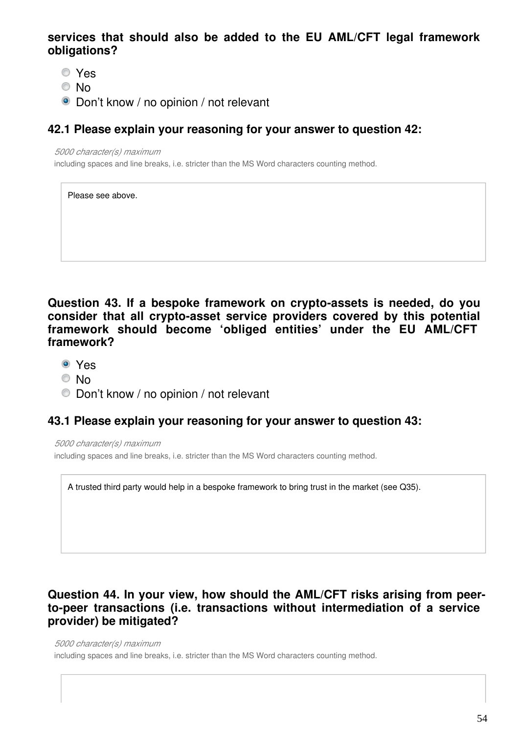## **services that should also be added to the EU AML/CFT legal framework obligations?**

- Yes
- © No
- **O** Don't know / no opinion / not relevant

## **42.1 Please explain your reasoning for your answer to question 42:**

*5000 character(s) maximum*

including spaces and line breaks, i.e. stricter than the MS Word characters counting method.

| Please see above. |
|-------------------|
|                   |
|                   |
|                   |

**Question 43. If a bespoke framework on crypto-assets is needed, do you consider that all crypto-asset service providers covered by this potential framework should become 'obliged entities' under the EU AML/CFT framework?**

- Yes
- © No
- Don't know / no opinion / not relevant

## **43.1 Please explain your reasoning for your answer to question 43:**

*5000 character(s) maximum* including spaces and line breaks, i.e. stricter than the MS Word characters counting method.

A trusted third party would help in a bespoke framework to bring trust in the market (see Q35).

## **Question 44. In your view, how should the AML/CFT risks arising from peerto-peer transactions (i.e. transactions without intermediation of a service provider) be mitigated?**

*5000 character(s) maximum* including spaces and line breaks, i.e. stricter than the MS Word characters counting method.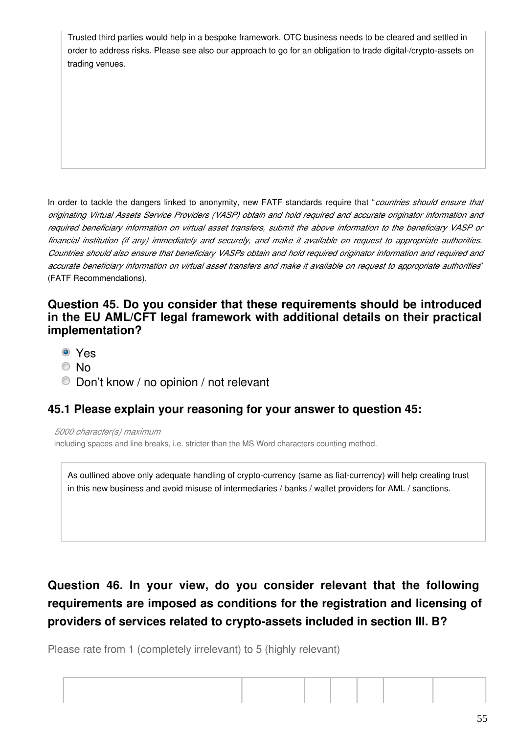Trusted third parties would help in a bespoke framework. OTC business needs to be cleared and settled in order to address risks. Please see also our approach to go for an obligation to trade digital-/crypto-assets on trading venues.

In order to tackle the dangers linked to anonymity, new FATF standards require that "*countries should ensure that originating Virtual Assets Service Providers (VASP) obtain and hold required and accurate originator information and required beneficiary information on virtual asset transfers, submit the above information to the beneficiary VASP or financial institution (if any) immediately and securely, and make it available on request to appropriate authorities. Countries should also ensure that beneficiary VASPs obtain and hold required originator information and required and accurate beneficiary information on virtual asset transfers and make it available on request to appropriate authorities*" (FATF Recommendations).

## **Question 45. Do you consider that these requirements should be introduced in the EU AML/CFT legal framework with additional details on their practical implementation?**

- Yes
- © No
- Don't know / no opinion / not relevant

## **45.1 Please explain your reasoning for your answer to question 45:**

*5000 character(s) maximum*

including spaces and line breaks, i.e. stricter than the MS Word characters counting method.

As outlined above only adequate handling of crypto-currency (same as fiat-currency) will help creating trust in this new business and avoid misuse of intermediaries / banks / wallet providers for AML / sanctions.

# **Question 46. In your view, do you consider relevant that the following requirements are imposed as conditions for the registration and licensing of providers of services related to crypto-assets included in section III. B?**

Please rate from 1 (completely irrelevant) to 5 (highly relevant)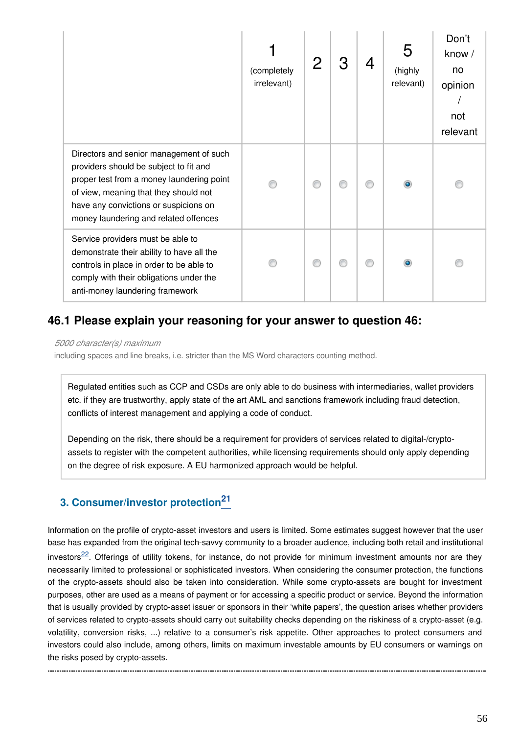|                                                                                                                                                                                                                                                           | (completely<br>irrelevant) |  | 5<br>(highly<br>relevant) | Don't<br>know /<br>no<br>opinion<br>not<br>relevant |
|-----------------------------------------------------------------------------------------------------------------------------------------------------------------------------------------------------------------------------------------------------------|----------------------------|--|---------------------------|-----------------------------------------------------|
| Directors and senior management of such<br>providers should be subject to fit and<br>proper test from a money laundering point<br>of view, meaning that they should not<br>have any convictions or suspicions on<br>money laundering and related offences |                            |  |                           |                                                     |
| Service providers must be able to<br>demonstrate their ability to have all the<br>controls in place in order to be able to<br>comply with their obligations under the<br>anti-money laundering framework                                                  |                            |  |                           |                                                     |

## **46.1 Please explain your reasoning for your answer to question 46:**

*5000 character(s) maximum*

including spaces and line breaks, i.e. stricter than the MS Word characters counting method.

Regulated entities such as CCP and CSDs are only able to do business with intermediaries, wallet providers etc. if they are trustworthy, apply state of the art AML and sanctions framework including fraud detection, conflicts of interest management and applying a code of conduct.

Depending on the risk, there should be a requirement for providers of services related to digital-/cryptoassets to register with the competent authorities, while licensing requirements should only apply depending on the degree of risk exposure. A EU harmonized approach would be helpful.

# **3. Consumer/investor protection[21](#page-56-0)**

Information on the profile of crypto-asset investors and users is limited. Some estimates suggest however that the user base has expanded from the original tech-savvy community to a broader audience, including both retail and institutional investors $^{22}$  $^{22}$  $^{22}$ . Offerings of utility tokens, for instance, do not provide for minimum investment amounts nor are they necessarily limited to professional or sophisticated investors. When considering the consumer protection, the functions of the crypto-assets should also be taken into consideration. While some crypto-assets are bought for investment purposes, other are used as a means of payment or for accessing a specific product or service. Beyond the information that is usually provided by crypto-asset issuer or sponsors in their 'white papers', the question arises whether providers of services related to crypto-assets should carry out suitability checks depending on the riskiness of a crypto-asset (e.g. volatility, conversion risks, ...) relative to a consumer's risk appetite. Other approaches to protect consumers and investors could also include, among others, limits on maximum investable amounts by EU consumers or warnings on the risks posed by crypto-assets.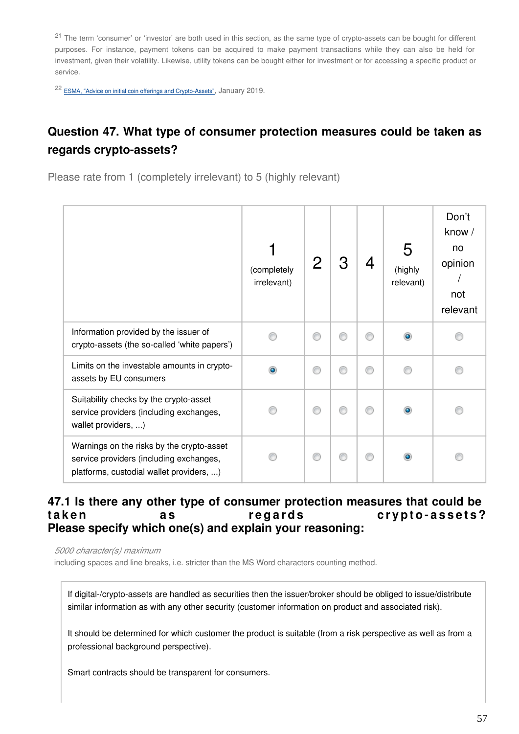<span id="page-56-0"></span><sup>21</sup> The term 'consumer' or 'investor' are both used in this section, as the same type of crypto-assets can be bought for different purposes. For instance, payment tokens can be acquired to make payment transactions while they can also be held for investment, given their volatility. Likewise, utility tokens can be bought either for investment or for accessing a specific product or service.

<span id="page-56-1"></span><sup>22</sup> [ESMA, "Advice on initial coin offerings and Crypto-Assets"](https://www.esma.europa.eu/sites/default/files/library/esma50-157-1391_crypto_advice.pdf), January 2019.

# **Question 47. What type of consumer protection measures could be taken as regards crypto-assets?**

Please rate from 1 (completely irrelevant) to 5 (highly relevant)

|                                                                                                                                  | (completely<br>irrelevant) |   |   | 5<br>(highly<br>relevant) | Don't<br>know /<br>no<br>opinion<br>not<br>relevant |
|----------------------------------------------------------------------------------------------------------------------------------|----------------------------|---|---|---------------------------|-----------------------------------------------------|
| Information provided by the issuer of<br>crypto-assets (the so-called 'white papers')                                            |                            |   | ⋒ |                           |                                                     |
| Limits on the investable amounts in crypto-<br>assets by EU consumers                                                            |                            | e | ⋒ |                           |                                                     |
| Suitability checks by the crypto-asset<br>service providers (including exchanges,<br>wallet providers, )                         |                            |   | ⋒ |                           |                                                     |
| Warnings on the risks by the crypto-asset<br>service providers (including exchanges,<br>platforms, custodial wallet providers, ) |                            | ⋒ | ⋒ |                           |                                                     |

### **47.1 Is there any other type of consumer protection measures that could be**  taken as regards crypto-assets? **Please specify which one(s) and explain your reasoning:**

*5000 character(s) maximum*

including spaces and line breaks, i.e. stricter than the MS Word characters counting method.

If digital-/crypto-assets are handled as securities then the issuer/broker should be obliged to issue/distribute similar information as with any other security (customer information on product and associated risk).

It should be determined for which customer the product is suitable (from a risk perspective as well as from a professional background perspective).

Smart contracts should be transparent for consumers.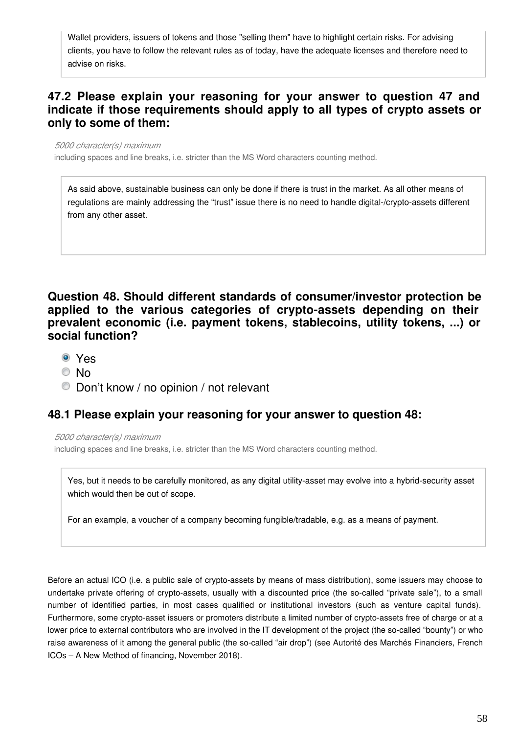Wallet providers, issuers of tokens and those "selling them" have to highlight certain risks. For advising clients, you have to follow the relevant rules as of today, have the adequate licenses and therefore need to advise on risks.

## **47.2 Please explain your reasoning for your answer to question 47 and indicate if those requirements should apply to all types of crypto assets or only to some of them:**

*5000 character(s) maximum*

including spaces and line breaks, i.e. stricter than the MS Word characters counting method.

As said above, sustainable business can only be done if there is trust in the market. As all other means of regulations are mainly addressing the "trust" issue there is no need to handle digital-/crypto-assets different from any other asset.

**Question 48. Should different standards of consumer/investor protection be applied to the various categories of crypto-assets depending on their prevalent economic (i.e. payment tokens, stablecoins, utility tokens, ...) or social function?**

- Yes
- © No
- Don't know / no opinion / not relevant

#### **48.1 Please explain your reasoning for your answer to question 48:**

*5000 character(s) maximum*

including spaces and line breaks, i.e. stricter than the MS Word characters counting method.

Yes, but it needs to be carefully monitored, as any digital utility-asset may evolve into a hybrid-security asset which would then be out of scope.

For an example, a voucher of a company becoming fungible/tradable, e.g. as a means of payment.

Before an actual ICO (i.e. a public sale of crypto-assets by means of mass distribution), some issuers may choose to undertake private offering of crypto-assets, usually with a discounted price (the so-called "private sale"), to a small number of identified parties, in most cases qualified or institutional investors (such as venture capital funds). Furthermore, some crypto-asset issuers or promoters distribute a limited number of crypto-assets free of charge or at a lower price to external contributors who are involved in the IT development of the project (the so-called "bounty") or who raise awareness of it among the general public (the so-called "air drop") (see Autorité des Marchés Financiers, French ICOs – A New Method of financing, November 2018).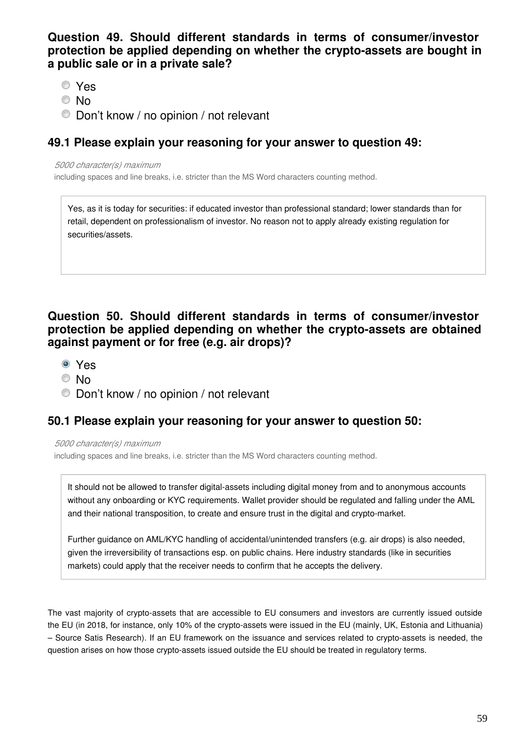**Question 49. Should different standards in terms of consumer/investor protection be applied depending on whether the crypto-assets are bought in a public sale or in a private sale?**

- Yes
- © No
- Don't know / no opinion / not relevant

### **49.1 Please explain your reasoning for your answer to question 49:**

*5000 character(s) maximum*

including spaces and line breaks, i.e. stricter than the MS Word characters counting method.

Yes, as it is today for securities: if educated investor than professional standard; lower standards than for retail, dependent on professionalism of investor. No reason not to apply already existing regulation for securities/assets.

## **Question 50. Should different standards in terms of consumer/investor protection be applied depending on whether the crypto-assets are obtained against payment or for free (e.g. air drops)?**

- Yes
- No
- Don't know / no opinion / not relevant

## **50.1 Please explain your reasoning for your answer to question 50:**

*5000 character(s) maximum*

including spaces and line breaks, i.e. stricter than the MS Word characters counting method.

It should not be allowed to transfer digital-assets including digital money from and to anonymous accounts without any onboarding or KYC requirements. Wallet provider should be regulated and falling under the AML and their national transposition, to create and ensure trust in the digital and crypto-market.

Further guidance on AML/KYC handling of accidental/unintended transfers (e.g. air drops) is also needed, given the irreversibility of transactions esp. on public chains. Here industry standards (like in securities markets) could apply that the receiver needs to confirm that he accepts the delivery.

The vast majority of crypto-assets that are accessible to EU consumers and investors are currently issued outside the EU (in 2018, for instance, only 10% of the crypto-assets were issued in the EU (mainly, UK, Estonia and Lithuania) – Source Satis Research). If an EU framework on the issuance and services related to crypto-assets is needed, the question arises on how those crypto-assets issued outside the EU should be treated in regulatory terms.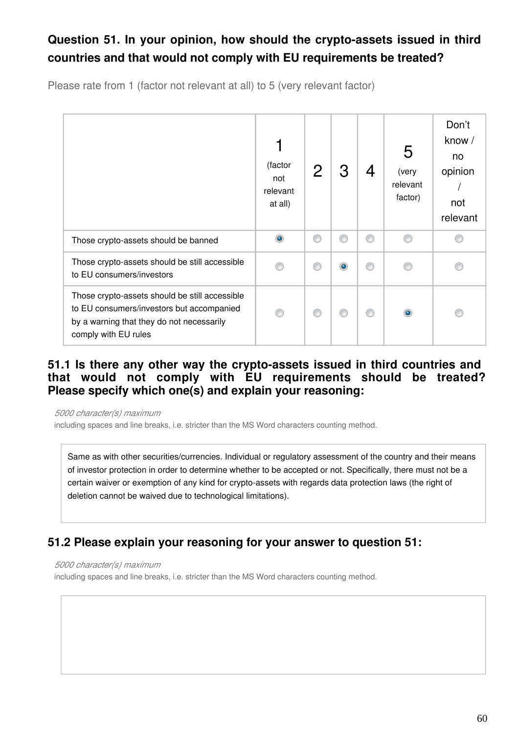# **Question 51. In your opinion, how should the crypto-assets issued in third countries and that would not comply with EU requirements be treated?**

Please rate from 1 (factor not relevant at all) to 5 (very relevant factor)

|                                                                                                                                                                  | (factor<br>not<br>relevant<br>at all) |    | З         | 4 | 5<br>(very<br>relevant<br>factor) | Don't<br>know /<br>no<br>opinion<br>not<br>relevant |
|------------------------------------------------------------------------------------------------------------------------------------------------------------------|---------------------------------------|----|-----------|---|-----------------------------------|-----------------------------------------------------|
| Those crypto-assets should be banned                                                                                                                             | $\bullet$                             | ⋒  | ⋒         | ⊙ |                                   |                                                     |
| Those crypto-assets should be still accessible<br>to EU consumers/investors                                                                                      |                                       | 66 | $\bullet$ | ⊙ |                                   |                                                     |
| Those crypto-assets should be still accessible<br>to EU consumers/investors but accompanied<br>by a warning that they do not necessarily<br>comply with EU rules |                                       | 6  |           | ⋒ |                                   |                                                     |

## **51.1 Is there any other way the crypto-assets issued in third countries and that would not comply with EU requirements should be treated? Please specify which one(s) and explain your reasoning:**

*5000 character(s) maximum* including spaces and line breaks, i.e. stricter than the MS Word characters counting method.

Same as with other securities/currencies. Individual or regulatory assessment of the country and their means of investor protection in order to determine whether to be accepted or not. Specifically, there must not be a certain waiver or exemption of any kind for crypto-assets with regards data protection laws (the right of deletion cannot be waived due to technological limitations).

## **51.2 Please explain your reasoning for your answer to question 51:**

*5000 character(s) maximum*

including spaces and line breaks, i.e. stricter than the MS Word characters counting method.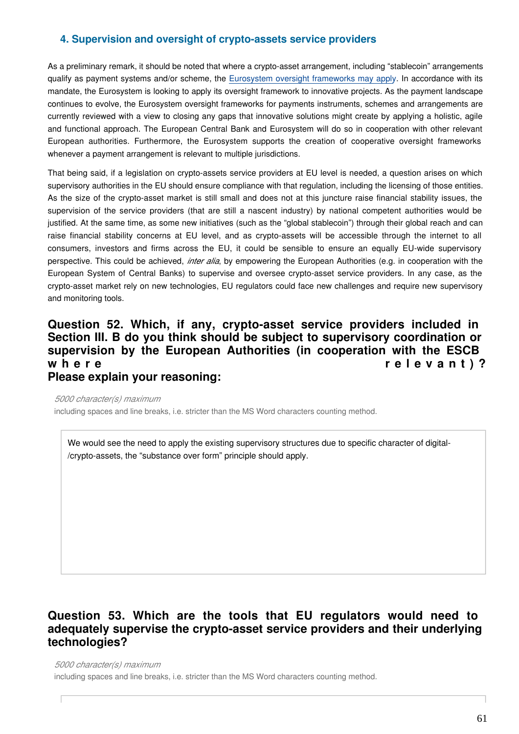#### **4. Supervision and oversight of crypto-assets service providers**

As a preliminary remark, it should be noted that where a crypto-asset arrangement, including "stablecoin" arrangements qualify as payment systems and/or scheme, the [Eurosystem oversight frameworks may apply](https://www.ecb.europa.eu/paym/pol/html/index.en.html). In accordance with its mandate, the Eurosystem is looking to apply its oversight framework to innovative projects. As the payment landscape continues to evolve, the Eurosystem oversight frameworks for payments instruments, schemes and arrangements are currently reviewed with a view to closing any gaps that innovative solutions might create by applying a holistic, agile and functional approach. The European Central Bank and Eurosystem will do so in cooperation with other relevant European authorities. Furthermore, the Eurosystem supports the creation of cooperative oversight frameworks whenever a payment arrangement is relevant to multiple jurisdictions.

That being said, if a legislation on crypto-assets service providers at EU level is needed, a question arises on which supervisory authorities in the EU should ensure compliance with that regulation, including the licensing of those entities. As the size of the crypto-asset market is still small and does not at this juncture raise financial stability issues, the supervision of the service providers (that are still a nascent industry) by national competent authorities would be justified. At the same time, as some new initiatives (such as the "global stablecoin") through their global reach and can raise financial stability concerns at EU level, and as crypto-assets will be accessible through the internet to all consumers, investors and firms across the EU, it could be sensible to ensure an equally EU-wide supervisory perspective. This could be achieved, *inter alia*, by empowering the European Authorities (e.g. in cooperation with the European System of Central Banks) to supervise and oversee crypto-asset service providers. In any case, as the crypto-asset market rely on new technologies, EU regulators could face new challenges and require new supervisory and monitoring tools.

#### **Question 52. Which, if any, crypto-asset service providers included in Section III. B do you think should be subject to supervisory coordination or supervision by the European Authorities (in cooperation with the ESCB**  where relevant)? **Please explain your reasoning:**

*5000 character(s) maximum* including spaces and line breaks, i.e. stricter than the MS Word characters counting method.

We would see the need to apply the existing supervisory structures due to specific character of digital- /crypto-assets, the "substance over form" principle should apply.

## **Question 53. Which are the tools that EU regulators would need to adequately supervise the crypto-asset service providers and their underlying technologies?**

*5000 character(s) maximum*

including spaces and line breaks, i.e. stricter than the MS Word characters counting method.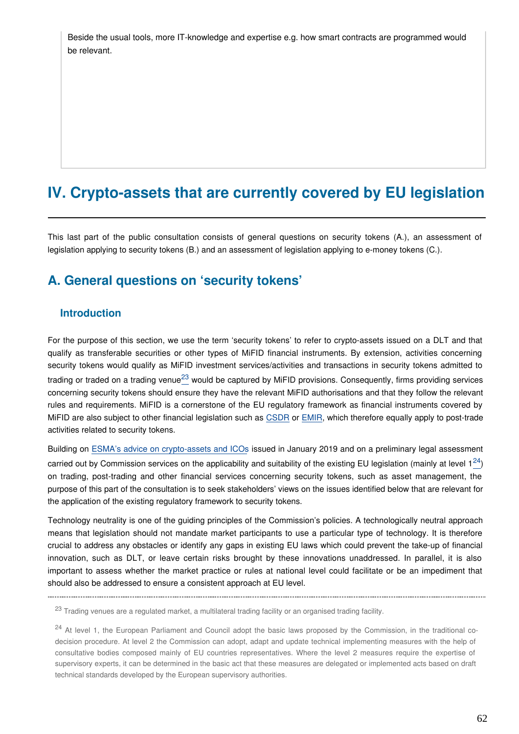Beside the usual tools, more IT-knowledge and expertise e.g. how smart contracts are programmed would be relevant.

# **IV. Crypto-assets that are currently covered by EU legislation**

This last part of the public consultation consists of general questions on security tokens (A.), an assessment of legislation applying to security tokens (B.) and an assessment of legislation applying to e-money tokens (C.).

## **A. General questions on 'security tokens'**

#### **Introduction**

For the purpose of this section, we use the term 'security tokens' to refer to crypto-assets issued on a DLT and that qualify as transferable securities or other types of MiFID financial instruments. By extension, activities concerning security tokens would qualify as MiFID investment services/activities and transactions in security tokens admitted to tradingor traded on a trading venue<sup>23</sup> would be captured by MiFID provisions. Consequently, firms providing services concerning security tokens should ensure they have the relevant MiFID authorisations and that they follow the relevant rules and requirements. MiFID is a cornerstone of the EU regulatory framework as financial instruments covered by MiFID are also subject to other financial legislation such as [CSDR](https://eur-lex.europa.eu/legal-content/EN/TXT/?uri=CELEX:32014R0909) or [EMIR,](https://eur-lex.europa.eu/legal-content/EN/TXT/?uri=CELEX:32012R0648) which therefore equally apply to post-trade activities related to security tokens.

Building on [ESMA's advice on crypto-assets and ICOs](https://www.esma.europa.eu/sites/default/files/library/esma50-157-1391_crypto_advice.pdf) issued in January 2019 and on a preliminary legal assessment carried out by Commission services on the applicability and suitability of the existing EU legislation (mainly at level  $1^{24}$  $1^{24}$  $1^{24}$ ) on trading, post-trading and other financial services concerning security tokens, such as asset management, the purpose of this part of the consultation is to seek stakeholders' views on the issues identified below that are relevant for the application of the existing regulatory framework to security tokens.

Technology neutrality is one of the guiding principles of the Commission's policies. A technologically neutral approach means that legislation should not mandate market participants to use a particular type of technology. It is therefore crucial to address any obstacles or identify any gaps in existing EU laws which could prevent the take-up of financial innovation, such as DLT, or leave certain risks brought by these innovations unaddressed. In parallel, it is also important to assess whether the market practice or rules at national level could facilitate or be an impediment that should also be addressed to ensure a consistent approach at EU level.

<span id="page-61-0"></span>

<sup>&</sup>lt;sup>23</sup> Trading venues are a regulated market, a multilateral trading facility or an organised trading facility.

<span id="page-61-1"></span><sup>&</sup>lt;sup>24</sup> At level 1, the European Parliament and Council adopt the basic laws proposed by the Commission, in the traditional codecision procedure. At level 2 the Commission can adopt, adapt and update technical implementing measures with the help of consultative bodies composed mainly of EU countries representatives. Where the level 2 measures require the expertise of supervisory experts, it can be determined in the basic act that these measures are delegated or implemented acts based on draft technical standards developed by the European supervisory authorities.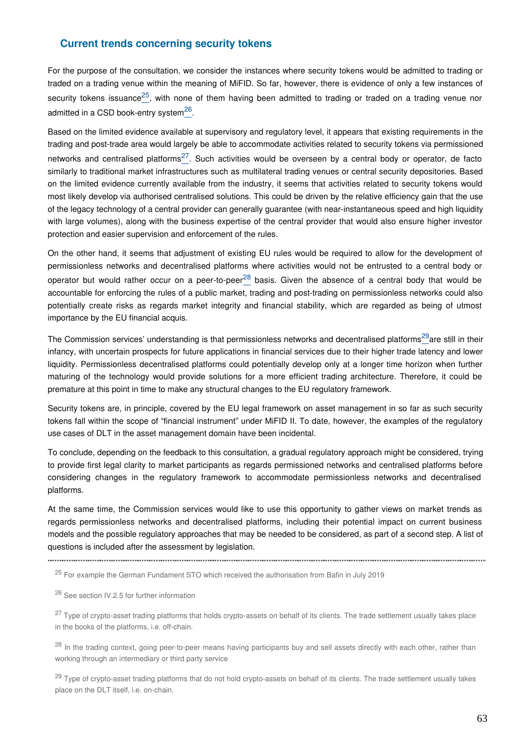#### **Current trends concerning security tokens**

For the purpose of the consultation, we consider the instances where security tokens would be admitted to trading or traded on a trading venue within the meaning of MiFID. So far, however, there is evidence of only a few instances of security tokens issuance<sup>[25](#page-62-0)</sup>, with none of them having been admitted to trading or traded on a trading venue nor admitted in a CSD book-entry system $^{26}$  $^{26}$  $^{26}$ .

Based on the limited evidence available at supervisory and regulatory level, it appears that existing requirements in the trading and post-trade area would largely be able to accommodate activities related to security tokens via permissioned networks and centralised platforms<sup>[27](#page-62-2)</sup>. Such activities would be overseen by a central body or operator, de facto similarly to traditional market infrastructures such as multilateral trading venues or central security depositories. Based on the limited evidence currently available from the industry, it seems that activities related to security tokens would most likely develop via authorised centralised solutions. This could be driven by the relative efficiency gain that the use of the legacy technology of a central provider can generally guarantee (with near-instantaneous speed and high liquidity with large volumes), along with the business expertise of the central provider that would also ensure higher investor protection and easier supervision and enforcement of the rules.

On the other hand, it seems that adjustment of existing EU rules would be required to allow for the development of permissionless networks and decentralised platforms where activities would not be entrusted to a central body or operatorbut would rather occur on a peer-to-peer<sup>28</sup> basis. Given the absence of a central body that would be accountable for enforcing the rules of a public market, trading and post-trading on permissionless networks could also potentially create risks as regards market integrity and financial stability, which are regarded as being of utmost importance by the EU financial acquis.

The Commission services' understanding is that permissionless networks and decentralised platforms<sup>[29](#page-62-4)</sup>are still in their infancy, with uncertain prospects for future applications in financial services due to their higher trade latency and lower liquidity. Permissionless decentralised platforms could potentially develop only at a longer time horizon when further maturing of the technology would provide solutions for a more efficient trading architecture. Therefore, it could be premature at this point in time to make any structural changes to the EU regulatory framework.

Security tokens are, in principle, covered by the EU legal framework on asset management in so far as such security tokens fall within the scope of "financial instrument" under MiFID II. To date, however, the examples of the regulatory use cases of DLT in the asset management domain have been incidental.

To conclude, depending on the feedback to this consultation, a gradual regulatory approach might be considered, trying to provide first legal clarity to market participants as regards permissioned networks and centralised platforms before considering changes in the regulatory framework to accommodate permissionless networks and decentralised platforms.

At the same time, the Commission services would like to use this opportunity to gather views on market trends as regards permissionless networks and decentralised platforms, including their potential impact on current business models and the possible regulatory approaches that may be needed to be considered, as part of a second step. A list of questions is included after the assessment by legislation.

<span id="page-62-1"></span><sup>26</sup> See section IV.2.5 for further information

<span id="page-62-0"></span>

<sup>&</sup>lt;sup>25</sup> For example the German Fundament STO which received the authorisation from Bafin in July 2019

<span id="page-62-2"></span><sup>&</sup>lt;sup>27</sup> Type of crypto-asset trading platforms that holds crypto-assets on behalf of its clients. The trade settlement usually takes place in the books of the platforms, i.e. off-chain.

<span id="page-62-3"></span><sup>&</sup>lt;sup>28</sup> In the trading context, going peer-to-peer means having participants buy and sell assets directly with each other, rather than working through an intermediary or third party service

<span id="page-62-4"></span><sup>&</sup>lt;sup>29</sup> Type of crypto-asset trading platforms that do not hold crypto-assets on behalf of its clients. The trade settlement usually takes place on the DLT itself, i.e. on-chain.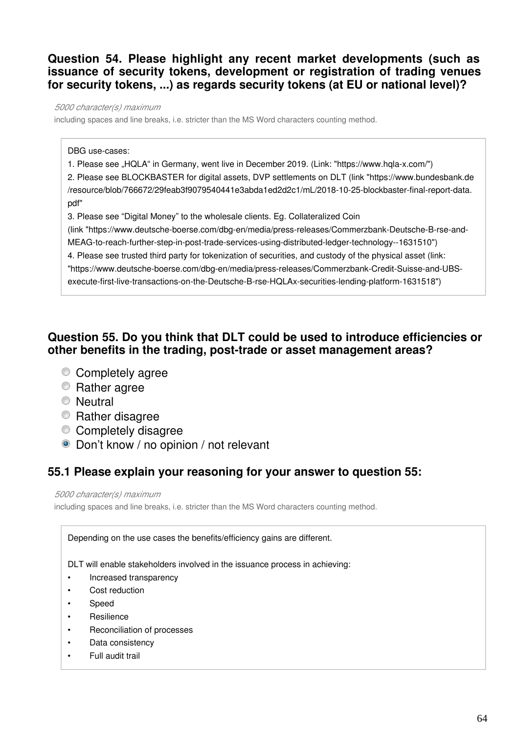### **Question 54. Please highlight any recent market developments (such as issuance of security tokens, development or registration of trading venues for security tokens, ...) as regards security tokens (at EU or national level)?**

*5000 character(s) maximum*

including spaces and line breaks, i.e. stricter than the MS Word characters counting method.

DBG use-cases:

1. Please see "HQLA" in Germany, went live in December 2019. (Link: "https://www.hqla-x.com/")

2. Please see BLOCKBASTER for digital assets, DVP settlements on DLT (link "https://www.bundesbank.de /resource/blob/766672/29feab3f9079540441e3abda1ed2d2c1/mL/2018-10-25-blockbaster-final-report-data. pdf"

3. Please see "Digital Money" to the wholesale clients. Eg. Collateralized Coin (link "https://www.deutsche-boerse.com/dbg-en/media/press-releases/Commerzbank-Deutsche-B-rse-and-MEAG-to-reach-further-step-in-post-trade-services-using-distributed-ledger-technology--1631510") 4. Please see trusted third party for tokenization of securities, and custody of the physical asset (link: "https://www.deutsche-boerse.com/dbg-en/media/press-releases/Commerzbank-Credit-Suisse-and-UBS-

execute-first-live-transactions-on-the-Deutsche-B-rse-HQLAx-securities-lending-platform-1631518")

## **Question 55. Do you think that DLT could be used to introduce efficiencies or other benefits in the trading, post-trade or asset management areas?**

- Completely agree
- **Rather agree**
- **Neutral**
- **Rather disagree**
- Completely disagree
- Don't know / no opinion / not relevant

## **55.1 Please explain your reasoning for your answer to question 55:**

*5000 character(s) maximum*

including spaces and line breaks, i.e. stricter than the MS Word characters counting method.

Depending on the use cases the benefits/efficiency gains are different.

DLT will enable stakeholders involved in the issuance process in achieving:

- Increased transparency
- Cost reduction
- Speed
- **Resilience**
- Reconciliation of processes
- Data consistency
- Full audit trail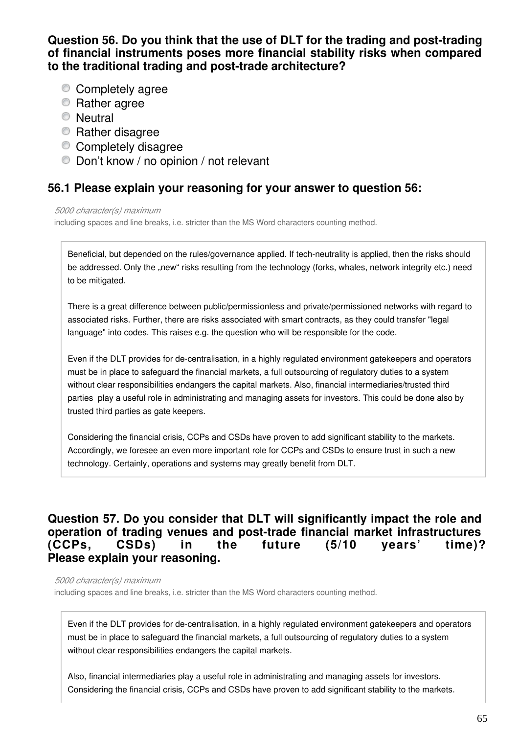### **Question 56. Do you think that the use of DLT for the trading and post-trading of financial instruments poses more financial stability risks when compared to the traditional trading and post-trade architecture?**

- Completely agree
- **Rather agree**
- Neutral
- **Rather disagree**
- Completely disagree
- Don't know / no opinion / not relevant

## **56.1 Please explain your reasoning for your answer to question 56:**

#### *5000 character(s) maximum*

including spaces and line breaks, i.e. stricter than the MS Word characters counting method.

Beneficial, but depended on the rules/governance applied. If tech-neutrality is applied, then the risks should be addressed. Only the "new" risks resulting from the technology (forks, whales, network integrity etc.) need to be mitigated.

There is a great difference between public/permissionless and private/permissioned networks with regard to associated risks. Further, there are risks associated with smart contracts, as they could transfer "legal language" into codes. This raises e.g. the question who will be responsible for the code.

Even if the DLT provides for de-centralisation, in a highly regulated environment gatekeepers and operators must be in place to safeguard the financial markets, a full outsourcing of regulatory duties to a system without clear responsibilities endangers the capital markets. Also, financial intermediaries/trusted third parties play a useful role in administrating and managing assets for investors. This could be done also by trusted third parties as gate keepers.

Considering the financial crisis, CCPs and CSDs have proven to add significant stability to the markets. Accordingly, we foresee an even more important role for CCPs and CSDs to ensure trust in such a new technology. Certainly, operations and systems may greatly benefit from DLT.

## **Question 57. Do you consider that DLT will significantly impact the role and operation of trading venues and post-trade financial market infrastructures (CCPs, CSDs) in the future (5/10 years' time)? Please explain your reasoning.**

*5000 character(s) maximum*

including spaces and line breaks, i.e. stricter than the MS Word characters counting method.

Even if the DLT provides for de-centralisation, in a highly regulated environment gatekeepers and operators must be in place to safeguard the financial markets, a full outsourcing of regulatory duties to a system without clear responsibilities endangers the capital markets.

Also, financial intermediaries play a useful role in administrating and managing assets for investors. Considering the financial crisis, CCPs and CSDs have proven to add significant stability to the markets.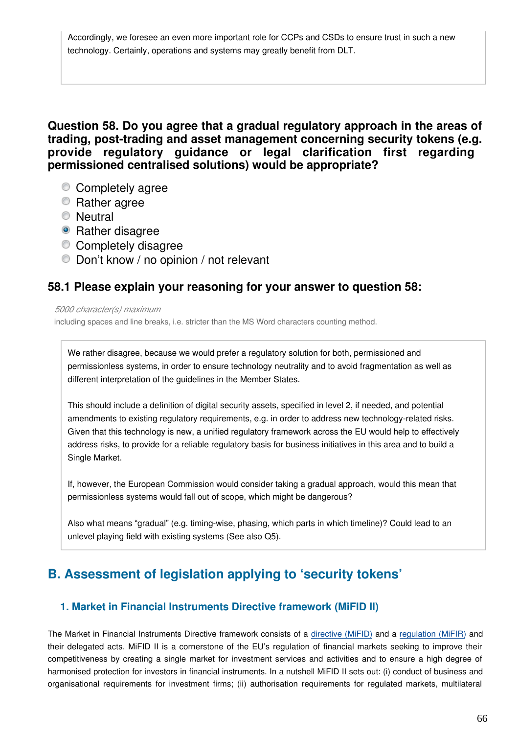Accordingly, we foresee an even more important role for CCPs and CSDs to ensure trust in such a new technology. Certainly, operations and systems may greatly benefit from DLT.

**Question 58. Do you agree that a gradual regulatory approach in the areas of trading, post-trading and asset management concerning security tokens (e.g. provide regulatory guidance or legal clarification first regarding permissioned centralised solutions) would be appropriate?**

- Completely agree
- **Rather agree**
- **Neutral**
- Rather disagree
- Completely disagree
- Don't know / no opinion / not relevant

### **58.1 Please explain your reasoning for your answer to question 58:**

#### *5000 character(s) maximum*

including spaces and line breaks, i.e. stricter than the MS Word characters counting method.

We rather disagree, because we would prefer a regulatory solution for both, permissioned and permissionless systems, in order to ensure technology neutrality and to avoid fragmentation as well as different interpretation of the guidelines in the Member States.

This should include a definition of digital security assets, specified in level 2, if needed, and potential amendments to existing regulatory requirements, e.g. in order to address new technology-related risks. Given that this technology is new, a unified regulatory framework across the EU would help to effectively address risks, to provide for a reliable regulatory basis for business initiatives in this area and to build a Single Market.

If, however, the European Commission would consider taking a gradual approach, would this mean that permissionless systems would fall out of scope, which might be dangerous?

Also what means "gradual" (e.g. timing-wise, phasing, which parts in which timeline)? Could lead to an unlevel playing field with existing systems (See also Q5).

# **B. Assessment of legislation applying to 'security tokens'**

#### **1. Market in Financial Instruments Directive framework (MiFID II)**

The Market in Financial Instruments Directive framework consists of a [directive \(MiFID\)](https://eur-lex.europa.eu/legal-content/EN/TXT/?uri=CELEX:32004L0039) and a [regulation \(MiFIR\)](https://eur-lex.europa.eu/legal-content/EN/TXT/?uri=CELEX:32014R0600) and their delegated acts. MiFID II is a cornerstone of the EU's regulation of financial markets seeking to improve their competitiveness by creating a single market for investment services and activities and to ensure a high degree of harmonised protection for investors in financial instruments. In a nutshell MiFID II sets out: (i) conduct of business and organisational requirements for investment firms; (ii) authorisation requirements for regulated markets, multilateral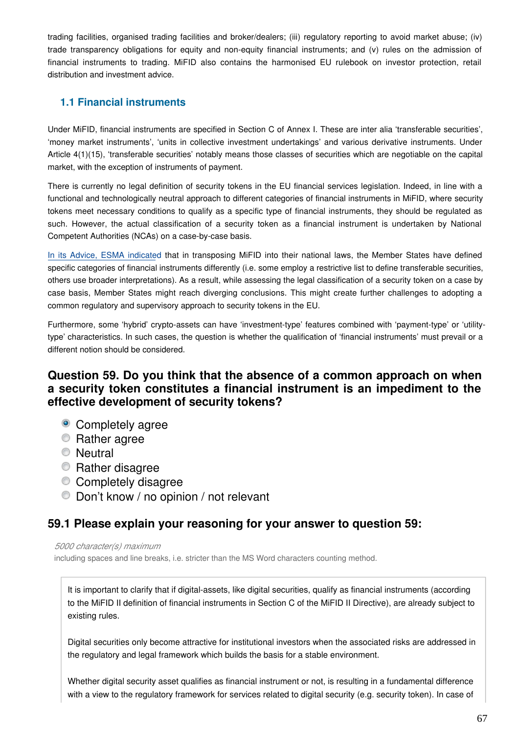trading facilities, organised trading facilities and broker/dealers; (iii) regulatory reporting to avoid market abuse; (iv) trade transparency obligations for equity and non-equity financial instruments; and (v) rules on the admission of financial instruments to trading. MiFID also contains the harmonised EU rulebook on investor protection, retail distribution and investment advice.

### **1.1 Financial instruments**

Under MiFID, financial instruments are specified in Section C of Annex I. These are inter alia 'transferable securities', 'money market instruments', 'units in collective investment undertakings' and various derivative instruments. Under Article 4(1)(15), 'transferable securities' notably means those classes of securities which are negotiable on the capital market, with the exception of instruments of payment.

There is currently no legal definition of security tokens in the EU financial services legislation. Indeed, in line with a functional and technologically neutral approach to different categories of financial instruments in MiFID, where security tokens meet necessary conditions to qualify as a specific type of financial instruments, they should be regulated as such. However, the actual classification of a security token as a financial instrument is undertaken by National Competent Authorities (NCAs) on a case-by-case basis.

[In its Advice, ESMA indicate](https://www.esma.europa.eu/sites/default/files/library/esma50-157-1391_crypto_advice.pdf)d that in transposing MiFID into their national laws, the Member States have defined specific categories of financial instruments differently (i.e. some employ a restrictive list to define transferable securities, others use broader interpretations). As a result, while assessing the legal classification of a security token on a case by case basis, Member States might reach diverging conclusions. This might create further challenges to adopting a common regulatory and supervisory approach to security tokens in the EU.

Furthermore, some 'hybrid' crypto-assets can have 'investment-type' features combined with 'payment-type' or 'utilitytype' characteristics. In such cases, the question is whether the qualification of 'financial instruments' must prevail or a different notion should be considered.

## **Question 59. Do you think that the absence of a common approach on when a security token constitutes a financial instrument is an impediment to the effective development of security tokens?**

- Completely agree
- **Rather agree**
- **Neutral**
- Rather disagree
- Completely disagree
- Don't know / no opinion / not relevant

## **59.1 Please explain your reasoning for your answer to question 59:**

#### *5000 character(s) maximum*

including spaces and line breaks, i.e. stricter than the MS Word characters counting method.

It is important to clarify that if digital-assets, like digital securities, qualify as financial instruments (according to the MiFID II definition of financial instruments in Section C of the MiFID II Directive), are already subject to existing rules.

Digital securities only become attractive for institutional investors when the associated risks are addressed in the regulatory and legal framework which builds the basis for a stable environment.

Whether digital security asset qualifies as financial instrument or not, is resulting in a fundamental difference with a view to the regulatory framework for services related to digital security (e.g. security token). In case of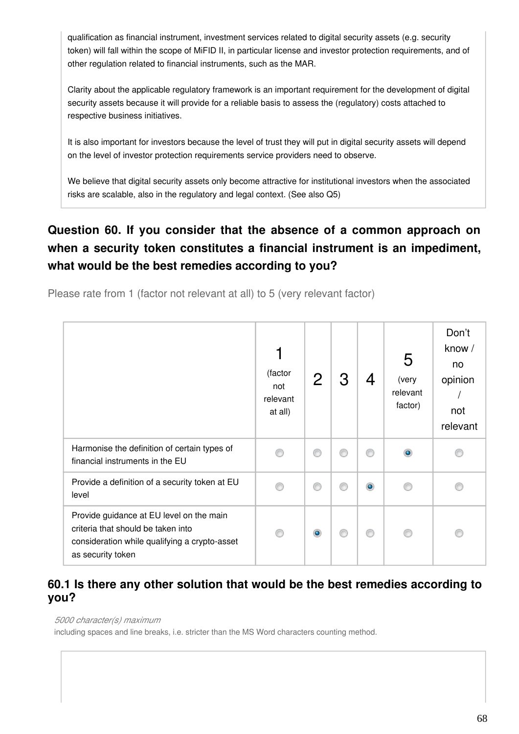qualification as financial instrument, investment services related to digital security assets (e.g. security token) will fall within the scope of MiFID II, in particular license and investor protection requirements, and of other regulation related to financial instruments, such as the MAR.

Clarity about the applicable regulatory framework is an important requirement for the development of digital security assets because it will provide for a reliable basis to assess the (regulatory) costs attached to respective business initiatives.

It is also important for investors because the level of trust they will put in digital security assets will depend on the level of investor protection requirements service providers need to observe.

We believe that digital security assets only become attractive for institutional investors when the associated risks are scalable, also in the regulatory and legal context. (See also Q5)

# **Question 60. If you consider that the absence of a common approach on when a security token constitutes a financial instrument is an impediment, what would be the best remedies according to you?**

Please rate from 1 (factor not relevant at all) to 5 (very relevant factor)

|                                                                                                                                                      | 1<br>(factor<br>not<br>relevant<br>at all) | $\overline{2}$ | З | 4         | 5<br>(very<br>relevant<br>factor) | Don't<br>know /<br>no<br>opinion<br>not<br>relevant |
|------------------------------------------------------------------------------------------------------------------------------------------------------|--------------------------------------------|----------------|---|-----------|-----------------------------------|-----------------------------------------------------|
| Harmonise the definition of certain types of<br>financial instruments in the EU                                                                      |                                            | ⋒              | ∩ | ⊙         |                                   |                                                     |
| Provide a definition of a security token at EU<br>level                                                                                              |                                            | ⋒              | ⋒ | $\bullet$ |                                   |                                                     |
| Provide guidance at EU level on the main<br>criteria that should be taken into<br>consideration while qualifying a crypto-asset<br>as security token |                                            | $\bullet$      | ⋒ | ⊙         |                                   |                                                     |

## **60.1 Is there any other solution that would be the best remedies according to you?**

#### *5000 character(s) maximum*

including spaces and line breaks, i.e. stricter than the MS Word characters counting method.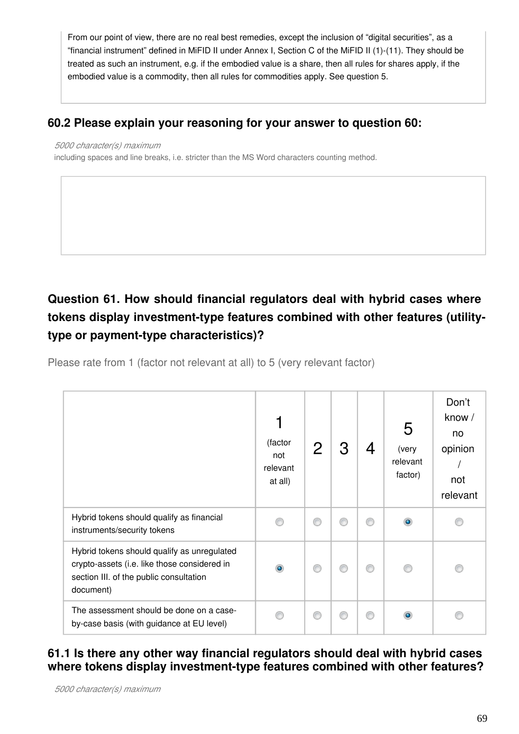From our point of view, there are no real best remedies, except the inclusion of "digital securities", as a "financial instrument" defined in MiFID II under Annex I, Section C of the MiFID II (1)-(11). They should be treated as such an instrument, e.g. if the embodied value is a share, then all rules for shares apply, if the embodied value is a commodity, then all rules for commodities apply. See question 5.

## **60.2 Please explain your reasoning for your answer to question 60:**

#### *5000 character(s) maximum*

including spaces and line breaks, i.e. stricter than the MS Word characters counting method.

# **Question 61. How should financial regulators deal with hybrid cases where tokens display investment-type features combined with other features (utilitytype or payment-type characteristics)?**

Please rate from 1 (factor not relevant at all) to 5 (very relevant factor)

|                                                                                                                                                     | (factor<br>not<br>relevant<br>at all) | $\overline{2}$ | З | 4 | 5<br>(very<br>relevant<br>factor) | Don't<br>know /<br>no<br>opinion<br>not<br>relevant |
|-----------------------------------------------------------------------------------------------------------------------------------------------------|---------------------------------------|----------------|---|---|-----------------------------------|-----------------------------------------------------|
| Hybrid tokens should qualify as financial<br>instruments/security tokens                                                                            |                                       | ⋒              | ⊙ | ⊙ | $\bullet$                         |                                                     |
| Hybrid tokens should qualify as unregulated<br>crypto-assets (i.e. like those considered in<br>section III. of the public consultation<br>document) | ۰                                     |                | ⊙ | ⊙ |                                   |                                                     |
| The assessment should be done on a case-<br>by-case basis (with guidance at EU level)                                                               |                                       |                | ⊙ | ⊙ | ۵                                 |                                                     |

## **61.1 Is there any other way financial regulators should deal with hybrid cases where tokens display investment-type features combined with other features?**

*5000 character(s) maximum*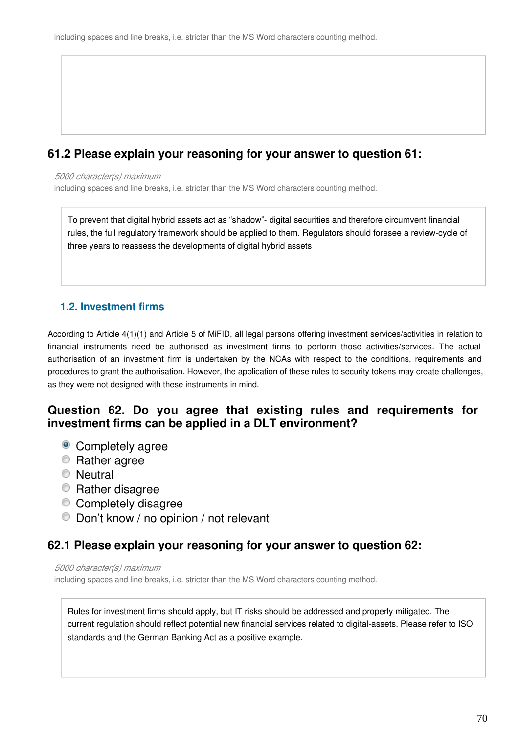## **61.2 Please explain your reasoning for your answer to question 61:**

#### *5000 character(s) maximum*

including spaces and line breaks, i.e. stricter than the MS Word characters counting method.

To prevent that digital hybrid assets act as "shadow"- digital securities and therefore circumvent financial rules, the full regulatory framework should be applied to them. Regulators should foresee a review-cycle of three years to reassess the developments of digital hybrid assets

#### **1.2. Investment firms**

According to Article 4(1)(1) and Article 5 of MiFID, all legal persons offering investment services/activities in relation to financial instruments need be authorised as investment firms to perform those activities/services. The actual authorisation of an investment firm is undertaken by the NCAs with respect to the conditions, requirements and procedures to grant the authorisation. However, the application of these rules to security tokens may create challenges, as they were not designed with these instruments in mind.

### **Question 62. Do you agree that existing rules and requirements for investment firms can be applied in a DLT environment?**

- Completely agree
- **Rather agree**
- **Neutral**
- Rather disagree
- Completely disagree
- Don't know / no opinion / not relevant

## **62.1 Please explain your reasoning for your answer to question 62:**

*5000 character(s) maximum*

including spaces and line breaks, i.e. stricter than the MS Word characters counting method.

Rules for investment firms should apply, but IT risks should be addressed and properly mitigated. The current regulation should reflect potential new financial services related to digital-assets. Please refer to ISO standards and the German Banking Act as a positive example.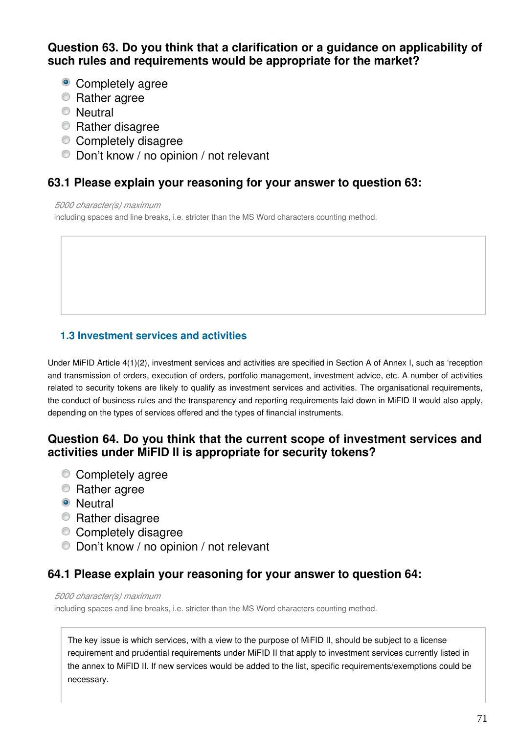## **Question 63. Do you think that a clarification or a guidance on applicability of such rules and requirements would be appropriate for the market?**

- Completely agree
- **Rather agree**
- **Neutral**
- **Rather disagree**
- Completely disagree
- Don't know / no opinion / not relevant

## **63.1 Please explain your reasoning for your answer to question 63:**

#### *5000 character(s) maximum*

including spaces and line breaks, i.e. stricter than the MS Word characters counting method.

## **1.3 Investment services and activities**

Under MiFID Article 4(1)(2), investment services and activities are specified in Section A of Annex I, such as 'reception and transmission of orders, execution of orders, portfolio management, investment advice, etc. A number of activities related to security tokens are likely to qualify as investment services and activities. The organisational requirements, the conduct of business rules and the transparency and reporting requirements laid down in MiFID II would also apply, depending on the types of services offered and the types of financial instruments.

## **Question 64. Do you think that the current scope of investment services and activities under MiFID II is appropriate for security tokens?**

- Completely agree
- **Rather agree**
- **O** Neutral
- **Rather disagree**
- Completely disagree
- Don't know / no opinion / not relevant

## **64.1 Please explain your reasoning for your answer to question 64:**

#### *5000 character(s) maximum*

including spaces and line breaks, i.e. stricter than the MS Word characters counting method.

The key issue is which services, with a view to the purpose of MiFID II, should be subject to a license requirement and prudential requirements under MiFID II that apply to investment services currently listed in the annex to MiFID II. If new services would be added to the list, specific requirements/exemptions could be necessary.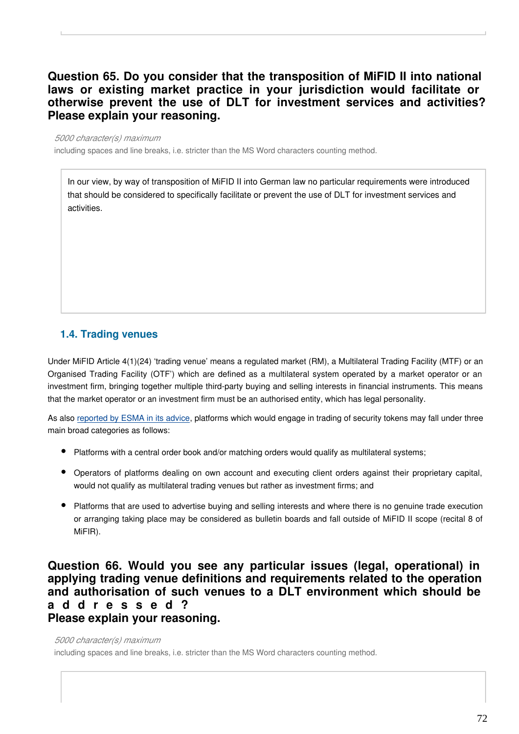## **Question 65. Do you consider that the transposition of MiFID II into national laws or existing market practice in your jurisdiction would facilitate or otherwise prevent the use of DLT for investment services and activities? Please explain your reasoning.**

#### *5000 character(s) maximum*

including spaces and line breaks, i.e. stricter than the MS Word characters counting method.

In our view, by way of transposition of MiFID II into German law no particular requirements were introduced that should be considered to specifically facilitate or prevent the use of DLT for investment services and activities.

#### **1.4. Trading venues**

Under MiFID Article 4(1)(24) 'trading venue' means a regulated market (RM), a Multilateral Trading Facility (MTF) or an Organised Trading Facility (OTF') which are defined as a multilateral system operated by a market operator or an investment firm, bringing together multiple third-party buying and selling interests in financial instruments. This means that the market operator or an investment firm must be an authorised entity, which has legal personality.

As also [reported by ESMA in its advice,](https://www.esma.europa.eu/sites/default/files/library/esma50-157-1391_crypto_advice.pdf) platforms which would engage in trading of security tokens may fall under three main broad categories as follows:

- Platforms with a central order book and/or matching orders would qualify as multilateral systems;
- Operators of platforms dealing on own account and executing client orders against their proprietary capital, would not qualify as multilateral trading venues but rather as investment firms; and
- Platforms that are used to advertise buying and selling interests and where there is no genuine trade execution or arranging taking place may be considered as bulletin boards and fall outside of MiFID II scope (recital 8 of MiFIR).

#### **Question 66. Would you see any particular issues (legal, operational) in applying trading venue definitions and requirements related to the operation and authorisation of such venues to a DLT environment which should be a d d r e s s e d ? Please explain your reasoning.**

#### *5000 character(s) maximum*

including spaces and line breaks, i.e. stricter than the MS Word characters counting method.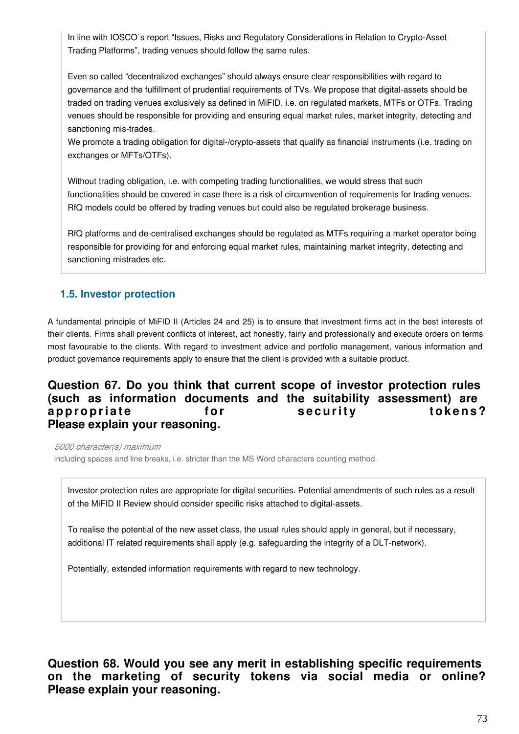In line with IOSCO´s report "Issues, Risks and Regulatory Considerations in Relation to Crypto-Asset Trading Platforms", trading venues should follow the same rules.

Even so called "decentralized exchanges" should always ensure clear responsibilities with regard to governance and the fulfillment of prudential requirements of TVs. We propose that digital-assets should be traded on trading venues exclusively as defined in MiFID, i.e. on regulated markets, MTFs or OTFs. Trading venues should be responsible for providing and ensuring equal market rules, market integrity, detecting and sanctioning mis-trades.

We promote a trading obligation for digital-/crypto-assets that qualify as financial instruments (i.e. trading on exchanges or MFTs/OTFs).

Without trading obligation, i.e. with competing trading functionalities, we would stress that such functionalities should be covered in case there is a risk of circumvention of requirements for trading venues. RfQ models could be offered by trading venues but could also be regulated brokerage business.

RfQ platforms and de-centralised exchanges should be regulated as MTFs requiring a market operator being responsible for providing for and enforcing equal market rules, maintaining market integrity, detecting and sanctioning mistrades etc.

### **1.5. Investor protection**

A fundamental principle of MiFID II (Articles 24 and 25) is to ensure that investment firms act in the best interests of their clients. Firms shall prevent conflicts of interest, act honestly, fairly and professionally and execute orders on terms most favourable to the clients. With regard to investment advice and portfolio management, various information and product governance requirements apply to ensure that the client is provided with a suitable product.

### **Question 67. Do you think that current scope of investor protection rules (such as information documents and the suitability assessment) are**  appropriate **our for** security tokens? **Please explain your reasoning.**

*5000 character(s) maximum*

including spaces and line breaks, i.e. stricter than the MS Word characters counting method.

Investor protection rules are appropriate for digital securities. Potential amendments of such rules as a result of the MiFID II Review should consider specific risks attached to digital-assets.

To realise the potential of the new asset class, the usual rules should apply in general, but if necessary, additional IT related requirements shall apply (e.g. safeguarding the integrity of a DLT-network).

Potentially, extended information requirements with regard to new technology.

**Question 68. Would you see any merit in establishing specific requirements on the marketing of security tokens via social media or online? Please explain your reasoning.**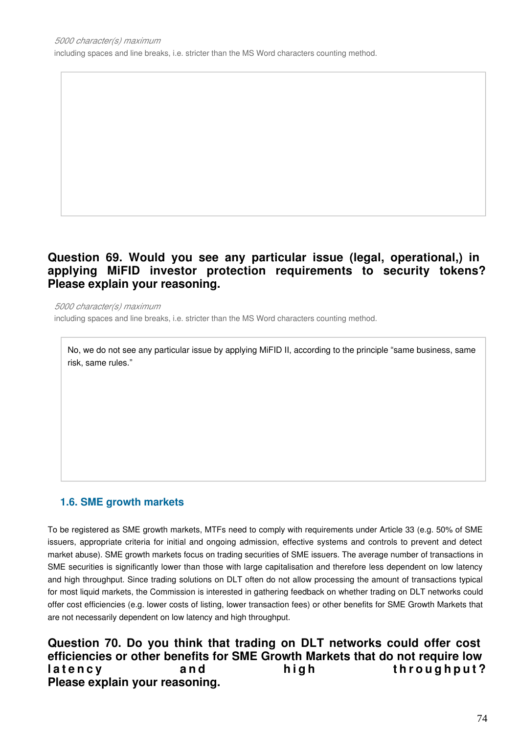including spaces and line breaks, i.e. stricter than the MS Word characters counting method.

### **Question 69. Would you see any particular issue (legal, operational,) in applying MiFID investor protection requirements to security tokens? Please explain your reasoning.**

*5000 character(s) maximum* including spaces and line breaks, i.e. stricter than the MS Word characters counting method.

No, we do not see any particular issue by applying MiFID II, according to the principle "same business, same risk, same rules."

### **1.6. SME growth markets**

To be registered as SME growth markets, MTFs need to comply with requirements under Article 33 (e.g. 50% of SME issuers, appropriate criteria for initial and ongoing admission, effective systems and controls to prevent and detect market abuse). SME growth markets focus on trading securities of SME issuers. The average number of transactions in SME securities is significantly lower than those with large capitalisation and therefore less dependent on low latency and high throughput. Since trading solutions on DLT often do not allow processing the amount of transactions typical for most liquid markets, the Commission is interested in gathering feedback on whether trading on DLT networks could offer cost efficiencies (e.g. lower costs of listing, lower transaction fees) or other benefits for SME Growth Markets that are not necessarily dependent on low latency and high throughput.

**Question 70. Do you think that trading on DLT networks could offer cost efficiencies or other benefits for SME Growth Markets that do not require low**  latency and high throughput? **Please explain your reasoning.**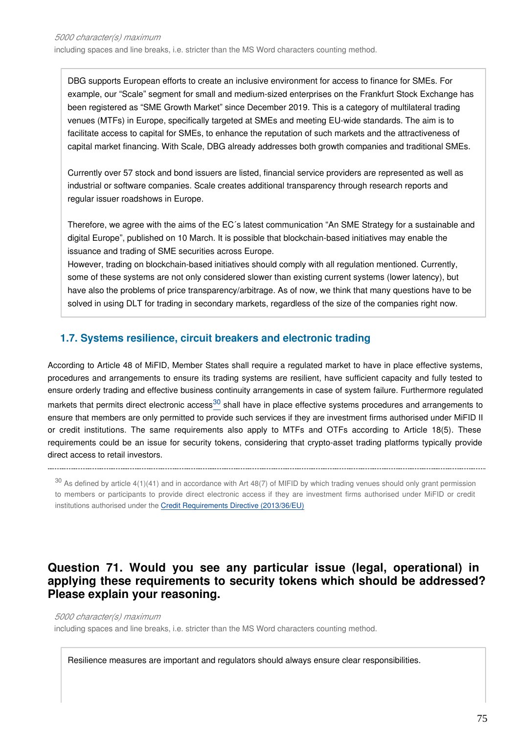DBG supports European efforts to create an inclusive environment for access to finance for SMEs. For example, our "Scale" segment for small and medium-sized enterprises on the Frankfurt Stock Exchange has been registered as "SME Growth Market" since December 2019. This is a category of multilateral trading venues (MTFs) in Europe, specifically targeted at SMEs and meeting EU-wide standards. The aim is to facilitate access to capital for SMEs, to enhance the reputation of such markets and the attractiveness of capital market financing. With Scale, DBG already addresses both growth companies and traditional SMEs.

Currently over 57 stock and bond issuers are listed, financial service providers are represented as well as industrial or software companies. Scale creates additional transparency through research reports and regular issuer roadshows in Europe.

Therefore, we agree with the aims of the EC´s latest communication "An SME Strategy for a sustainable and digital Europe", published on 10 March. It is possible that blockchain-based initiatives may enable the issuance and trading of SME securities across Europe.

However, trading on blockchain-based initiatives should comply with all regulation mentioned. Currently, some of these systems are not only considered slower than existing current systems (lower latency), but have also the problems of price transparency/arbitrage. As of now, we think that many questions have to be solved in using DLT for trading in secondary markets, regardless of the size of the companies right now.

### **1.7. Systems resilience, circuit breakers and electronic trading**

According to Article 48 of MiFID, Member States shall require a regulated market to have in place effective systems, procedures and arrangements to ensure its trading systems are resilient, have sufficient capacity and fully tested to ensure orderly trading and effective business continuity arrangements in case of system failure. Furthermore regulated market[s](#page-74-0) that permits direct electronic access $30$  shall have in place effective systems procedures and arrangements to ensure that members are only permitted to provide such services if they are investment firms authorised under MiFID II or credit institutions. The same requirements also apply to MTFs and OTFs according to Article 18(5). These requirements could be an issue for security tokens, considering that crypto-asset trading platforms typically provide direct access to retail investors.

<span id="page-74-0"></span> $30$  As defined by article 4(1)(41) and in accordance with Art 48(7) of MIFID by which trading venues should only grant permission to members or participants to provide direct electronic access if they are investment firms authorised under MiFID or credit institutions authorised under the [Credit Requirements Directive \(2013/36/EU\)](https://eur-lex.europa.eu/legal-content/EN/TXT/?uri=CELEX:32013L0036)

### **Question 71. Would you see any particular issue (legal, operational) in applying these requirements to security tokens which should be addressed? Please explain your reasoning.**

*5000 character(s) maximum*

including spaces and line breaks, i.e. stricter than the MS Word characters counting method.

Resilience measures are important and regulators should always ensure clear responsibilities.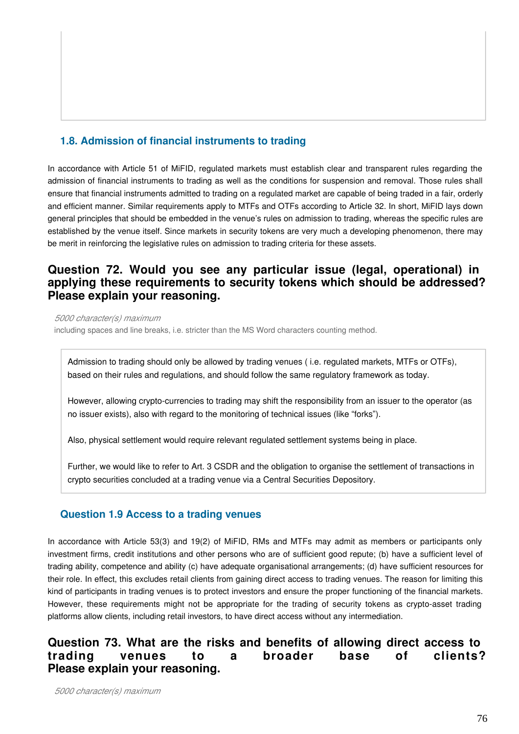### **1.8. Admission of financial instruments to trading**

In accordance with Article 51 of MiFID, regulated markets must establish clear and transparent rules regarding the admission of financial instruments to trading as well as the conditions for suspension and removal. Those rules shall ensure that financial instruments admitted to trading on a regulated market are capable of being traded in a fair, orderly and efficient manner. Similar requirements apply to MTFs and OTFs according to Article 32. In short, MiFID lays down general principles that should be embedded in the venue's rules on admission to trading, whereas the specific rules are established by the venue itself. Since markets in security tokens are very much a developing phenomenon, there may be merit in reinforcing the legislative rules on admission to trading criteria for these assets.

### **Question 72. Would you see any particular issue (legal, operational) in applying these requirements to security tokens which should be addressed? Please explain your reasoning.**

*5000 character(s) maximum*

including spaces and line breaks, i.e. stricter than the MS Word characters counting method.

Admission to trading should only be allowed by trading venues ( i.e. regulated markets, MTFs or OTFs), based on their rules and regulations, and should follow the same regulatory framework as today.

However, allowing crypto-currencies to trading may shift the responsibility from an issuer to the operator (as no issuer exists), also with regard to the monitoring of technical issues (like "forks").

Also, physical settlement would require relevant regulated settlement systems being in place.

Further, we would like to refer to Art. 3 CSDR and the obligation to organise the settlement of transactions in crypto securities concluded at a trading venue via a Central Securities Depository.

### **Question 1.9 Access to a trading venues**

In accordance with Article 53(3) and 19(2) of MiFID, RMs and MTFs may admit as members or participants only investment firms, credit institutions and other persons who are of sufficient good repute; (b) have a sufficient level of trading ability, competence and ability (c) have adequate organisational arrangements; (d) have sufficient resources for their role. In effect, this excludes retail clients from gaining direct access to trading venues. The reason for limiting this kind of participants in trading venues is to protect investors and ensure the proper functioning of the financial markets. However, these requirements might not be appropriate for the trading of security tokens as crypto-asset trading platforms allow clients, including retail investors, to have direct access without any intermediation.

## **Question 73. What are the risks and benefits of allowing direct access to trading venues to a broader base of clients? Please explain your reasoning.**

*5000 character(s) maximum*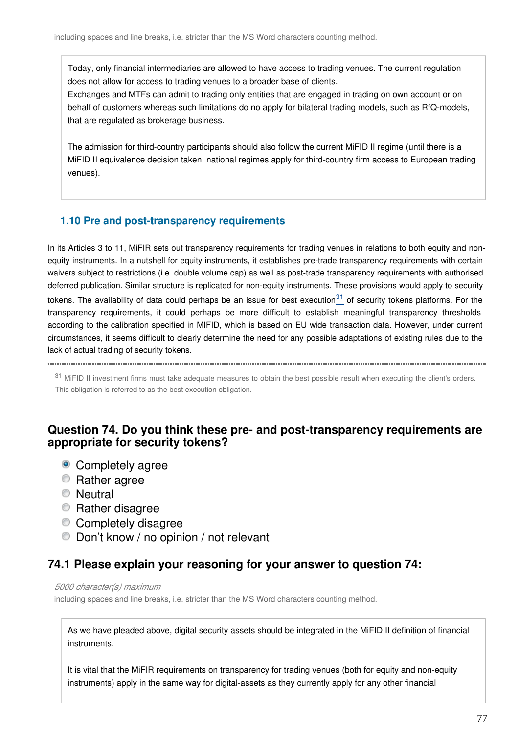Today, only financial intermediaries are allowed to have access to trading venues. The current regulation does not allow for access to trading venues to a broader base of clients.

Exchanges and MTFs can admit to trading only entities that are engaged in trading on own account or on behalf of customers whereas such limitations do no apply for bilateral trading models, such as RfQ-models, that are regulated as brokerage business.

The admission for third-country participants should also follow the current MiFID II regime (until there is a MiFID II equivalence decision taken, national regimes apply for third-country firm access to European trading venues).

### **1.10 Pre and post-transparency requirements**

In its Articles 3 to 11, MiFIR sets out transparency requirements for trading venues in relations to both equity and nonequity instruments. In a nutshell for equity instruments, it establishes pre-trade transparency requirements with certain waivers subject to restrictions (i.e. double volume cap) as well as post-trade transparency requirements with authorised deferred publication. Similar structure is replicated for non-equity instruments. These provisions would apply to security tokens. The availability of data could perhaps be an issue for best execution $31$  of security tokens platforms. For the transparency requirements, it could perhaps be more difficult to establish meaningful transparency thresholds according to the calibration specified in MIFID, which is based on EU wide transaction data. However, under current circumstances, it seems difficult to clearly determine the need for any possible adaptations of existing rules due to the lack of actual trading of security tokens.

<span id="page-76-0"></span>

<sup>31</sup> MiFID II investment firms must take adequate measures to obtain the best possible result when executing the client's orders. This obligation is referred to as the best execution obligation.

### **Question 74. Do you think these pre- and post-transparency requirements are appropriate for security tokens?**

- Completely agree
- **Rather agree**
- **Neutral**
- Rather disagree
- Completely disagree
- Don't know / no opinion / not relevant

### **74.1 Please explain your reasoning for your answer to question 74:**

#### *5000 character(s) maximum*

including spaces and line breaks, i.e. stricter than the MS Word characters counting method.

As we have pleaded above, digital security assets should be integrated in the MiFID II definition of financial instruments.

It is vital that the MiFIR requirements on transparency for trading venues (both for equity and non-equity instruments) apply in the same way for digital-assets as they currently apply for any other financial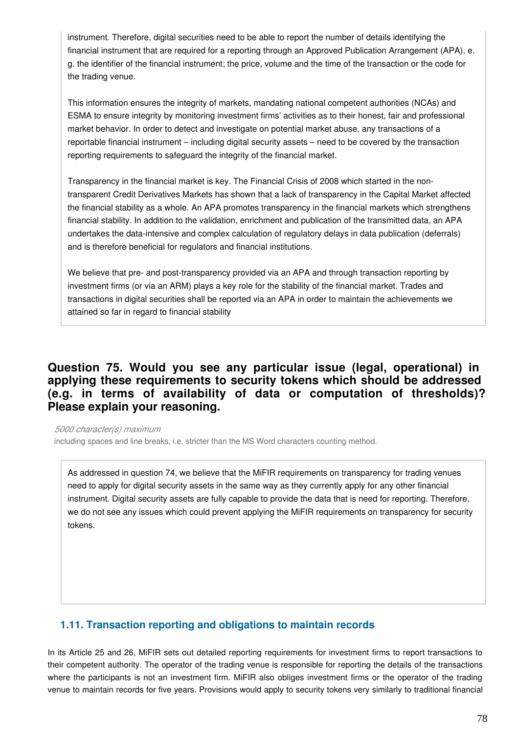instrument. Therefore, digital securities need to be able to report the number of details identifying the financial instrument that are required for a reporting through an Approved Publication Arrangement (APA), e. g. the identifier of the financial instrument; the price, volume and the time of the transaction or the code for the trading venue.

This information ensures the integrity of markets, mandating national competent authorities (NCAs) and ESMA to ensure integrity by monitoring investment firms' activities as to their honest, fair and professional market behavior. In order to detect and investigate on potential market abuse, any transactions of a reportable financial instrument – including digital security assets – need to be covered by the transaction reporting requirements to safeguard the integrity of the financial market.

Transparency in the financial market is key. The Financial Crisis of 2008 which started in the nontransparent Credit Derivatives Markets has shown that a lack of transparency in the Capital Market affected the financial stability as a whole. An APA promotes transparency in the financial markets which strengthens financial stability. In addition to the validation, enrichment and publication of the transmitted data, an APA undertakes the data-intensive and complex calculation of regulatory delays in data publication (deferrals) and is therefore beneficial for regulators and financial institutions.

We believe that pre- and post-transparency provided via an APA and through transaction reporting by investment firms (or via an ARM) plays a key role for the stability of the financial market. Trades and transactions in digital securities shall be reported via an APA in order to maintain the achievements we attained so far in regard to financial stability

### **Question 75. Would you see any particular issue (legal, operational) in applying these requirements to security tokens which should be addressed (e.g. in terms of availability of data or computation of thresholds)? Please explain your reasoning.**

*5000 character(s) maximum* including spaces and line breaks, i.e. stricter than the MS Word characters counting method.

As addressed in question 74, we believe that the MiFIR requirements on transparency for trading venues need to apply for digital security assets in the same way as they currently apply for any other financial instrument. Digital security assets are fully capable to provide the data that is need for reporting. Therefore, we do not see any issues which could prevent applying the MiFIR requirements on transparency for security tokens.

### **1.11. Transaction reporting and obligations to maintain records**

In its Article 25 and 26, MiFIR sets out detailed reporting requirements for investment firms to report transactions to their competent authority. The operator of the trading venue is responsible for reporting the details of the transactions where the participants is not an investment firm. MiFIR also obliges investment firms or the operator of the trading venue to maintain records for five years. Provisions would apply to security tokens very similarly to traditional financial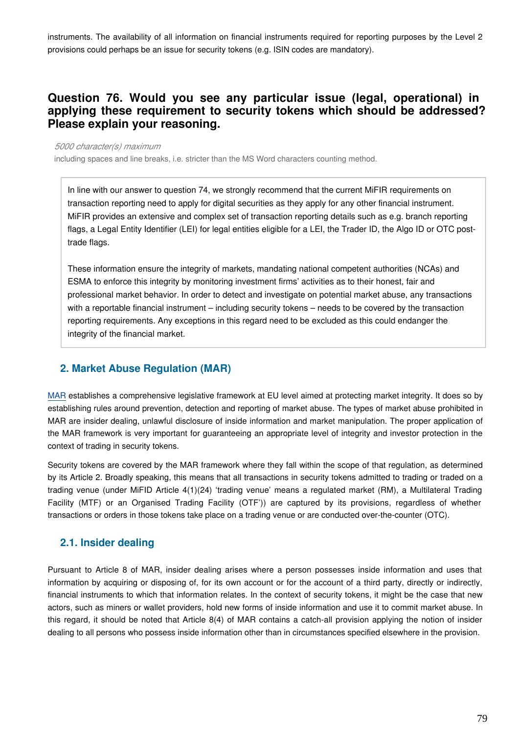instruments. The availability of all information on financial instruments required for reporting purposes by the Level 2 provisions could perhaps be an issue for security tokens (e.g. ISIN codes are mandatory).

### **Question 76. Would you see any particular issue (legal, operational) in applying these requirement to security tokens which should be addressed? Please explain your reasoning.**

#### *5000 character(s) maximum*

including spaces and line breaks, i.e. stricter than the MS Word characters counting method.

In line with our answer to question 74, we strongly recommend that the current MiFIR requirements on transaction reporting need to apply for digital securities as they apply for any other financial instrument. MiFIR provides an extensive and complex set of transaction reporting details such as e.g. branch reporting flags, a Legal Entity Identifier (LEI) for legal entities eligible for a LEI, the Trader ID, the Algo ID or OTC posttrade flags.

These information ensure the integrity of markets, mandating national competent authorities (NCAs) and ESMA to enforce this integrity by monitoring investment firms' activities as to their honest, fair and professional market behavior. In order to detect and investigate on potential market abuse, any transactions with a reportable financial instrument – including security tokens – needs to be covered by the transaction reporting requirements. Any exceptions in this regard need to be excluded as this could endanger the integrity of the financial market.

### **2. Market Abuse Regulation (MAR)**

[MAR](https://eur-lex.europa.eu/legal-content/EN/TXT/?uri=CELEX:32014R0596) establishes a comprehensive legislative framework at EU level aimed at protecting market integrity. It does so by establishing rules around prevention, detection and reporting of market abuse. The types of market abuse prohibited in MAR are insider dealing, unlawful disclosure of inside information and market manipulation. The proper application of the MAR framework is very important for guaranteeing an appropriate level of integrity and investor protection in the context of trading in security tokens.

Security tokens are covered by the MAR framework where they fall within the scope of that regulation, as determined by its Article 2. Broadly speaking, this means that all transactions in security tokens admitted to trading or traded on a trading venue (under MiFID Article 4(1)(24) 'trading venue' means a regulated market (RM), a Multilateral Trading Facility (MTF) or an Organised Trading Facility (OTF')) are captured by its provisions, regardless of whether transactions or orders in those tokens take place on a trading venue or are conducted over-the-counter (OTC).

### **2.1. Insider dealing**

Pursuant to Article 8 of MAR, insider dealing arises where a person possesses inside information and uses that information by acquiring or disposing of, for its own account or for the account of a third party, directly or indirectly, financial instruments to which that information relates. In the context of security tokens, it might be the case that new actors, such as miners or wallet providers, hold new forms of inside information and use it to commit market abuse. In this regard, it should be noted that Article 8(4) of MAR contains a catch-all provision applying the notion of insider dealing to all persons who possess inside information other than in circumstances specified elsewhere in the provision.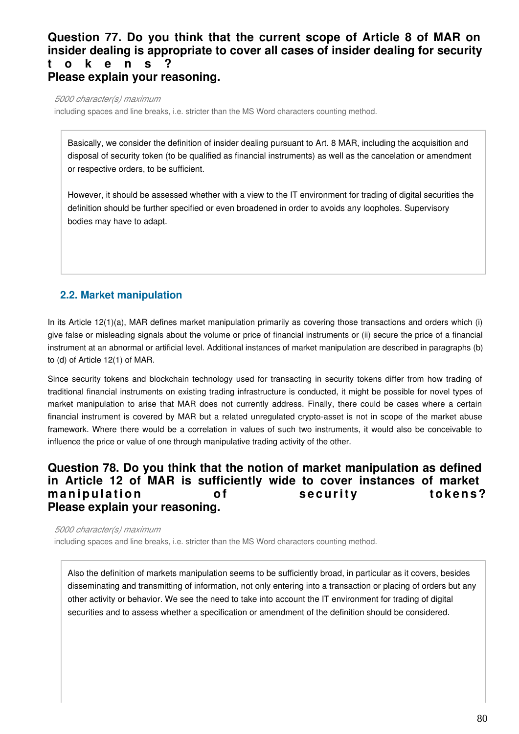## **Question 77. Do you think that the current scope of Article 8 of MAR on insider dealing is appropriate to cover all cases of insider dealing for security t o k e n s ?**

**Please explain your reasoning.**

*5000 character(s) maximum*

including spaces and line breaks, i.e. stricter than the MS Word characters counting method.

Basically, we consider the definition of insider dealing pursuant to Art. 8 MAR, including the acquisition and disposal of security token (to be qualified as financial instruments) as well as the cancelation or amendment or respective orders, to be sufficient.

However, it should be assessed whether with a view to the IT environment for trading of digital securities the definition should be further specified or even broadened in order to avoids any loopholes. Supervisory bodies may have to adapt.

## **2.2. Market manipulation**

In its Article 12(1)(a), MAR defines market manipulation primarily as covering those transactions and orders which (i) give false or misleading signals about the volume or price of financial instruments or (ii) secure the price of a financial instrument at an abnormal or artificial level. Additional instances of market manipulation are described in paragraphs (b) to (d) of Article 12(1) of MAR.

Since security tokens and blockchain technology used for transacting in security tokens differ from how trading of traditional financial instruments on existing trading infrastructure is conducted, it might be possible for novel types of market manipulation to arise that MAR does not currently address. Finally, there could be cases where a certain financial instrument is covered by MAR but a related unregulated crypto-asset is not in scope of the market abuse framework. Where there would be a correlation in values of such two instruments, it would also be conceivable to influence the price or value of one through manipulative trading activity of the other.

### **Question 78. Do you think that the notion of market manipulation as defined in Article 12 of MAR is sufficiently wide to cover instances of market**  manipulation of security tokens? **Please explain your reasoning.**

*5000 character(s) maximum*

including spaces and line breaks, i.e. stricter than the MS Word characters counting method.

Also the definition of markets manipulation seems to be sufficiently broad, in particular as it covers, besides disseminating and transmitting of information, not only entering into a transaction or placing of orders but any other activity or behavior. We see the need to take into account the IT environment for trading of digital securities and to assess whether a specification or amendment of the definition should be considered.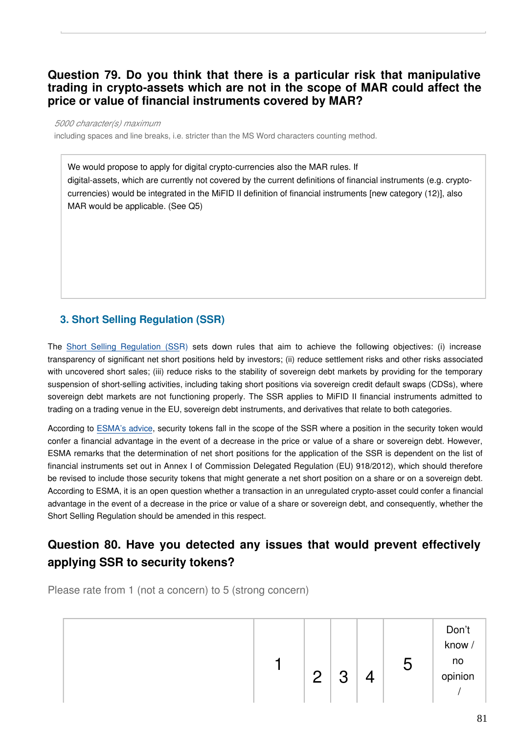### **Question 79. Do you think that there is a particular risk that manipulative trading in crypto-assets which are not in the scope of MAR could affect the price or value of financial instruments covered by MAR?**

*5000 character(s) maximum*

including spaces and line breaks, i.e. stricter than the MS Word characters counting method.

We would propose to apply for digital crypto-currencies also the MAR rules. If digital-assets, which are currently not covered by the current definitions of financial instruments (e.g. cryptocurrencies) would be integrated in the MiFID II definition of financial instruments [new category (12)], also MAR would be applicable. (See Q5)

### **3. Short Selling Regulation (SSR)**

The [Short Selling Regulation \(SSR](https://eur-lex.europa.eu/legal-content/EN/TXT/?uri=CELEX:32012R0236)) sets down rules that aim to achieve the following objectives: (i) increase transparency of significant net short positions held by investors; (ii) reduce settlement risks and other risks associated with uncovered short sales; (iii) reduce risks to the stability of sovereign debt markets by providing for the temporary suspension of short-selling activities, including taking short positions via sovereign credit default swaps (CDSs), where sovereign debt markets are not functioning properly. The SSR applies to MiFID II financial instruments admitted to trading on a trading venue in the EU, sovereign debt instruments, and derivatives that relate to both categories.

According to [ESMA's advice](https://www.esma.europa.eu/sites/default/files/library/esma50-157-1391_crypto_advice.pdf), security tokens fall in the scope of the SSR where a position in the security token would confer a financial advantage in the event of a decrease in the price or value of a share or sovereign debt. However, ESMA remarks that the determination of net short positions for the application of the SSR is dependent on the list of financial instruments set out in Annex I of Commission Delegated Regulation (EU) 918/2012), which should therefore be revised to include those security tokens that might generate a net short position on a share or on a sovereign debt. According to ESMA, it is an open question whether a transaction in an unregulated crypto-asset could confer a financial advantage in the event of a decrease in the price or value of a share or sovereign debt, and consequently, whether the Short Selling Regulation should be amended in this respect.

# **Question 80. Have you detected any issues that would prevent effectively applying SSR to security tokens?**

Please rate from 1 (not a concern) to 5 (strong concern)

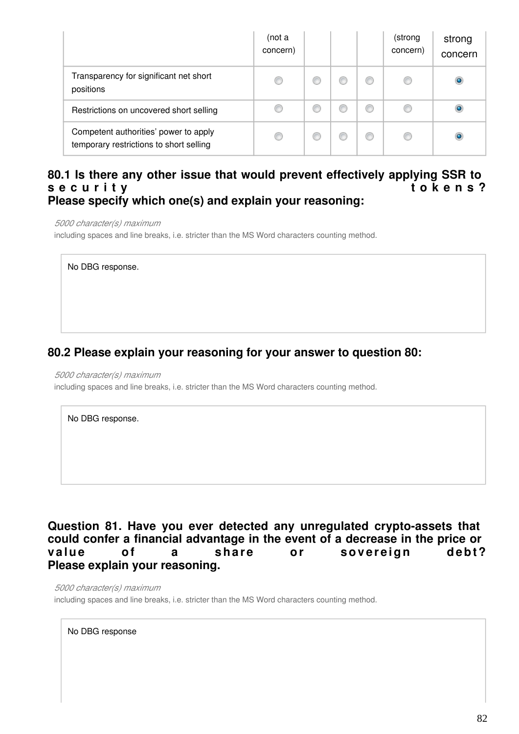|                                                                                  | (not a<br>concern) |  |   | (strong<br>concern) | strong<br>concern |
|----------------------------------------------------------------------------------|--------------------|--|---|---------------------|-------------------|
| Transparency for significant net short<br>positions                              | ◎                  |  | ⊙ |                     | $\bullet$         |
| Restrictions on uncovered short selling                                          |                    |  | ⋒ |                     | $\bullet$         |
| Competent authorities' power to apply<br>temporary restrictions to short selling | ⊙                  |  | O |                     | $\bullet$         |

### **80.1 Is there any other issue that would prevent effectively applying SSR to**  s e c u r i t v **Please specify which one(s) and explain your reasoning:**

*5000 character(s) maximum*

including spaces and line breaks, i.e. stricter than the MS Word characters counting method.

No DBG response.

### **80.2 Please explain your reasoning for your answer to question 80:**

*5000 character(s) maximum*

including spaces and line breaks, i.e. stricter than the MS Word characters counting method.

No DBG response.

**Question 81. Have you ever detected any unregulated crypto-assets that could confer a financial advantage in the event of a decrease in the price or**  value of a share or sovereign debt? **Please explain your reasoning.**

*5000 character(s) maximum*

including spaces and line breaks, i.e. stricter than the MS Word characters counting method.

No DBG response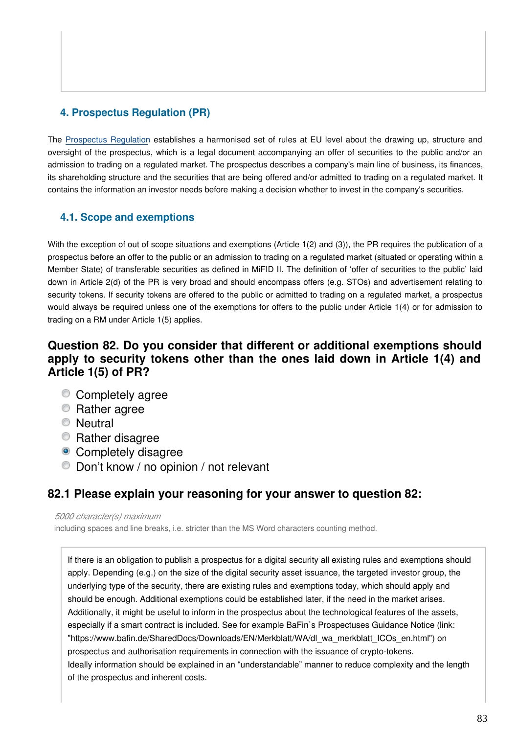### **4. Prospectus Regulation (PR)**

The [Prospectus Regulation](https://eur-lex.europa.eu/legal-content/EN/TXT/?uri=CELEX:32017R1129) establishes a harmonised set of rules at EU level about the drawing up, structure and oversight of the prospectus, which is a legal document accompanying an offer of securities to the public and/or an admission to trading on a regulated market. The prospectus describes a company's main line of business, its finances, its shareholding structure and the securities that are being offered and/or admitted to trading on a regulated market. It contains the information an investor needs before making a decision whether to invest in the company's securities.

### **4.1. Scope and exemptions**

With the exception of out of scope situations and exemptions (Article 1(2) and (3)), the PR requires the publication of a prospectus before an offer to the public or an admission to trading on a regulated market (situated or operating within a Member State) of transferable securities as defined in MiFID II. The definition of 'offer of securities to the public' laid down in Article 2(d) of the PR is very broad and should encompass offers (e.g. STOs) and advertisement relating to security tokens. If security tokens are offered to the public or admitted to trading on a regulated market, a prospectus would always be required unless one of the exemptions for offers to the public under Article 1(4) or for admission to trading on a RM under Article 1(5) applies.

### **Question 82. Do you consider that different or additional exemptions should apply to security tokens other than the ones laid down in Article 1(4) and Article 1(5) of PR?**

- Completely agree
- **Rather agree**
- **Neutral**
- **Rather disagree**
- Completely disagree
- Don't know / no opinion / not relevant

## **82.1 Please explain your reasoning for your answer to question 82:**

*5000 character(s) maximum*

including spaces and line breaks, i.e. stricter than the MS Word characters counting method.

If there is an obligation to publish a prospectus for a digital security all existing rules and exemptions should apply. Depending (e.g.) on the size of the digital security asset issuance, the targeted investor group, the underlying type of the security, there are existing rules and exemptions today, which should apply and should be enough. Additional exemptions could be established later, if the need in the market arises. Additionally, it might be useful to inform in the prospectus about the technological features of the assets, especially if a smart contract is included. See for example BaFin`s Prospectuses Guidance Notice (link: "https://www.bafin.de/SharedDocs/Downloads/EN/Merkblatt/WA/dl\_wa\_merkblatt\_ICOs\_en.html") on prospectus and authorisation requirements in connection with the issuance of crypto-tokens. Ideally information should be explained in an "understandable" manner to reduce complexity and the length of the prospectus and inherent costs.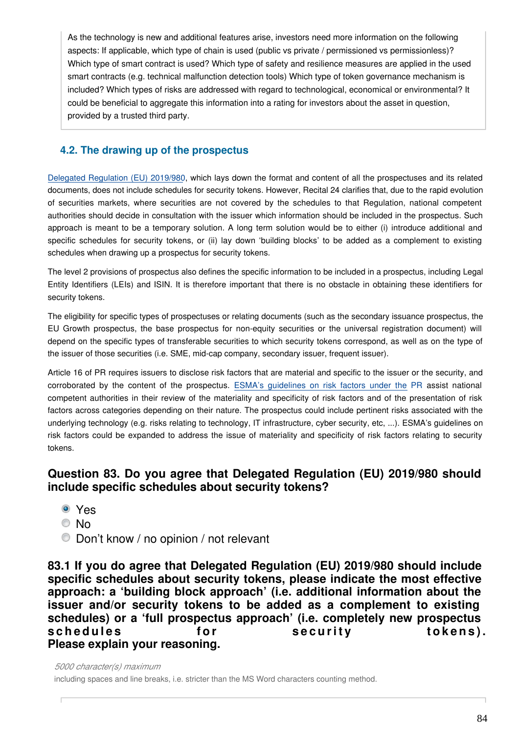As the technology is new and additional features arise, investors need more information on the following aspects: If applicable, which type of chain is used (public vs private / permissioned vs permissionless)? Which type of smart contract is used? Which type of safety and resilience measures are applied in the used smart contracts (e.g. technical malfunction detection tools) Which type of token governance mechanism is included? Which types of risks are addressed with regard to technological, economical or environmental? It could be beneficial to aggregate this information into a rating for investors about the asset in question, provided by a trusted third party.

### **4.2. The drawing up of the prospectus**

[Delegated Regulation \(EU\) 2019/980](https://eur-lex.europa.eu/legal-content/EN/TXT/?uri=CELEX:32019R0980), which lays down the format and content of all the prospectuses and its related documents, does not include schedules for security tokens. However, Recital 24 clarifies that, due to the rapid evolution of securities markets, where securities are not covered by the schedules to that Regulation, national competent authorities should decide in consultation with the issuer which information should be included in the prospectus. Such approach is meant to be a temporary solution. A long term solution would be to either (i) introduce additional and specific schedules for security tokens, or (ii) lay down 'building blocks' to be added as a complement to existing schedules when drawing up a prospectus for security tokens.

The level 2 provisions of prospectus also defines the specific information to be included in a prospectus, including Legal Entity Identifiers (LEIs) and ISIN. It is therefore important that there is no obstacle in obtaining these identifiers for security tokens.

The eligibility for specific types of prospectuses or relating documents (such as the secondary issuance prospectus, the EU Growth prospectus, the base prospectus for non-equity securities or the universal registration document) will depend on the specific types of transferable securities to which security tokens correspond, as well as on the type of the issuer of those securities (i.e. SME, mid-cap company, secondary issuer, frequent issuer).

Article 16 of PR requires issuers to disclose risk factors that are material and specific to the issuer or the security, and corroborated by the content of the prospectus. [ESMA's guidelines on risk factors under the](https://www.esma.europa.eu/sites/default/files/library/esma31-62-1293_guidelines_on_risk_factors_under_the_prospectus_regulation.pdf) PR assist national competent authorities in their review of the materiality and specificity of risk factors and of the presentation of risk factors across categories depending on their nature. The prospectus could include pertinent risks associated with the underlying technology (e.g. risks relating to technology, IT infrastructure, cyber security, etc, ...). ESMA's guidelines on risk factors could be expanded to address the issue of materiality and specificity of risk factors relating to security tokens.

### **Question 83. Do you agree that Delegated Regulation (EU) 2019/980 should include specific schedules about security tokens?**

- Yes
- © No
- Don't know / no opinion / not relevant

**83.1 If you do agree that Delegated Regulation (EU) 2019/980 should include specific schedules about security tokens, please indicate the most effective approach: a 'building block approach' (i.e. additional information about the issuer and/or security tokens to be added as a complement to existing schedules) or a 'full prospectus approach' (i.e. completely new prospectus**  schedules for security tokens). **Please explain your reasoning.**

*5000 character(s) maximum* including spaces and line breaks, i.e. stricter than the MS Word characters counting method.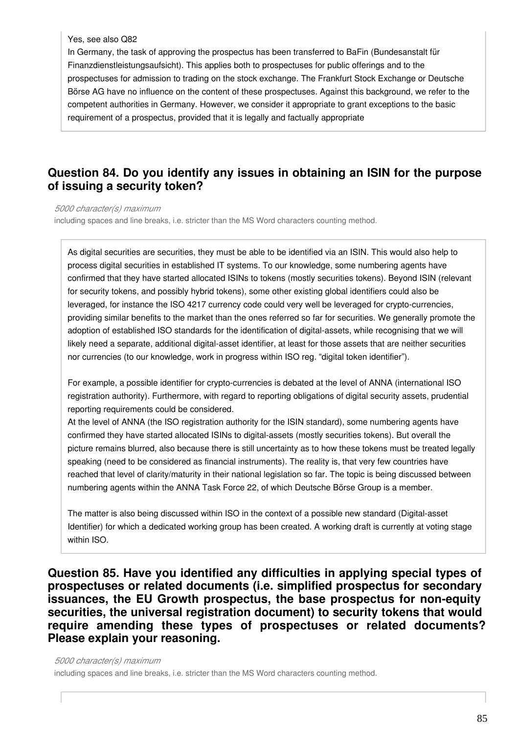### Yes, see also Q82

In Germany, the task of approving the prospectus has been transferred to BaFin (Bundesanstalt für Finanzdienstleistungsaufsicht). This applies both to prospectuses for public offerings and to the prospectuses for admission to trading on the stock exchange. The Frankfurt Stock Exchange or Deutsche Börse AG have no influence on the content of these prospectuses. Against this background, we refer to the competent authorities in Germany. However, we consider it appropriate to grant exceptions to the basic requirement of a prospectus, provided that it is legally and factually appropriate

### **Question 84. Do you identify any issues in obtaining an ISIN for the purpose of issuing a security token?**

*5000 character(s) maximum*

including spaces and line breaks, i.e. stricter than the MS Word characters counting method.

As digital securities are securities, they must be able to be identified via an ISIN. This would also help to process digital securities in established IT systems. To our knowledge, some numbering agents have confirmed that they have started allocated ISINs to tokens (mostly securities tokens). Beyond ISIN (relevant for security tokens, and possibly hybrid tokens), some other existing global identifiers could also be leveraged, for instance the ISO 4217 currency code could very well be leveraged for crypto-currencies, providing similar benefits to the market than the ones referred so far for securities. We generally promote the adoption of established ISO standards for the identification of digital-assets, while recognising that we will likely need a separate, additional digital-asset identifier, at least for those assets that are neither securities nor currencies (to our knowledge, work in progress within ISO reg. "digital token identifier").

For example, a possible identifier for crypto-currencies is debated at the level of ANNA (international ISO registration authority). Furthermore, with regard to reporting obligations of digital security assets, prudential reporting requirements could be considered.

At the level of ANNA (the ISO registration authority for the ISIN standard), some numbering agents have confirmed they have started allocated ISINs to digital-assets (mostly securities tokens). But overall the picture remains blurred, also because there is still uncertainty as to how these tokens must be treated legally speaking (need to be considered as financial instruments). The reality is, that very few countries have reached that level of clarity/maturity in their national legislation so far. The topic is being discussed between numbering agents within the ANNA Task Force 22, of which Deutsche Börse Group is a member.

The matter is also being discussed within ISO in the context of a possible new standard (Digital-asset Identifier) for which a dedicated working group has been created. A working draft is currently at voting stage within ISO.

**Question 85. Have you identified any difficulties in applying special types of prospectuses or related documents (i.e. simplified prospectus for secondary issuances, the EU Growth prospectus, the base prospectus for non-equity securities, the universal registration document) to security tokens that would require amending these types of prospectuses or related documents? Please explain your reasoning.**

*5000 character(s) maximum* including spaces and line breaks, i.e. stricter than the MS Word characters counting method.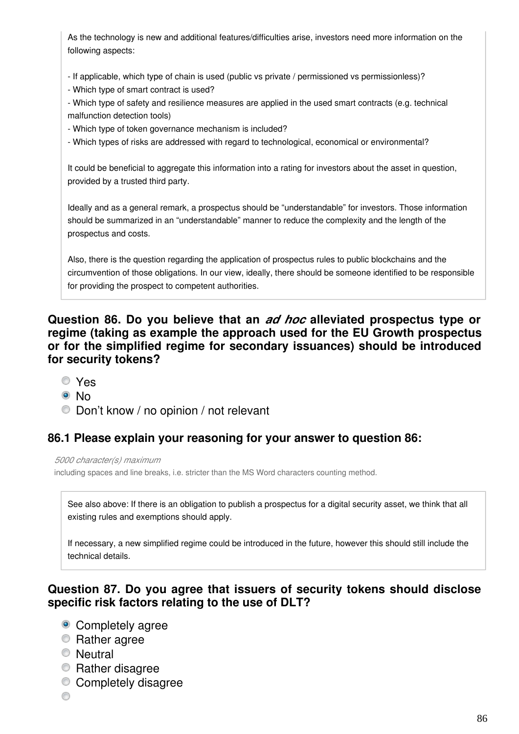As the technology is new and additional features/difficulties arise, investors need more information on the following aspects:

- If applicable, which type of chain is used (public vs private / permissioned vs permissionless)?
- Which type of smart contract is used?
- Which type of safety and resilience measures are applied in the used smart contracts (e.g. technical malfunction detection tools)
- Which type of token governance mechanism is included?
- Which types of risks are addressed with regard to technological, economical or environmental?

It could be beneficial to aggregate this information into a rating for investors about the asset in question, provided by a trusted third party.

Ideally and as a general remark, a prospectus should be "understandable" for investors. Those information should be summarized in an "understandable" manner to reduce the complexity and the length of the prospectus and costs.

Also, there is the question regarding the application of prospectus rules to public blockchains and the circumvention of those obligations. In our view, ideally, there should be someone identified to be responsible for providing the prospect to competent authorities.

### **Question 86. Do you believe that an** *ad hoc* **alleviated prospectus type or regime (taking as example the approach used for the EU Growth prospectus or for the simplified regime for secondary issuances) should be introduced for security tokens?**

- Yes
- <sup>⊚</sup>No
- Don't know / no opinion / not relevant

### **86.1 Please explain your reasoning for your answer to question 86:**

*5000 character(s) maximum* including spaces and line breaks, i.e. stricter than the MS Word characters counting method.

See also above: If there is an obligation to publish a prospectus for a digital security asset, we think that all existing rules and exemptions should apply.

If necessary, a new simplified regime could be introduced in the future, however this should still include the technical details.

### **Question 87. Do you agree that issuers of security tokens should disclose specific risk factors relating to the use of DLT?**

- Completely agree
- **Rather agree**
- **Neutral**
- **Rather disagree**
- Completely disagree
- ⊙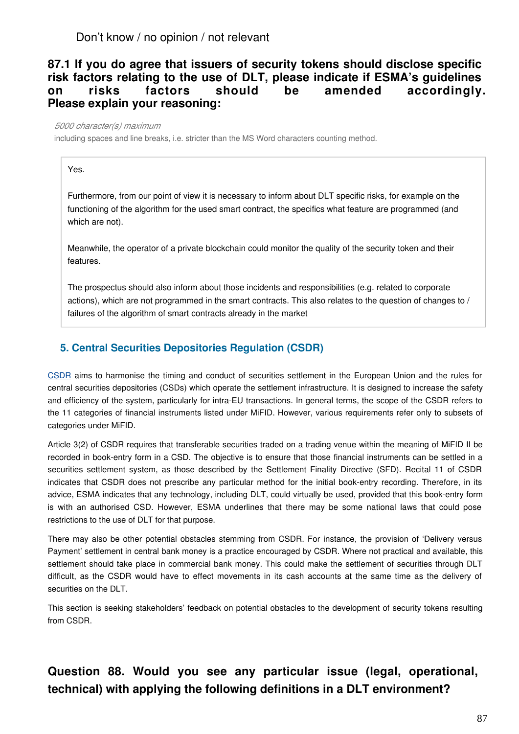### **87.1 If you do agree that issuers of security tokens should disclose specific risk factors relating to the use of DLT, please indicate if ESMA's guidelines on risks factors should be amended accordingly. Please explain your reasoning:**

#### *5000 character(s) maximum*

including spaces and line breaks, i.e. stricter than the MS Word characters counting method.

Yes.

Furthermore, from our point of view it is necessary to inform about DLT specific risks, for example on the functioning of the algorithm for the used smart contract, the specifics what feature are programmed (and which are not).

Meanwhile, the operator of a private blockchain could monitor the quality of the security token and their features.

The prospectus should also inform about those incidents and responsibilities (e.g. related to corporate actions), which are not programmed in the smart contracts. This also relates to the question of changes to / failures of the algorithm of smart contracts already in the market

### **5. Central Securities Depositories Regulation (CSDR)**

[CSDR](https://eur-lex.europa.eu/legal-content/EN/TXT/?uri=CELEX:32014R0909) aims to harmonise the timing and conduct of securities settlement in the European Union and the rules for central securities depositories (CSDs) which operate the settlement infrastructure. It is designed to increase the safety and efficiency of the system, particularly for intra-EU transactions. In general terms, the scope of the CSDR refers to the 11 categories of financial instruments listed under MiFID. However, various requirements refer only to subsets of categories under MiFID.

Article 3(2) of CSDR requires that transferable securities traded on a trading venue within the meaning of MiFID II be recorded in book-entry form in a CSD. The objective is to ensure that those financial instruments can be settled in a securities settlement system, as those described by the Settlement Finality Directive (SFD). Recital 11 of CSDR indicates that CSDR does not prescribe any particular method for the initial book-entry recording. Therefore, in its advice, ESMA indicates that any technology, including DLT, could virtually be used, provided that this book-entry form is with an authorised CSD. However, ESMA underlines that there may be some national laws that could pose restrictions to the use of DLT for that purpose.

There may also be other potential obstacles stemming from CSDR. For instance, the provision of 'Delivery versus Payment' settlement in central bank money is a practice encouraged by CSDR. Where not practical and available, this settlement should take place in commercial bank money. This could make the settlement of securities through DLT difficult, as the CSDR would have to effect movements in its cash accounts at the same time as the delivery of securities on the DLT.

This section is seeking stakeholders' feedback on potential obstacles to the development of security tokens resulting from CSDR.

# **Question 88. Would you see any particular issue (legal, operational, technical) with applying the following definitions in a DLT environment?**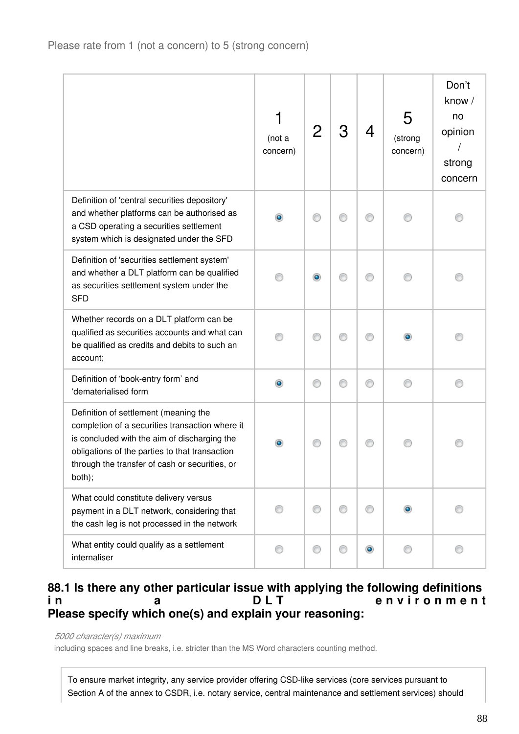|                                                                                                                                                                                                                                                        | (not a<br>concern) |           | З | 4         | 5<br>(strong<br>concern) | Don't<br>know /<br>no<br>opinion<br>strong<br>concern |
|--------------------------------------------------------------------------------------------------------------------------------------------------------------------------------------------------------------------------------------------------------|--------------------|-----------|---|-----------|--------------------------|-------------------------------------------------------|
| Definition of 'central securities depository'<br>and whether platforms can be authorised as<br>a CSD operating a securities settlement<br>system which is designated under the SFD                                                                     |                    |           |   |           |                          |                                                       |
| Definition of 'securities settlement system'<br>and whether a DLT platform can be qualified<br>as securities settlement system under the<br><b>SFD</b>                                                                                                 |                    | $\bullet$ |   |           |                          |                                                       |
| Whether records on a DLT platform can be<br>qualified as securities accounts and what can<br>be qualified as credits and debits to such an<br>account;                                                                                                 |                    | ⋒         |   | €         |                          |                                                       |
| Definition of 'book-entry form' and<br>'dematerialised form                                                                                                                                                                                            | ۰                  | ⊙         | ⊙ | ⊙         | ⋒                        | ∩                                                     |
| Definition of settlement (meaning the<br>completion of a securities transaction where it<br>is concluded with the aim of discharging the<br>obligations of the parties to that transaction<br>through the transfer of cash or securities, or<br>both); |                    |           |   |           |                          |                                                       |
| What could constitute delivery versus<br>payment in a DLT network, considering that<br>the cash leg is not processed in the network                                                                                                                    | ⊙                  | ⊙         |   | ⊙         |                          |                                                       |
| What entity could qualify as a settlement<br>internaliser                                                                                                                                                                                              | ∩                  | €         |   | $\bullet$ |                          |                                                       |

### **88.1 Is there any other particular issue with applying the following definitions in** a DLT environment **Please specify which one(s) and explain your reasoning:**

### *5000 character(s) maximum*

including spaces and line breaks, i.e. stricter than the MS Word characters counting method.

To ensure market integrity, any service provider offering CSD-like services (core services pursuant to Section A of the annex to CSDR, i.e. notary service, central maintenance and settlement services) should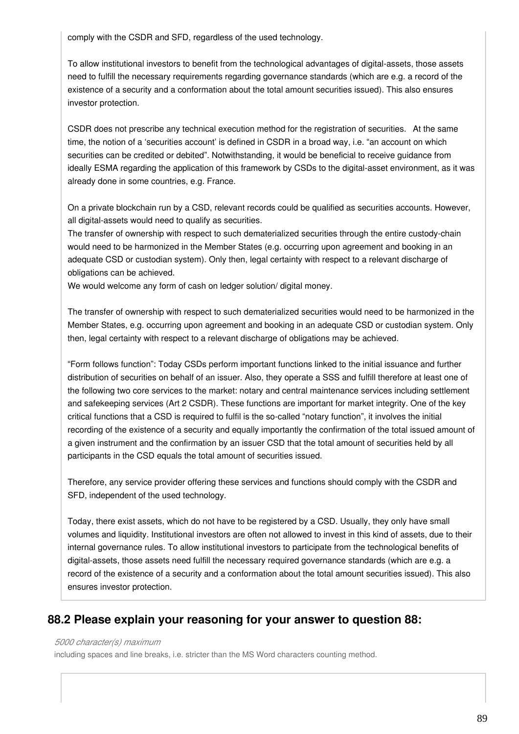comply with the CSDR and SFD, regardless of the used technology.

To allow institutional investors to benefit from the technological advantages of digital-assets, those assets need to fulfill the necessary requirements regarding governance standards (which are e.g. a record of the existence of a security and a conformation about the total amount securities issued). This also ensures investor protection.

CSDR does not prescribe any technical execution method for the registration of securities.  At the same time, the notion of a 'securities account' is defined in CSDR in a broad way, i.e. "an account on which securities can be credited or debited". Notwithstanding, it would be beneficial to receive guidance from ideally ESMA regarding the application of this framework by CSDs to the digital-asset environment, as it was already done in some countries, e.g. France.

On a private blockchain run by a CSD, relevant records could be qualified as securities accounts. However, all digital-assets would need to qualify as securities.

The transfer of ownership with respect to such dematerialized securities through the entire custody-chain would need to be harmonized in the Member States (e.g. occurring upon agreement and booking in an adequate CSD or custodian system). Only then, legal certainty with respect to a relevant discharge of obligations can be achieved.

We would welcome any form of cash on ledger solution/ digital money.

The transfer of ownership with respect to such dematerialized securities would need to be harmonized in the Member States, e.g. occurring upon agreement and booking in an adequate CSD or custodian system. Only then, legal certainty with respect to a relevant discharge of obligations may be achieved.

"Form follows function": Today CSDs perform important functions linked to the initial issuance and further distribution of securities on behalf of an issuer. Also, they operate a SSS and fulfill therefore at least one of the following two core services to the market: notary and central maintenance services including settlement and safekeeping services (Art 2 CSDR). These functions are important for market integrity. One of the key critical functions that a CSD is required to fulfil is the so-called "notary function", it involves the initial recording of the existence of a security and equally importantly the confirmation of the total issued amount of a given instrument and the confirmation by an issuer CSD that the total amount of securities held by all participants in the CSD equals the total amount of securities issued.

Therefore, any service provider offering these services and functions should comply with the CSDR and SFD, independent of the used technology.

Today, there exist assets, which do not have to be registered by a CSD. Usually, they only have small volumes and liquidity. Institutional investors are often not allowed to invest in this kind of assets, due to their internal governance rules. To allow institutional investors to participate from the technological benefits of digital-assets, those assets need fulfill the necessary required governance standards (which are e.g. a record of the existence of a security and a conformation about the total amount securities issued). This also ensures investor protection.

### **88.2 Please explain your reasoning for your answer to question 88:**

### *5000 character(s) maximum*

including spaces and line breaks, i.e. stricter than the MS Word characters counting method.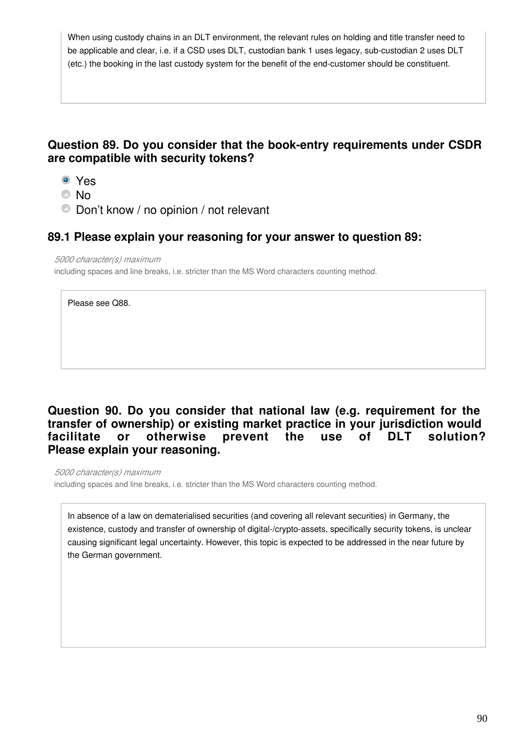When using custody chains in an DLT environment, the relevant rules on holding and title transfer need to be applicable and clear, i.e. if a CSD uses DLT, custodian bank 1 uses legacy, sub-custodian 2 uses DLT (etc.) the booking in the last custody system for the benefit of the end-customer should be constituent.

## **Question 89. Do you consider that the book-entry requirements under CSDR are compatible with security tokens?**

- Yes
- © No
- Don't know / no opinion / not relevant

### **89.1 Please explain your reasoning for your answer to question 89:**

*5000 character(s) maximum* including spaces and line breaks, i.e. stricter than the MS Word characters counting method.

Please see Q88.

### **Question 90. Do you consider that national law (e.g. requirement for the transfer of ownership) or existing market practice in your jurisdiction would facilitate or otherwise prevent the use of DLT solution? Please explain your reasoning.**

*5000 character(s) maximum* including spaces and line breaks, i.e. stricter than the MS Word characters counting method.

In absence of a law on dematerialised securities (and covering all relevant securities) in Germany, the existence, custody and transfer of ownership of digital-/crypto-assets, specifically security tokens, is unclear causing significant legal uncertainty. However, this topic is expected to be addressed in the near future by the German government.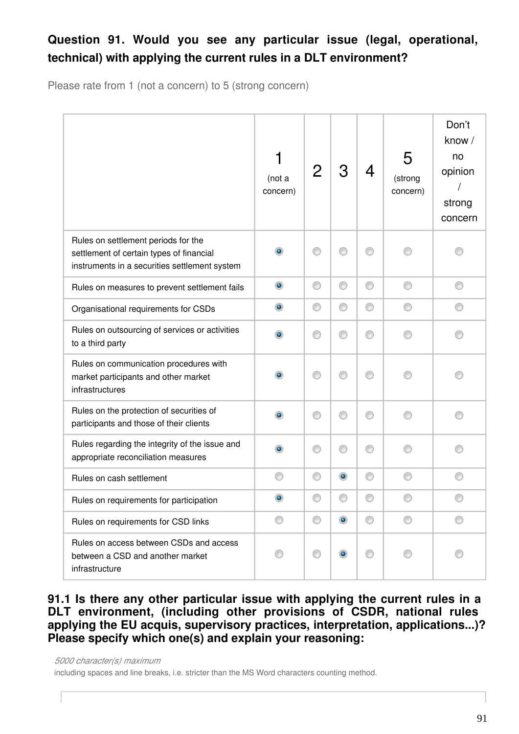# **Question 91. Would you see any particular issue (legal, operational, technical) with applying the current rules in a DLT environment?**

Please rate from 1 (not a concern) to 5 (strong concern)

|                                                                                                                                  | (not a<br>concern) |   | З              | 4 | 5<br>(strong<br>concern) | Don't<br>know /<br>no<br>opinion<br>strong<br>concern |
|----------------------------------------------------------------------------------------------------------------------------------|--------------------|---|----------------|---|--------------------------|-------------------------------------------------------|
| Rules on settlement periods for the<br>settlement of certain types of financial<br>instruments in a securities settlement system | $\bullet$          |   | ∩              |   |                          |                                                       |
| Rules on measures to prevent settlement fails                                                                                    | $\bullet$          | O | ⊙              | 0 |                          | ◎                                                     |
| Organisational requirements for CSDs                                                                                             | $\bullet$          | 0 | ⊙              | 0 |                          |                                                       |
| Rules on outsourcing of services or activities<br>to a third party                                                               | $\bullet$          | ⋒ | ⊙              | ⊙ |                          |                                                       |
| Rules on communication procedures with<br>market participants and other market<br>infrastructures                                | $\bullet$          |   | ∩              | ∩ |                          |                                                       |
| Rules on the protection of securities of<br>participants and those of their clients                                              | ۰                  | ⋒ | ⊙              | ∩ |                          |                                                       |
| Rules regarding the integrity of the issue and<br>appropriate reconciliation measures                                            | $\bullet$          | ∩ | ⊙              | ⊙ |                          |                                                       |
| Rules on cash settlement                                                                                                         | ⋒                  | O | $\circledcirc$ | 0 |                          |                                                       |
| Rules on requirements for participation                                                                                          | $\bullet$          |   |                |   |                          |                                                       |
| Rules on requirements for CSD links                                                                                              | ⊙                  | ⊙ | $\circledcirc$ | ⊙ | ⊙                        | ⊙                                                     |
| Rules on access between CSDs and access<br>between a CSD and another market<br>infrastructure                                    |                    | ⊙ | $\bullet$      | ⊙ |                          |                                                       |

**91.1 Is there any other particular issue with applying the current rules in a DLT environment, (including other provisions of CSDR, national rules applying the EU acquis, supervisory practices, interpretation, applications...)? Please specify which one(s) and explain your reasoning:**

*5000 character(s) maximum* including spaces and line breaks, i.e. stricter than the MS Word characters counting method.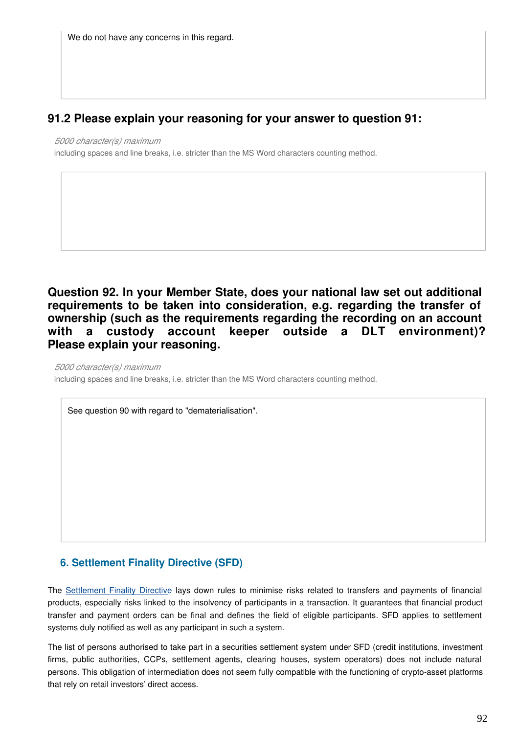## **91.2 Please explain your reasoning for your answer to question 91:**

*5000 character(s) maximum*

including spaces and line breaks, i.e. stricter than the MS Word characters counting method.

**Question 92. In your Member State, does your national law set out additional requirements to be taken into consideration, e.g. regarding the transfer of ownership (such as the requirements regarding the recording on an account with a custody account keeper outside a DLT environment)? Please explain your reasoning.**

*5000 character(s) maximum* including spaces and line breaks, i.e. stricter than the MS Word characters counting method.

See question 90 with regard to "dematerialisation".

### **6. Settlement Finality Directive (SFD)**

The [Settlement Finality Directive](https://eur-lex.europa.eu/legal-content/EN/TXT/?uri=CELEX:31998L0026) lays down rules to minimise risks related to transfers and payments of financial products, especially risks linked to the insolvency of participants in a transaction. It guarantees that financial product transfer and payment orders can be final and defines the field of eligible participants. SFD applies to settlement systems duly notified as well as any participant in such a system.

The list of persons authorised to take part in a securities settlement system under SFD (credit institutions, investment firms, public authorities, CCPs, settlement agents, clearing houses, system operators) does not include natural persons. This obligation of intermediation does not seem fully compatible with the functioning of crypto-asset platforms that rely on retail investors' direct access.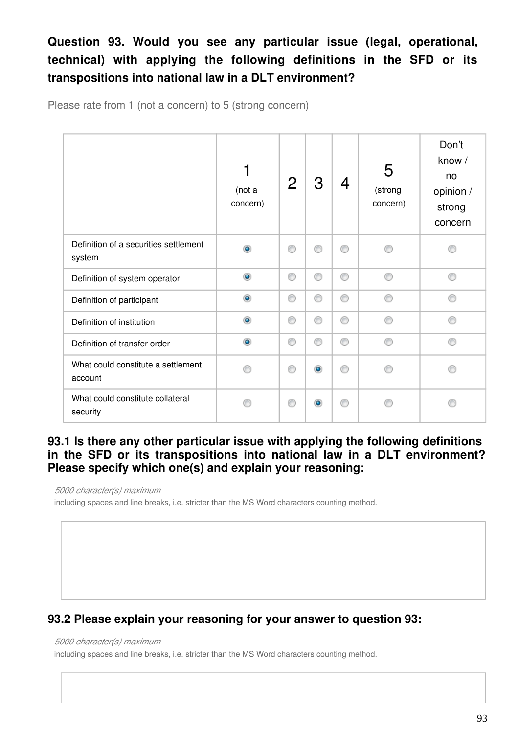# **Question 93. Would you see any particular issue (legal, operational, technical) with applying the following definitions in the SFD or its transpositions into national law in a DLT environment?**

Please rate from 1 (not a concern) to 5 (strong concern)

|                                                 | 1<br>(not a<br>concern) | $\mathbf{2}$ | З         |   | 5<br>(strong<br>concern) | Don't<br>know /<br>no<br>opinion /<br>strong<br>concern |
|-------------------------------------------------|-------------------------|--------------|-----------|---|--------------------------|---------------------------------------------------------|
| Definition of a securities settlement<br>system | $\circledcirc$          | ⊙            | ⋒         | 0 | ∩                        |                                                         |
| Definition of system operator                   | $\circledcirc$          | ⊙            | ⊙         | 0 | ⋒                        | ⋒                                                       |
| Definition of participant                       | $\circledcirc$          | ⊙            | ⊙         | 0 | ⋒                        |                                                         |
| Definition of institution                       | $\bullet$               | 0            | ⊙         | ⊙ | ⋒                        |                                                         |
| Definition of transfer order                    | $\bullet$               | ⊙            | ∩         | 0 | ∩                        | ⋒                                                       |
| What could constitute a settlement<br>account   | ⋒                       | ⊙            | $\bullet$ | ∩ |                          |                                                         |
| What could constitute collateral<br>security    |                         | ◎            |           |   |                          |                                                         |

### **93.1 Is there any other particular issue with applying the following definitions in the SFD or its transpositions into national law in a DLT environment? Please specify which one(s) and explain your reasoning:**

*5000 character(s) maximum*

including spaces and line breaks, i.e. stricter than the MS Word characters counting method.

# **93.2 Please explain your reasoning for your answer to question 93:**

### *5000 character(s) maximum*

including spaces and line breaks, i.e. stricter than the MS Word characters counting method.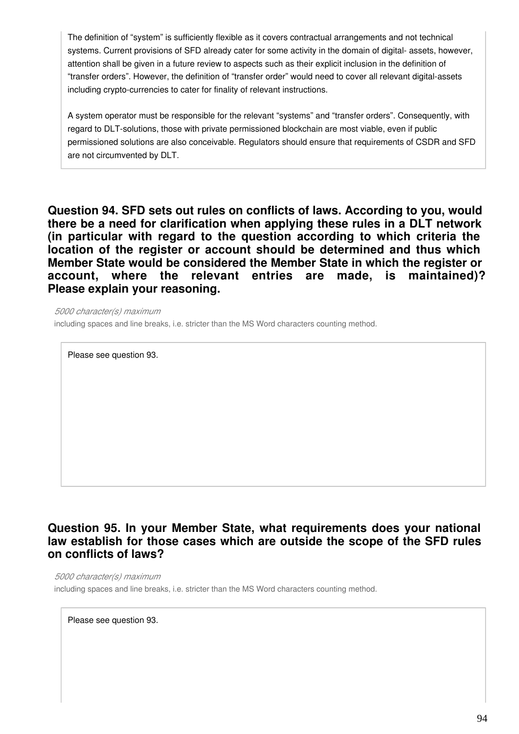The definition of "system" is sufficiently flexible as it covers contractual arrangements and not technical systems. Current provisions of SFD already cater for some activity in the domain of digital- assets, however, attention shall be given in a future review to aspects such as their explicit inclusion in the definition of "transfer orders". However, the definition of "transfer order" would need to cover all relevant digital-assets including crypto-currencies to cater for finality of relevant instructions.

A system operator must be responsible for the relevant "systems" and "transfer orders". Consequently, with regard to DLT-solutions, those with private permissioned blockchain are most viable, even if public permissioned solutions are also conceivable. Regulators should ensure that requirements of CSDR and SFD are not circumvented by DLT.

**Question 94. SFD sets out rules on conflicts of laws. According to you, would there be a need for clarification when applying these rules in a DLT network (in particular with regard to the question according to which criteria the location of the register or account should be determined and thus which Member State would be considered the Member State in which the register or account, where the relevant entries are made, is maintained)? Please explain your reasoning.**

*5000 character(s) maximum*

including spaces and line breaks, i.e. stricter than the MS Word characters counting method.

Please see question 93.

### **Question 95. In your Member State, what requirements does your national law establish for those cases which are outside the scope of the SFD rules on conflicts of laws?**

*5000 character(s) maximum* including spaces and line breaks, i.e. stricter than the MS Word characters counting method.

Please see question 93.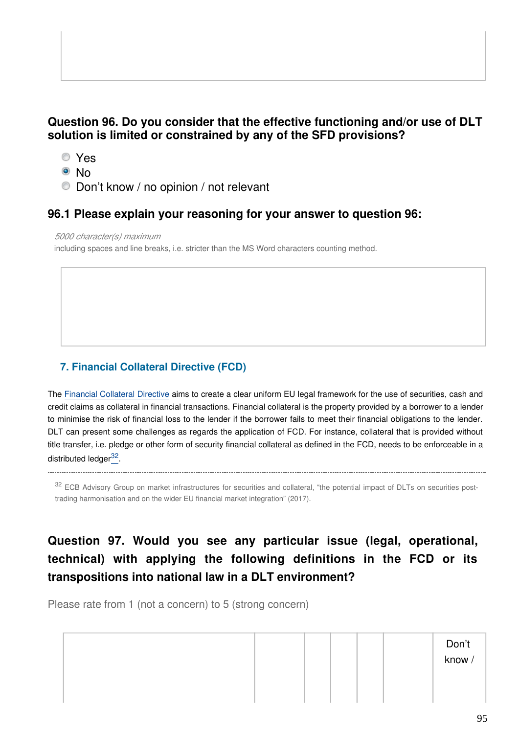### **Question 96. Do you consider that the effective functioning and/or use of DLT solution is limited or constrained by any of the SFD provisions?**

- Yes
- ® N∩

<span id="page-94-0"></span>

Don't know / no opinion / not relevant

### **96.1 Please explain your reasoning for your answer to question 96:**

*5000 character(s) maximum*

including spaces and line breaks, i.e. stricter than the MS Word characters counting method.

## **7. Financial Collateral Directive (FCD)**

The [Financial Collateral Directive](https://eur-lex.europa.eu/legal-content/EN/TXT/?uri=CELEX:32002L0047) aims to create a clear uniform EU legal framework for the use of securities, cash and credit claims as collateral in financial transactions. Financial collateral is the property provided by a borrower to a lender to minimise the risk of financial loss to the lender if the borrower fails to meet their financial obligations to the lender. DLT can present some challenges as regards the application of FCD. For instance, collateral that is provided without title transfer, i.e. pledge or other form of security financial collateral as defined in the FCD, needs to be enforceable in a distributed ledger<sup>[32](#page-94-0)</sup>.

<sup>32</sup> ECB Advisory Group on market infrastructures for securities and collateral, "the potential impact of DLTs on securities posttrading harmonisation and on the wider EU financial market integration" (2017).

# **Question 97. Would you see any particular issue (legal, operational, technical) with applying the following definitions in the FCD or its transpositions into national law in a DLT environment?**

Please rate from 1 (not a concern) to 5 (strong concern)

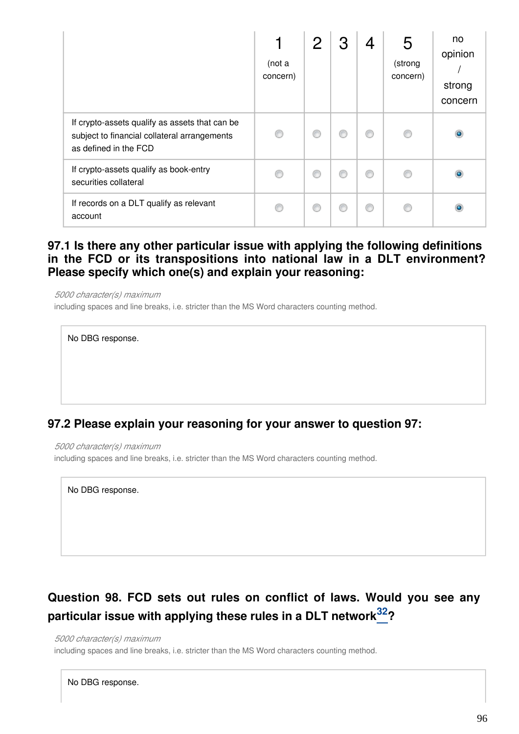|                                                                                                                         | (not a<br>concern) |  | 4 | 5<br>(strong<br>concern) | no<br>opinion<br>strong<br>concern |
|-------------------------------------------------------------------------------------------------------------------------|--------------------|--|---|--------------------------|------------------------------------|
| If crypto-assets qualify as assets that can be<br>subject to financial collateral arrangements<br>as defined in the FCD |                    |  | ∩ |                          | $\bullet$                          |
| If crypto-assets qualify as book-entry<br>securities collateral                                                         |                    |  | ⋒ |                          |                                    |
| If records on a DLT qualify as relevant<br>account                                                                      |                    |  | ⊙ |                          |                                    |

### **97.1 Is there any other particular issue with applying the following definitions in the FCD or its transpositions into national law in a DLT environment? Please specify which one(s) and explain your reasoning:**

*5000 character(s) maximum* including spaces and line breaks, i.e. stricter than the MS Word characters counting method.



### **97.2 Please explain your reasoning for your answer to question 97:**

*5000 character(s) maximum*

including spaces and line breaks, i.e. stricter than the MS Word characters counting method.

No DBG response.

# **Question 98. FCD sets out rules on conflict of laws. Would you see any particular issue with applying these rules in a DLT network ? [32](#page-94-0)**

#### *5000 character(s) maximum*

including spaces and line breaks, i.e. stricter than the MS Word characters counting method.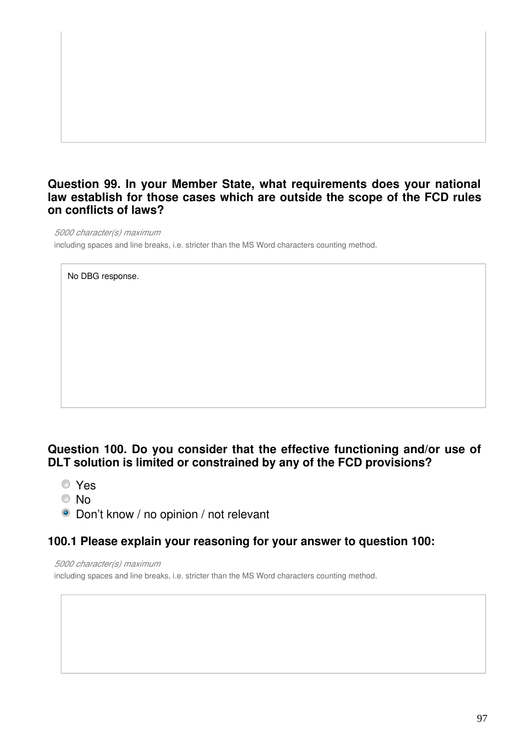### **Question 99. In your Member State, what requirements does your national law establish for those cases which are outside the scope of the FCD rules on conflicts of laws?**

*5000 character(s) maximum*

including spaces and line breaks, i.e. stricter than the MS Word characters counting method.

No DBG response.

## **Question 100. Do you consider that the effective functioning and/or use of DLT solution is limited or constrained by any of the FCD provisions?**

- Yes
- No
- **O** Don't know / no opinion / not relevant

### **100.1 Please explain your reasoning for your answer to question 100:**

*5000 character(s) maximum*

including spaces and line breaks, i.e. stricter than the MS Word characters counting method.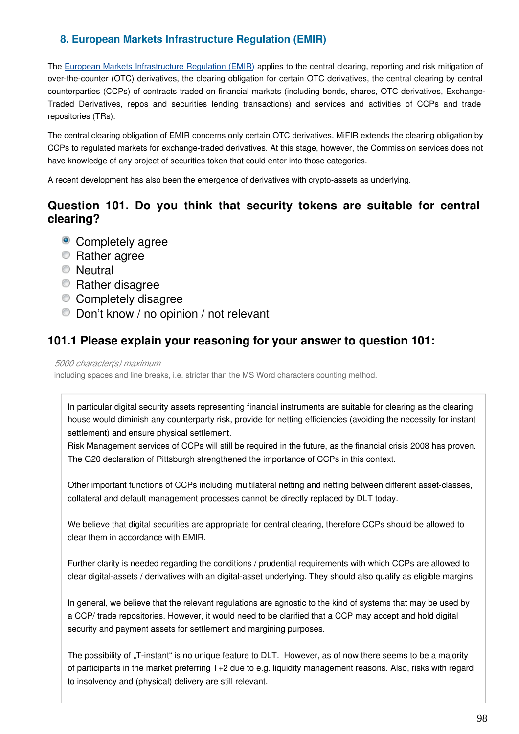### **8. European Markets Infrastructure Regulation (EMIR)**

The [European Markets Infrastructure Regulation \(EMIR\)](https://eur-lex.europa.eu/legal-content/EN/TXT/?uri=CELEX:32012R0648) applies to the central clearing, reporting and risk mitigation of over-the-counter (OTC) derivatives, the clearing obligation for certain OTC derivatives, the central clearing by central counterparties (CCPs) of contracts traded on financial markets (including bonds, shares, OTC derivatives, Exchange-Traded Derivatives, repos and securities lending transactions) and services and activities of CCPs and trade repositories (TRs).

The central clearing obligation of EMIR concerns only certain OTC derivatives. MiFIR extends the clearing obligation by CCPs to regulated markets for exchange-traded derivatives. At this stage, however, the Commission services does not have knowledge of any project of securities token that could enter into those categories.

A recent development has also been the emergence of derivatives with crypto-assets as underlying.

### **Question 101. Do you think that security tokens are suitable for central clearing?**

- Completely agree
- **Rather agree**
- **Neutral**
- **Rather disagree**
- Completely disagree
- Don't know / no opinion / not relevant

### **101.1 Please explain your reasoning for your answer to question 101:**

### *5000 character(s) maximum*

including spaces and line breaks, i.e. stricter than the MS Word characters counting method.

In particular digital security assets representing financial instruments are suitable for clearing as the clearing house would diminish any counterparty risk, provide for netting efficiencies (avoiding the necessity for instant settlement) and ensure physical settlement.

Risk Management services of CCPs will still be required in the future, as the financial crisis 2008 has proven. The G20 declaration of Pittsburgh strengthened the importance of CCPs in this context.

Other important functions of CCPs including multilateral netting and netting between different asset-classes, collateral and default management processes cannot be directly replaced by DLT today.

We believe that digital securities are appropriate for central clearing, therefore CCPs should be allowed to clear them in accordance with EMIR.

Further clarity is needed regarding the conditions / prudential requirements with which CCPs are allowed to clear digital-assets / derivatives with an digital-asset underlying. They should also qualify as eligible margins

In general, we believe that the relevant regulations are agnostic to the kind of systems that may be used by a CCP/ trade repositories. However, it would need to be clarified that a CCP may accept and hold digital security and payment assets for settlement and margining purposes.

The possibility of "T-instant" is no unique feature to DLT. However, as of now there seems to be a majority of participants in the market preferring T+2 due to e.g. liquidity management reasons. Also, risks with regard to insolvency and (physical) delivery are still relevant.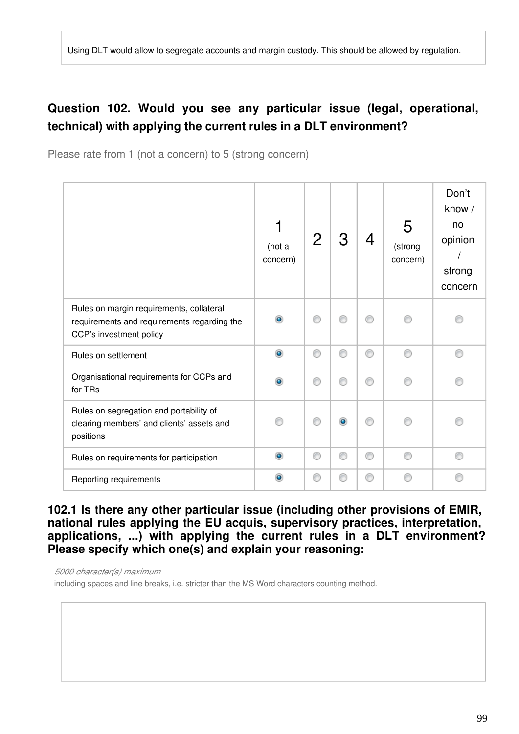# **Question 102. Would you see any particular issue (legal, operational, technical) with applying the current rules in a DLT environment?**

Please rate from 1 (not a concern) to 5 (strong concern)

|                                                                                                                    | (not a<br>concern) | 2 | З | 4 | 5<br>(strong<br>concern) | Don't<br>know /<br>no<br>opinion<br>strong<br>concern |
|--------------------------------------------------------------------------------------------------------------------|--------------------|---|---|---|--------------------------|-------------------------------------------------------|
| Rules on margin requirements, collateral<br>requirements and requirements regarding the<br>CCP's investment policy | $\bullet$          |   |   |   |                          |                                                       |
| Rules on settlement                                                                                                | $\circledcirc$     | ⋒ | ⊙ | ⊙ |                          |                                                       |
| Organisational requirements for CCPs and<br>for TRs                                                                | $\bullet$          | ß |   | ⋒ |                          |                                                       |
| Rules on segregation and portability of<br>clearing members' and clients' assets and<br>positions                  |                    |   | ۰ |   |                          |                                                       |
| Rules on requirements for participation                                                                            | $\circledcirc$     | ⋒ | ⊙ | ⊙ |                          |                                                       |
| Reporting requirements                                                                                             | $\bullet$          |   |   |   |                          |                                                       |

**102.1 Is there any other particular issue (including other provisions of EMIR, national rules applying the EU acquis, supervisory practices, interpretation, applications, ...) with applying the current rules in a DLT environment? Please specify which one(s) and explain your reasoning:**

*5000 character(s) maximum*

including spaces and line breaks, i.e. stricter than the MS Word characters counting method.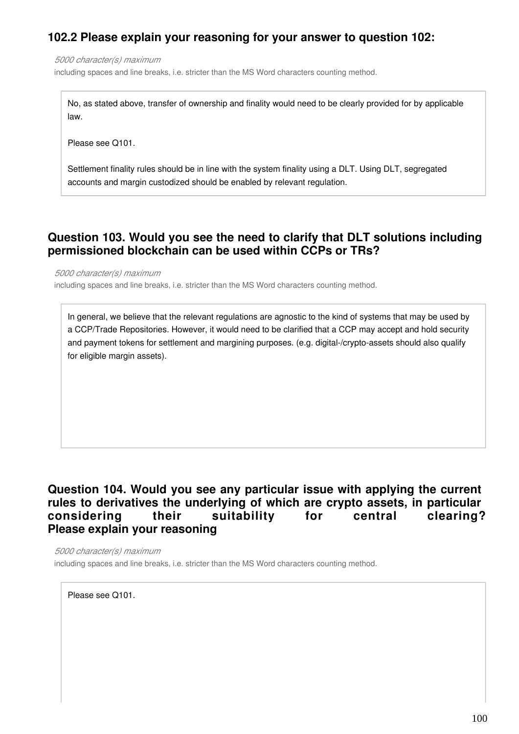## **102.2 Please explain your reasoning for your answer to question 102:**

*5000 character(s) maximum* including spaces and line breaks, i.e. stricter than the MS Word characters counting method.

No, as stated above, transfer of ownership and finality would need to be clearly provided for by applicable law.

Please see Q101.

Settlement finality rules should be in line with the system finality using a DLT. Using DLT, segregated accounts and margin custodized should be enabled by relevant regulation.

### **Question 103. Would you see the need to clarify that DLT solutions including permissioned blockchain can be used within CCPs or TRs?**

*5000 character(s) maximum*

including spaces and line breaks, i.e. stricter than the MS Word characters counting method.

In general, we believe that the relevant regulations are agnostic to the kind of systems that may be used by a CCP/Trade Repositories. However, it would need to be clarified that a CCP may accept and hold security and payment tokens for settlement and margining purposes. (e.g. digital-/crypto-assets should also qualify for eligible margin assets).

### **Question 104. Would you see any particular issue with applying the current rules to derivatives the underlying of which are crypto assets, in particular considering their suitability for central clearing? Please explain your reasoning**

*5000 character(s) maximum*

including spaces and line breaks, i.e. stricter than the MS Word characters counting method.

Please see Q101.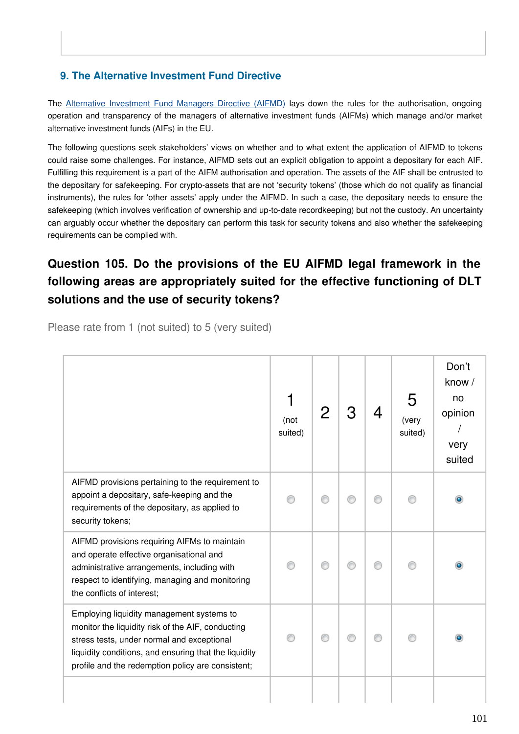### **9. The Alternative Investment Fund Directive**

The [Alternative Investment Fund Managers Directive \(AIFM](https://eur-lex.europa.eu/legal-content/EN/TXT/?uri=CELEX:32011L0061)D) lays down the rules for the authorisation, ongoing operation and transparency of the managers of alternative investment funds (AIFMs) which manage and/or market alternative investment funds (AIFs) in the EU.

The following questions seek stakeholders' views on whether and to what extent the application of AIFMD to tokens could raise some challenges. For instance, AIFMD sets out an explicit obligation to appoint a depositary for each AIF. Fulfilling this requirement is a part of the AIFM authorisation and operation. The assets of the AIF shall be entrusted to the depositary for safekeeping. For crypto-assets that are not 'security tokens' (those which do not qualify as financial instruments), the rules for 'other assets' apply under the AIFMD. In such a case, the depositary needs to ensure the safekeeping (which involves verification of ownership and up-to-date recordkeeping) but not the custody. An uncertainty can arguably occur whether the depositary can perform this task for security tokens and also whether the safekeeping requirements can be complied with.

# **Question 105. Do the provisions of the EU AIFMD legal framework in the following areas are appropriately suited for the effective functioning of DLT solutions and the use of security tokens?**

Please rate from 1 (not suited) to 5 (very suited)

|                                                                                                                                                                                                                                                            | (not<br>suited) | 2 |  | 5<br>(very<br>suited) | Don't<br>know /<br>no<br>opinion<br>very<br>suited |
|------------------------------------------------------------------------------------------------------------------------------------------------------------------------------------------------------------------------------------------------------------|-----------------|---|--|-----------------------|----------------------------------------------------|
| AIFMD provisions pertaining to the requirement to<br>appoint a depositary, safe-keeping and the<br>requirements of the depositary, as applied to<br>security tokens;                                                                                       |                 |   |  |                       | $\bullet$                                          |
| AIFMD provisions requiring AIFMs to maintain<br>and operate effective organisational and<br>administrative arrangements, including with<br>respect to identifying, managing and monitoring<br>the conflicts of interest;                                   |                 |   |  |                       |                                                    |
| Employing liquidity management systems to<br>monitor the liquidity risk of the AIF, conducting<br>stress tests, under normal and exceptional<br>liquidity conditions, and ensuring that the liquidity<br>profile and the redemption policy are consistent; |                 |   |  |                       |                                                    |
|                                                                                                                                                                                                                                                            |                 |   |  |                       |                                                    |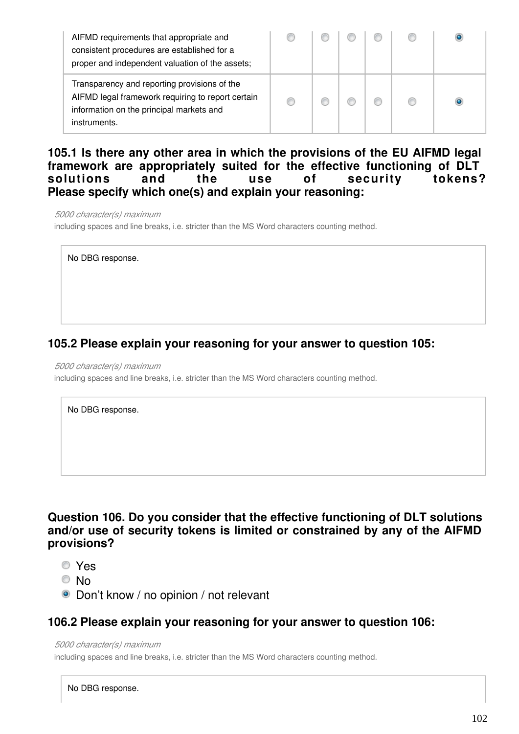| AIFMD requirements that appropriate and<br>consistent procedures are established for a<br>proper and independent valuation of the assets;                     |  |  |  |
|---------------------------------------------------------------------------------------------------------------------------------------------------------------|--|--|--|
| Transparency and reporting provisions of the<br>AIFMD legal framework requiring to report certain<br>information on the principal markets and<br>instruments. |  |  |  |

### **105.1 Is there any other area in which the provisions of the EU AIFMD legal framework are appropriately suited for the effective functioning of DLT solutions and the use of security tokens? Please specify which one(s) and explain your reasoning:**

*5000 character(s) maximum* including spaces and line breaks, i.e. stricter than the MS Word characters counting method.

No DBG response.

## **105.2 Please explain your reasoning for your answer to question 105:**

*5000 character(s) maximum*

including spaces and line breaks, i.e. stricter than the MS Word characters counting method.

No DBG response.

### **Question 106. Do you consider that the effective functioning of DLT solutions and/or use of security tokens is limited or constrained by any of the AIFMD provisions?**

- Yes
- © No
- Don't know / no opinion / not relevant

### **106.2 Please explain your reasoning for your answer to question 106:**

*5000 character(s) maximum*

including spaces and line breaks, i.e. stricter than the MS Word characters counting method.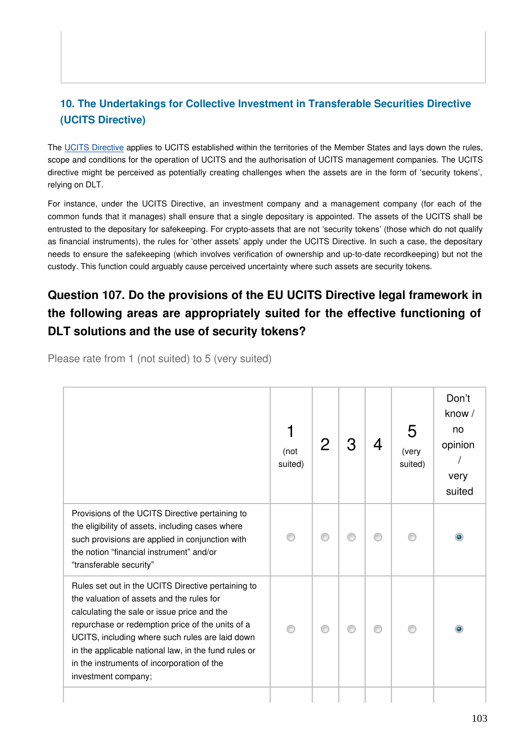## **10. The Undertakings for Collective Investment in Transferable Securities Directive (UCITS Directive)**

The [UCITS Directive](https://eur-lex.europa.eu/legal-content/EN/TXT/?uri=CELEX:32009L0065) applies to UCITS established within the territories of the Member States and lays down the rules, scope and conditions for the operation of UCITS and the authorisation of UCITS management companies. The UCITS directive might be perceived as potentially creating challenges when the assets are in the form of 'security tokens', relying on DLT.

For instance, under the UCITS Directive, an investment company and a management company (for each of the common funds that it manages) shall ensure that a single depositary is appointed. The assets of the UCITS shall be entrusted to the depositary for safekeeping. For crypto-assets that are not 'security tokens' (those which do not qualify as financial instruments), the rules for 'other assets' apply under the UCITS Directive. In such a case, the depositary needs to ensure the safekeeping (which involves verification of ownership and up-to-date recordkeeping) but not the custody. This function could arguably cause perceived uncertainty where such assets are security tokens.

# **Question 107. Do the provisions of the EU UCITS Directive legal framework in the following areas are appropriately suited for the effective functioning of DLT solutions and the use of security tokens?**

|                                                                                                                                                                                                                                                                                                                                                                                    | (not<br>suited) |  | <u>Д</u> | 5<br>(very<br>suited) | Don't<br>know /<br>no<br>opinion<br>very<br>suited |
|------------------------------------------------------------------------------------------------------------------------------------------------------------------------------------------------------------------------------------------------------------------------------------------------------------------------------------------------------------------------------------|-----------------|--|----------|-----------------------|----------------------------------------------------|
| Provisions of the UCITS Directive pertaining to<br>the eligibility of assets, including cases where<br>such provisions are applied in conjunction with<br>the notion "financial instrument" and/or<br>"transferable security"                                                                                                                                                      |                 |  |          |                       |                                                    |
| Rules set out in the UCITS Directive pertaining to<br>the valuation of assets and the rules for<br>calculating the sale or issue price and the<br>repurchase or redemption price of the units of a<br>UCITS, including where such rules are laid down<br>in the applicable national law, in the fund rules or<br>in the instruments of incorporation of the<br>investment company; |                 |  |          |                       |                                                    |
|                                                                                                                                                                                                                                                                                                                                                                                    |                 |  |          |                       |                                                    |

Please rate from 1 (not suited) to 5 (very suited)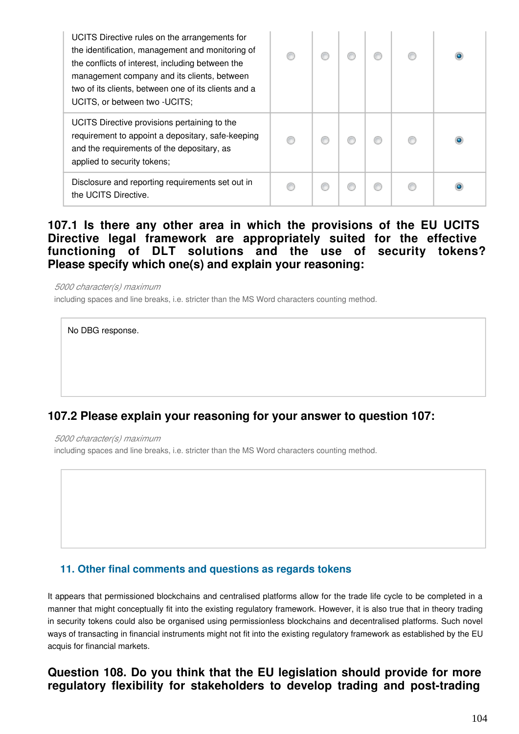| UCITS Directive rules on the arrangements for<br>the identification, management and monitoring of<br>the conflicts of interest, including between the<br>management company and its clients, between<br>two of its clients, between one of its clients and a<br>UCITS, or between two - UCITS; |  |  |  |
|------------------------------------------------------------------------------------------------------------------------------------------------------------------------------------------------------------------------------------------------------------------------------------------------|--|--|--|
| UCITS Directive provisions pertaining to the<br>requirement to appoint a depositary, safe-keeping<br>and the requirements of the depositary, as<br>applied to security tokens;                                                                                                                 |  |  |  |
| Disclosure and reporting requirements set out in<br>the UCITS Directive.                                                                                                                                                                                                                       |  |  |  |

### **107.1 Is there any other area in which the provisions of the EU UCITS Directive legal framework are appropriately suited for the effective functioning of DLT solutions and the use of security tokens? Please specify which one(s) and explain your reasoning:**

*5000 character(s) maximum*

including spaces and line breaks, i.e. stricter than the MS Word characters counting method.

No DBG response.

## **107.2 Please explain your reasoning for your answer to question 107:**

*5000 character(s) maximum*

including spaces and line breaks, i.e. stricter than the MS Word characters counting method.

### **11. Other final comments and questions as regards tokens**

It appears that permissioned blockchains and centralised platforms allow for the trade life cycle to be completed in a manner that might conceptually fit into the existing regulatory framework. However, it is also true that in theory trading in security tokens could also be organised using permissionless blockchains and decentralised platforms. Such novel ways of transacting in financial instruments might not fit into the existing regulatory framework as established by the EU acquis for financial markets.

### **Question 108. Do you think that the EU legislation should provide for more regulatory flexibility for stakeholders to develop trading and post-trading**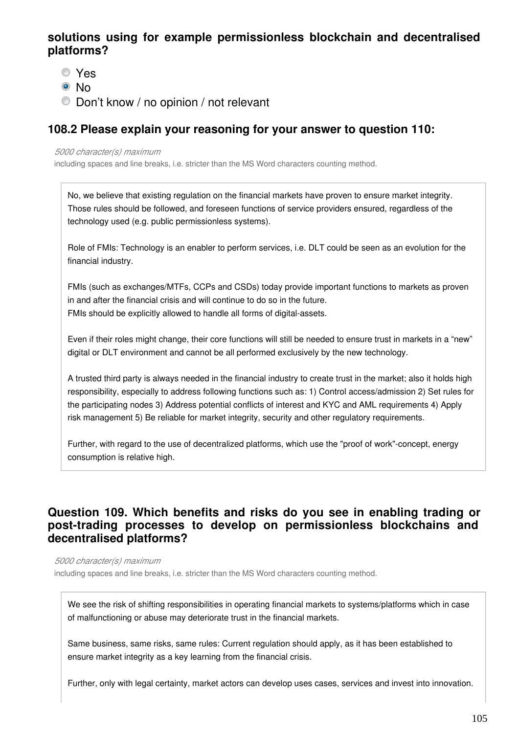### **solutions using for example permissionless blockchain and decentralised platforms?**

- Yes
- <sup>◎</sup> No
- Don't know / no opinion / not relevant

## **108.2 Please explain your reasoning for your answer to question 110:**

### *5000 character(s) maximum*

including spaces and line breaks, i.e. stricter than the MS Word characters counting method.

No, we believe that existing regulation on the financial markets have proven to ensure market integrity. Those rules should be followed, and foreseen functions of service providers ensured, regardless of the technology used (e.g. public permissionless systems).

Role of FMIs: Technology is an enabler to perform services, i.e. DLT could be seen as an evolution for the financial industry.

FMIs (such as exchanges/MTFs, CCPs and CSDs) today provide important functions to markets as proven in and after the financial crisis and will continue to do so in the future. FMIs should be explicitly allowed to handle all forms of digital-assets.

Even if their roles might change, their core functions will still be needed to ensure trust in markets in a "new" digital or DLT environment and cannot be all performed exclusively by the new technology.

A trusted third party is always needed in the financial industry to create trust in the market; also it holds high responsibility, especially to address following functions such as: 1) Control access/admission 2) Set rules for the participating nodes 3) Address potential conflicts of interest and KYC and AML requirements 4) Apply risk management 5) Be reliable for market integrity, security and other regulatory requirements.

Further, with regard to the use of decentralized platforms, which use the "proof of work"-concept, energy consumption is relative high.

### **Question 109. Which benefits and risks do you see in enabling trading or post-trading processes to develop on permissionless blockchains and decentralised platforms?**

*5000 character(s) maximum*

including spaces and line breaks, i.e. stricter than the MS Word characters counting method.

We see the risk of shifting responsibilities in operating financial markets to systems/platforms which in case of malfunctioning or abuse may deteriorate trust in the financial markets.

Same business, same risks, same rules: Current regulation should apply, as it has been established to ensure market integrity as a key learning from the financial crisis.

Further, only with legal certainty, market actors can develop uses cases, services and invest into innovation.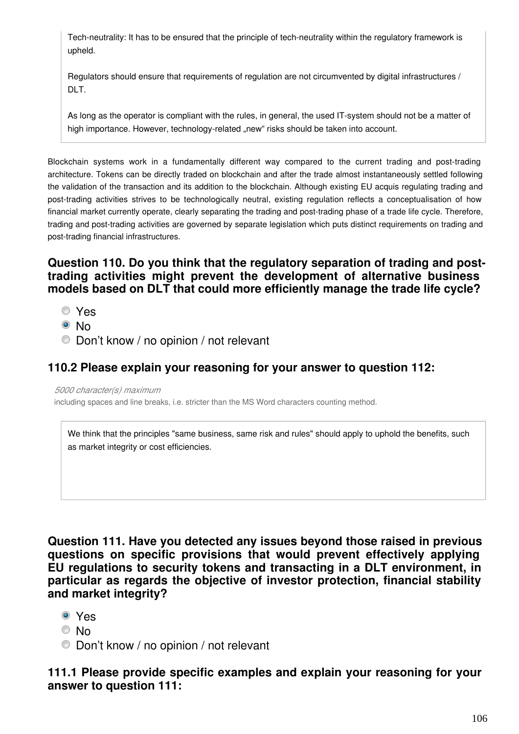Tech-neutrality: It has to be ensured that the principle of tech-neutrality within the regulatory framework is upheld.

Regulators should ensure that requirements of regulation are not circumvented by digital infrastructures / DLT.

As long as the operator is compliant with the rules, in general, the used IT-system should not be a matter of high importance. However, technology-related "new" risks should be taken into account.

Blockchain systems work in a fundamentally different way compared to the current trading and post-trading architecture. Tokens can be directly traded on blockchain and after the trade almost instantaneously settled following the validation of the transaction and its addition to the blockchain. Although existing EU acquis regulating trading and post-trading activities strives to be technologically neutral, existing regulation reflects a conceptualisation of how financial market currently operate, clearly separating the trading and post-trading phase of a trade life cycle. Therefore, trading and post-trading activities are governed by separate legislation which puts distinct requirements on trading and post-trading financial infrastructures.

### **Question 110. Do you think that the regulatory separation of trading and posttrading activities might prevent the development of alternative business models based on DLT that could more efficiently manage the trade life cycle?**

- Yes
- © No
- Don't know / no opinion / not relevant

### **110.2 Please explain your reasoning for your answer to question 112:**

*5000 character(s) maximum*

including spaces and line breaks, i.e. stricter than the MS Word characters counting method.

We think that the principles "same business, same risk and rules" should apply to uphold the benefits, such as market integrity or cost efficiencies.

**Question 111. Have you detected any issues beyond those raised in previous questions on specific provisions that would prevent effectively applying EU regulations to security tokens and transacting in a DLT environment, in particular as regards the objective of investor protection, financial stability and market integrity?**

- Yes
- © No
- Don't know / no opinion / not relevant

### **111.1 Please provide specific examples and explain your reasoning for your answer to question 111:**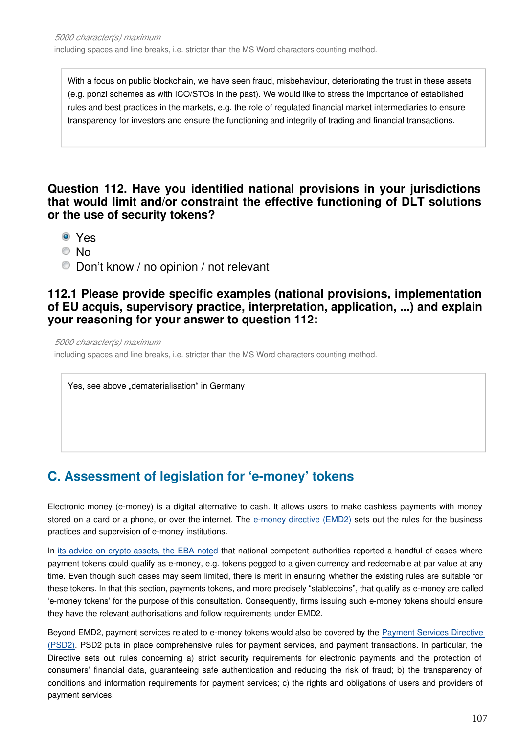With a focus on public blockchain, we have seen fraud, misbehaviour, deteriorating the trust in these assets (e.g. ponzi schemes as with ICO/STOs in the past). We would like to stress the importance of established rules and best practices in the markets, e.g. the role of regulated financial market intermediaries to ensure transparency for investors and ensure the functioning and integrity of trading and financial transactions.

### **Question 112. Have you identified national provisions in your jurisdictions that would limit and/or constraint the effective functioning of DLT solutions or the use of security tokens?**

- Yes
- © No
- Don't know / no opinion / not relevant

### **112.1 Please provide specific examples (national provisions, implementation of EU acquis, supervisory practice, interpretation, application, ...) and explain your reasoning for your answer to question 112:**

*5000 character(s) maximum*

including spaces and line breaks, i.e. stricter than the MS Word characters counting method.

Yes, see above "dematerialisation" in Germany

# **C. Assessment of legislation for 'e-money' tokens**

Electronic money (e-money) is a digital alternative to cash. It allows users to make cashless payments with money stored on a card or a phone, or over the internet. The [e-money directive \(EMD2\)](https://eur-lex.europa.eu/legal-content/EN/TXT/?uri=CELEX:32009L0110) sets out the rules for the business practices and supervision of e-money institutions.

In [its advice on crypto-assets, the EBA note](https://eba.europa.eu/sites/default/documents/files/documents/10180/2545547/67493daa-85a8-4429-aa91-e9a5ed880684/EBA Report on crypto assets.pdf)d that national competent authorities reported a handful of cases where payment tokens could qualify as e-money, e.g. tokens pegged to a given currency and redeemable at par value at any time. Even though such cases may seem limited, there is merit in ensuring whether the existing rules are suitable for these tokens. In that this section, payments tokens, and more precisely "stablecoins", that qualify as e-money are called 'e-money tokens' for the purpose of this consultation. Consequently, firms issuing such e-money tokens should ensure they have the relevant authorisations and follow requirements under EMD2.

Beyond EMD2, payment services related to e-money tokens would also be covered by the [Payment Services Directive](https://eur-lex.europa.eu/legal-content/EN/TXT/?uri=CELEX:32015L2366)  [\(PSD2\).](https://eur-lex.europa.eu/legal-content/EN/TXT/?uri=CELEX:32015L2366) PSD2 puts in place comprehensive rules for payment services, and payment transactions. In particular, the Directive sets out rules concerning a) strict security requirements for electronic payments and the protection of consumers' financial data, guaranteeing safe authentication and reducing the risk of fraud; b) the transparency of conditions and information requirements for payment services; c) the rights and obligations of users and providers of payment services.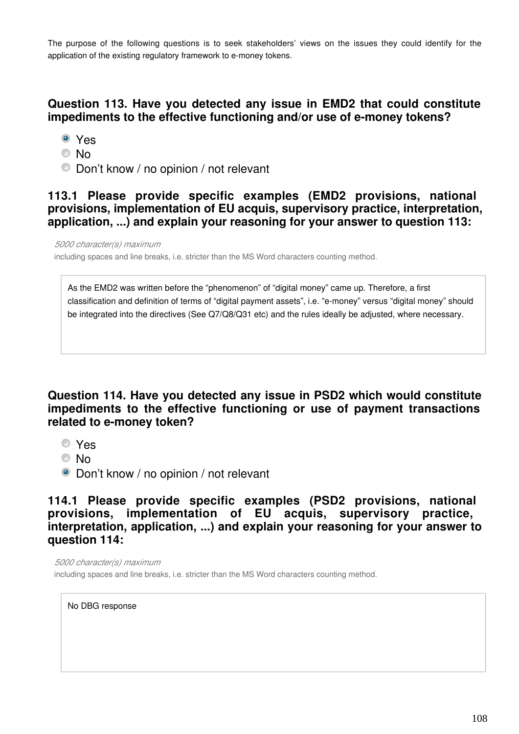The purpose of the following questions is to seek stakeholders' views on the issues they could identify for the application of the existing regulatory framework to e-money tokens.

### **Question 113. Have you detected any issue in EMD2 that could constitute impediments to the effective functioning and/or use of e-money tokens?**

- Yes
- © No
- Don't know / no opinion / not relevant

### **113.1 Please provide specific examples (EMD2 provisions, national provisions, implementation of EU acquis, supervisory practice, interpretation, application, ...) and explain your reasoning for your answer to question 113:**

*5000 character(s) maximum* including spaces and line breaks, i.e. stricter than the MS Word characters counting method.

As the EMD2 was written before the "phenomenon" of "digital money" came up. Therefore, a first classification and definition of terms of "digital payment assets", i.e. "e-money" versus "digital money" should be integrated into the directives (See Q7/Q8/Q31 etc) and the rules ideally be adjusted, where necessary.

### **Question 114. Have you detected any issue in PSD2 which would constitute impediments to the effective functioning or use of payment transactions related to e-money token?**

- Yes
- © No
- Don't know / no opinion / not relevant

**114.1 Please provide specific examples (PSD2 provisions, national provisions, implementation of EU acquis, supervisory practice, interpretation, application, ...) and explain your reasoning for your answer to question 114:**

*5000 character(s) maximum*

including spaces and line breaks, i.e. stricter than the MS Word characters counting method.

No DBG response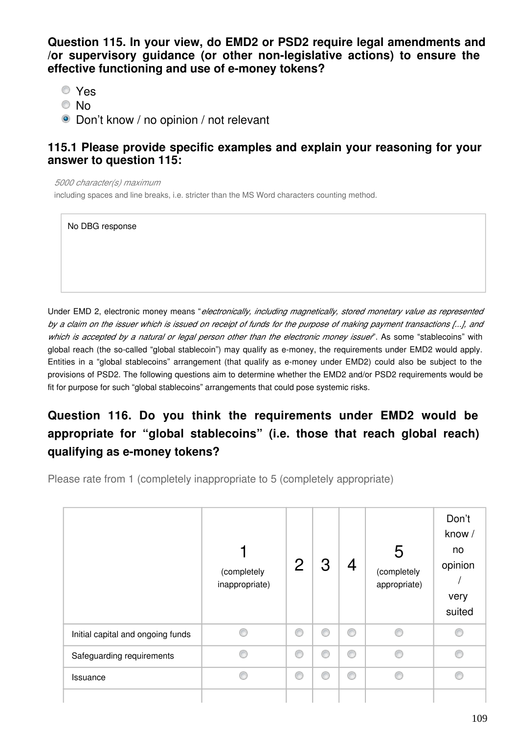**Question 115. In your view, do EMD2 or PSD2 require legal amendments and /or supervisory guidance (or other non-legislative actions) to ensure the effective functioning and use of e-money tokens?**

Yes

- © No
- Don't know / no opinion / not relevant

#### **115.1 Please provide specific examples and explain your reasoning for your answer to question 115:**

*5000 character(s) maximum*

including spaces and line breaks, i.e. stricter than the MS Word characters counting method.

No DBG response

Under EMD 2, electronic money means "*electronically, including magnetically, stored monetary value as represented by a claim on the issuer which is issued on receipt of funds for the purpose of making payment transactions [...], and which is accepted by a natural or legal person other than the electronic money issuer*". As some "stablecoins" with global reach (the so-called "global stablecoin") may qualify as e-money, the requirements under EMD2 would apply. Entities in a "global stablecoins" arrangement (that qualify as e-money under EMD2) could also be subject to the provisions of PSD2. The following questions aim to determine whether the EMD2 and/or PSD2 requirements would be fit for purpose for such "global stablecoins" arrangements that could pose systemic risks.

## **Question 116. Do you think the requirements under EMD2 would be appropriate for "global stablecoins" (i.e. those that reach global reach) qualifying as e-money tokens?**

Please rate from 1 (completely inappropriate to 5 (completely appropriate)

|                                   | (completely<br>inappropriate) | $\overline{2}$ | З | 4 | 5<br>(completely<br>appropriate) | Don't<br>know /<br>no<br>opinion<br>very<br>suited |
|-----------------------------------|-------------------------------|----------------|---|---|----------------------------------|----------------------------------------------------|
| Initial capital and ongoing funds |                               | 0              | C | ⋒ | e                                | e                                                  |
| Safeguarding requirements         |                               | ◉              | O | € | A                                | e                                                  |
| Issuance                          |                               | ◉              | O | € | A                                | e                                                  |
|                                   |                               |                |   |   |                                  |                                                    |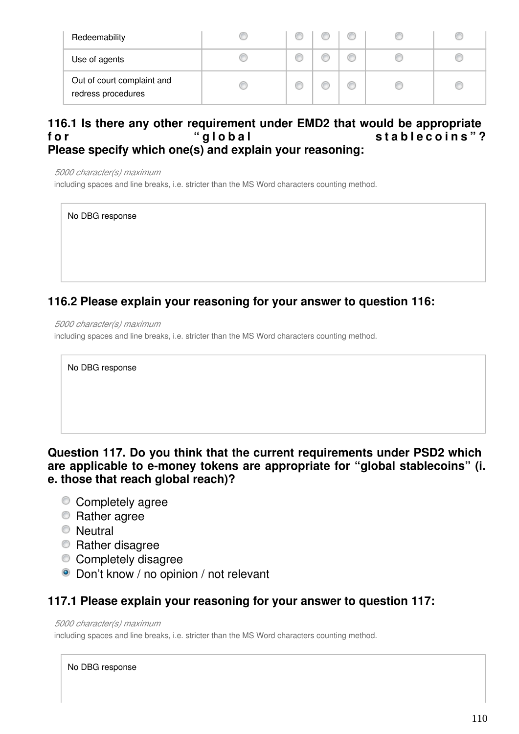| Redeemability                                    |  |  |  |
|--------------------------------------------------|--|--|--|
| Use of agents                                    |  |  |  |
| Out of court complaint and<br>redress procedures |  |  |  |

#### **116.1 Is there any other requirement under EMD2 that would be appropriate**  for the stable coins " ? " alobal **Please specify which one(s) and explain your reasoning:**

*5000 character(s) maximum*

including spaces and line breaks, i.e. stricter than the MS Word characters counting method.

No DBG response

### **116.2 Please explain your reasoning for your answer to question 116:**

*5000 character(s) maximum* including spaces and line breaks, i.e. stricter than the MS Word characters counting method.

No DBG response

#### **Question 117. Do you think that the current requirements under PSD2 which are applicable to e-money tokens are appropriate for "global stablecoins" (i. e. those that reach global reach)?**

- Completely agree
- Rather agree
- **Neutral**
- **Rather disagree**
- Completely disagree
- Don't know / no opinion / not relevant

#### **117.1 Please explain your reasoning for your answer to question 117:**

*5000 character(s) maximum*

including spaces and line breaks, i.e. stricter than the MS Word characters counting method.

#### No DBG response